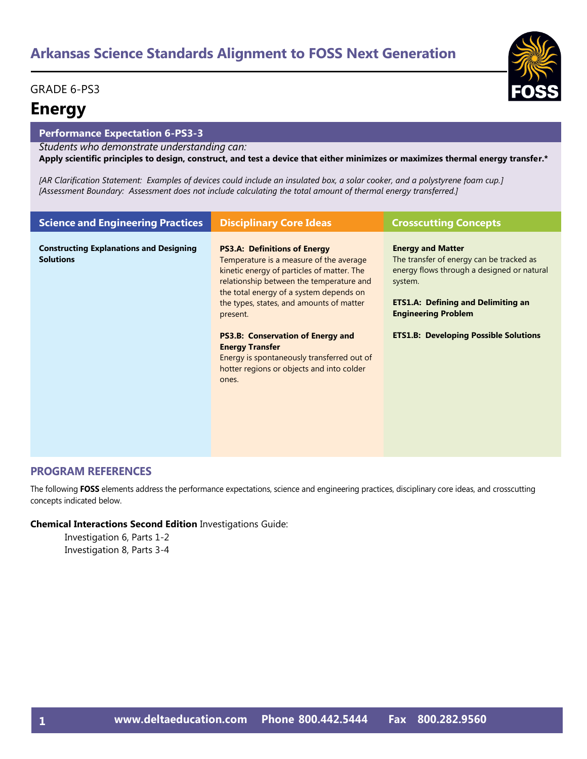#### GRADE 6-PS3

### **Energy**

#### **Performance Expectation 6-PS3-3**

*Students who demonstrate understanding can:*

**Apply scientific principles to design, construct, and test a device that either minimizes or maximizes thermal energy transfer.\*** 

*[AR Clarification Statement: Examples of devices could include an insulated box, a solar cooker, and a polystyrene foam cup.] [Assessment Boundary: Assessment does not include calculating the total amount of thermal energy transferred.]*

| <b>Science and Engineering Practices</b>                           | <b>Disciplinary Core Ideas</b>                                                                                                                                                                                                                                              | <b>Crosscutting Concepts</b>                                                                                                                                                                             |
|--------------------------------------------------------------------|-----------------------------------------------------------------------------------------------------------------------------------------------------------------------------------------------------------------------------------------------------------------------------|----------------------------------------------------------------------------------------------------------------------------------------------------------------------------------------------------------|
| <b>Constructing Explanations and Designing</b><br><b>Solutions</b> | <b>PS3.A: Definitions of Energy</b><br>Temperature is a measure of the average<br>kinetic energy of particles of matter. The<br>relationship between the temperature and<br>the total energy of a system depends on<br>the types, states, and amounts of matter<br>present. | <b>Energy and Matter</b><br>The transfer of energy can be tracked as<br>energy flows through a designed or natural<br>system.<br><b>ETS1.A: Defining and Delimiting an</b><br><b>Engineering Problem</b> |
|                                                                    | <b>PS3.B: Conservation of Energy and</b><br><b>Energy Transfer</b><br>Energy is spontaneously transferred out of<br>hotter regions or objects and into colder<br>ones.                                                                                                      | <b>ETS1.B: Developing Possible Solutions</b>                                                                                                                                                             |

#### **PROGRAM REFERENCES**

The following **FOSS** elements address the performance expectations, science and engineering practices, disciplinary core ideas, and crosscutting concepts indicated below.

#### **Chemical Interactions Second Edition** Investigations Guide:

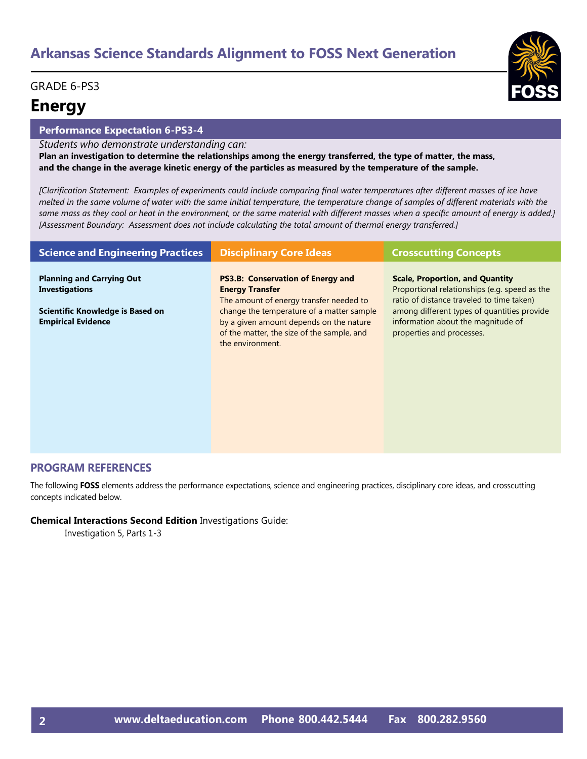### GRADE 6-PS3

# **Energy**

#### **Performance Expectation 6-PS3-4**

*Students who demonstrate understanding can:*

**Plan an investigation to determine the relationships among the energy transferred, the type of matter, the mass, and the change in the average kinetic energy of the particles as measured by the temperature of the sample.**

*[Clarification Statement: Examples of experiments could include comparing final water temperatures after different masses of ice have melted in the same volume of water with the same initial temperature, the temperature change of samples of different materials with the same mass as they cool or heat in the environment, or the same material with different masses when a specific amount of energy is added.] [Assessment Boundary: Assessment does not include calculating the total amount of thermal energy transferred.]*

| <b>Science and Engineering Practices</b>                                                                                   | <b>Disciplinary Core Ideas</b>                                                                                                                                                                                                                                          | <b>Crosscutting Concepts</b>                                                                                                                                                                                                                           |
|----------------------------------------------------------------------------------------------------------------------------|-------------------------------------------------------------------------------------------------------------------------------------------------------------------------------------------------------------------------------------------------------------------------|--------------------------------------------------------------------------------------------------------------------------------------------------------------------------------------------------------------------------------------------------------|
| <b>Planning and Carrying Out</b><br><b>Investigations</b><br>Scientific Knowledge is Based on<br><b>Empirical Evidence</b> | <b>PS3.B: Conservation of Energy and</b><br><b>Energy Transfer</b><br>The amount of energy transfer needed to<br>change the temperature of a matter sample<br>by a given amount depends on the nature<br>of the matter, the size of the sample, and<br>the environment. | <b>Scale, Proportion, and Quantity</b><br>Proportional relationships (e.g. speed as the<br>ratio of distance traveled to time taken)<br>among different types of quantities provide<br>information about the magnitude of<br>properties and processes. |

#### **PROGRAM REFERENCES**

The following **FOSS** elements address the performance expectations, science and engineering practices, disciplinary core ideas, and crosscutting concepts indicated below.

#### **Chemical Interactions Second Edition** Investigations Guide:

Investigation 5, Parts 1-3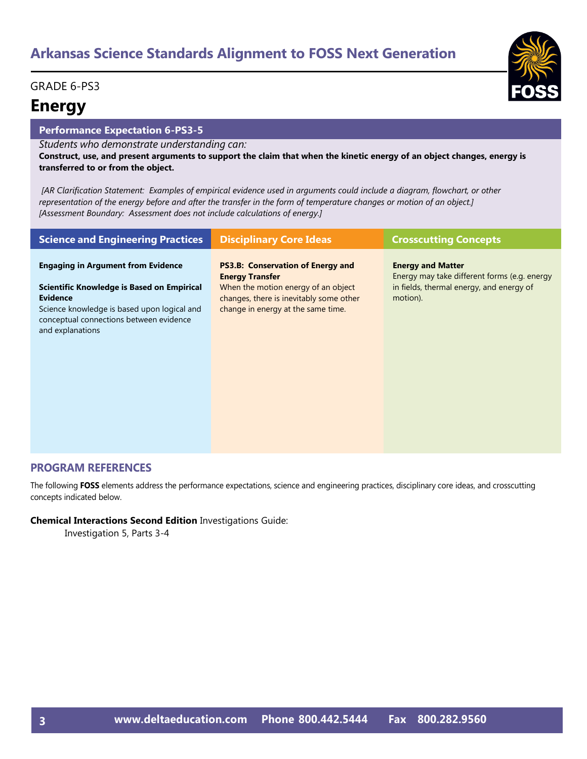#### GRADE 6-PS3

### **Energy**

#### **Performance Expectation 6-PS3-5**

*Students who demonstrate understanding can:*

**Construct, use, and present arguments to support the claim that when the kinetic energy of an object changes, energy is transferred to or from the object.**

*[AR Clarification Statement: Examples of empirical evidence used in arguments could include a diagram, flowchart, or other representation of the energy before and after the transfer in the form of temperature changes or motion of an object.] [Assessment Boundary: Assessment does not include calculations of energy.]*

| <b>Science and Engineering Practices</b>                                                                                                                                                                                 | <b>Disciplinary Core Ideas</b>                                                                                                                                                             | <b>Crosscutting Concepts</b>                                                                                                     |
|--------------------------------------------------------------------------------------------------------------------------------------------------------------------------------------------------------------------------|--------------------------------------------------------------------------------------------------------------------------------------------------------------------------------------------|----------------------------------------------------------------------------------------------------------------------------------|
| <b>Engaging in Argument from Evidence</b><br>Scientific Knowledge is Based on Empirical<br><b>Evidence</b><br>Science knowledge is based upon logical and<br>conceptual connections between evidence<br>and explanations | <b>PS3.B: Conservation of Energy and</b><br><b>Energy Transfer</b><br>When the motion energy of an object<br>changes, there is inevitably some other<br>change in energy at the same time. | <b>Energy and Matter</b><br>Energy may take different forms (e.g. energy<br>in fields, thermal energy, and energy of<br>motion). |

#### **PROGRAM REFERENCES**

The following **FOSS** elements address the performance expectations, science and engineering practices, disciplinary core ideas, and crosscutting concepts indicated below.

#### **Chemical Interactions Second Edition** Investigations Guide:

Investigation 5, Parts 3-4

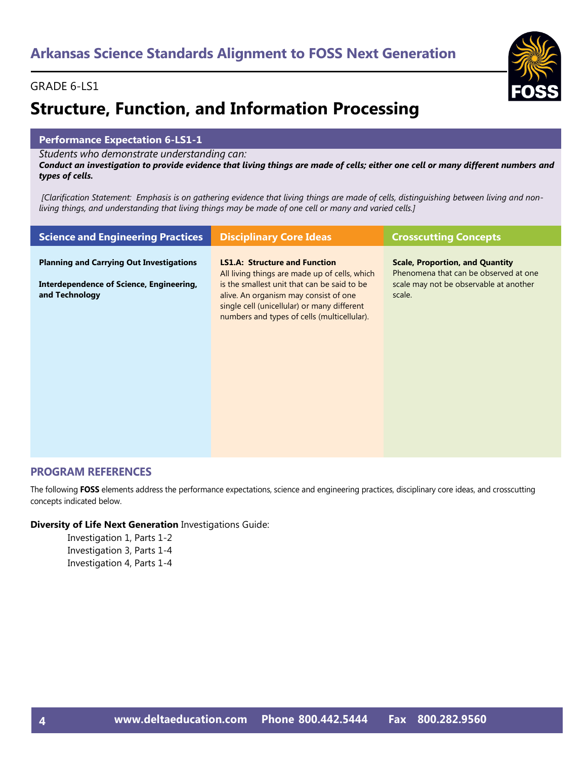# **Structure, Function, and Information Processing**

#### **Performance Expectation 6-LS1-1**

*Students who demonstrate understanding can:*

*Conduct an investigation to provide evidence that living things are made of cells; either one cell or many different numbers and types of cells.* 

*[Clarification Statement: Emphasis is on gathering evidence that living things are made of cells, distinguishing between living and nonliving things, and understanding that living things may be made of one cell or many and varied cells.]*

| <b>Science and Engineering Practices</b>                                                                      | <b>Disciplinary Core Ideas</b>                                                                                                                                                                                                                                              | <b>Crosscutting Concepts</b>                                                                                                        |
|---------------------------------------------------------------------------------------------------------------|-----------------------------------------------------------------------------------------------------------------------------------------------------------------------------------------------------------------------------------------------------------------------------|-------------------------------------------------------------------------------------------------------------------------------------|
| <b>Planning and Carrying Out Investigations</b><br>Interdependence of Science, Engineering,<br>and Technology | <b>LS1.A: Structure and Function</b><br>All living things are made up of cells, which<br>is the smallest unit that can be said to be<br>alive. An organism may consist of one<br>single cell (unicellular) or many different<br>numbers and types of cells (multicellular). | <b>Scale, Proportion, and Quantity</b><br>Phenomena that can be observed at one<br>scale may not be observable at another<br>scale. |
|                                                                                                               |                                                                                                                                                                                                                                                                             |                                                                                                                                     |

#### **PROGRAM REFERENCES**

The following **FOSS** elements address the performance expectations, science and engineering practices, disciplinary core ideas, and crosscutting concepts indicated below.

#### **Diversity of Life Next Generation** Investigations Guide:

Investigation 1, Parts 1-2 Investigation 3, Parts 1-4 Investigation 4, Parts 1-4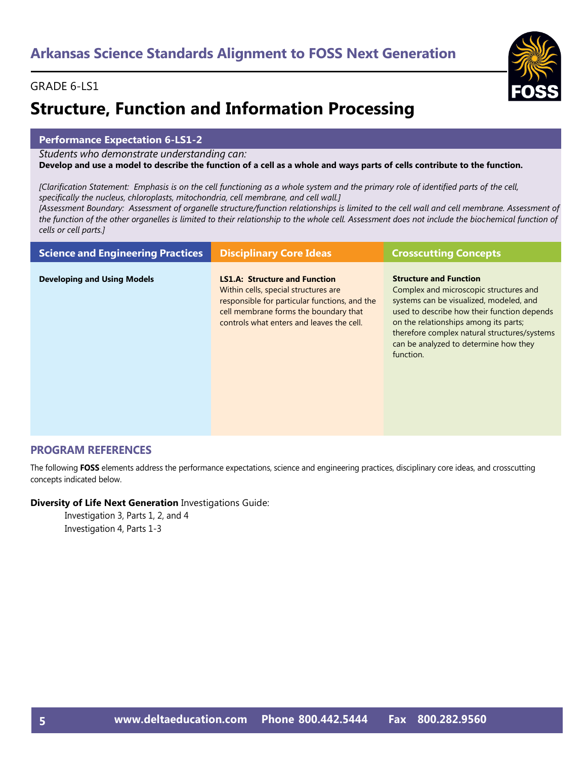# **Structure, Function and Information Processing**

#### **Performance Expectation 6-LS1-2**

*Students who demonstrate understanding can:*

**Develop and use a model to describe the function of a cell as a whole and ways parts of cells contribute to the function.** 

*[Clarification Statement: Emphasis is on the cell functioning as a whole system and the primary role of identified parts of the cell, specifically the nucleus, chloroplasts, mitochondria, cell membrane, and cell wall.]* 

*[Assessment Boundary: Assessment of organelle structure/function relationships is limited to the cell wall and cell membrane. Assessment of the function of the other organelles is limited to their relationship to the whole cell. Assessment does not include the biochemical function of cells or cell parts.]*

| <b>Science and Engineering Practices</b> | <b>Disciplinary Core Ideas</b>                                                                                                                                                                                      | <b>Crosscutting Concepts</b>                                                                                                                                                                                                                                                                                     |
|------------------------------------------|---------------------------------------------------------------------------------------------------------------------------------------------------------------------------------------------------------------------|------------------------------------------------------------------------------------------------------------------------------------------------------------------------------------------------------------------------------------------------------------------------------------------------------------------|
| <b>Developing and Using Models</b>       | <b>LS1.A: Structure and Function</b><br>Within cells, special structures are<br>responsible for particular functions, and the<br>cell membrane forms the boundary that<br>controls what enters and leaves the cell. | <b>Structure and Function</b><br>Complex and microscopic structures and<br>systems can be visualized, modeled, and<br>used to describe how their function depends<br>on the relationships among its parts;<br>therefore complex natural structures/systems<br>can be analyzed to determine how they<br>function. |

#### **PROGRAM REFERENCES**

The following **FOSS** elements address the performance expectations, science and engineering practices, disciplinary core ideas, and crosscutting concepts indicated below.

#### **Diversity of Life Next Generation** Investigations Guide:

Investigation 3, Parts 1, 2, and 4 Investigation 4, Parts 1-3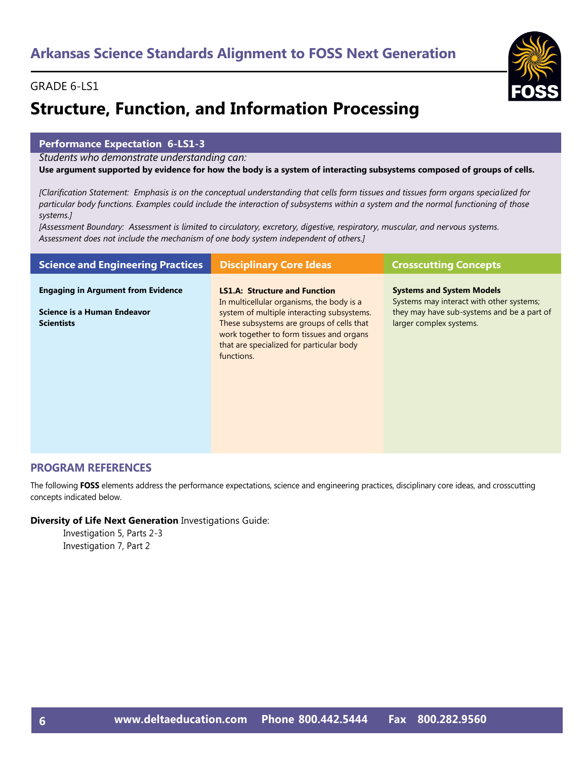# **Structure, Function, and Information Processing**

#### **Performance Expectation 6-LS1-3**

*Students who demonstrate understanding can:*

**Use argument supported by evidence for how the body is a system of interacting subsystems composed of groups of cells.** 

*[Clarification Statement: Emphasis is on the conceptual understanding that cells form tissues and tissues form organs specialized for particular body functions. Examples could include the interaction of subsystems within a system and the normal functioning of those systems.]* 

*[Assessment Boundary: Assessment is limited to circulatory, excretory, digestive, respiratory, muscular, and nervous systems. Assessment does not include the mechanism of one body system independent of others.]*

| <b>Science and Engineering Practices</b>                                                      | <b>Disciplinary Core Ideas</b>                                                                                                                                                                                                                                                     | <b>Crosscutting Concepts</b>                                                                                                                          |
|-----------------------------------------------------------------------------------------------|------------------------------------------------------------------------------------------------------------------------------------------------------------------------------------------------------------------------------------------------------------------------------------|-------------------------------------------------------------------------------------------------------------------------------------------------------|
| <b>Engaging in Argument from Evidence</b><br>Science is a Human Endeavor<br><b>Scientists</b> | <b>LS1.A: Structure and Function</b><br>In multicellular organisms, the body is a<br>system of multiple interacting subsystems.<br>These subsystems are groups of cells that<br>work together to form tissues and organs<br>that are specialized for particular body<br>functions. | <b>Systems and System Models</b><br>Systems may interact with other systems;<br>they may have sub-systems and be a part of<br>larger complex systems. |
|                                                                                               |                                                                                                                                                                                                                                                                                    |                                                                                                                                                       |

#### **PROGRAM REFERENCES**

The following **FOSS** elements address the performance expectations, science and engineering practices, disciplinary core ideas, and crosscutting concepts indicated below.

#### **Diversity of Life Next Generation** Investigations Guide: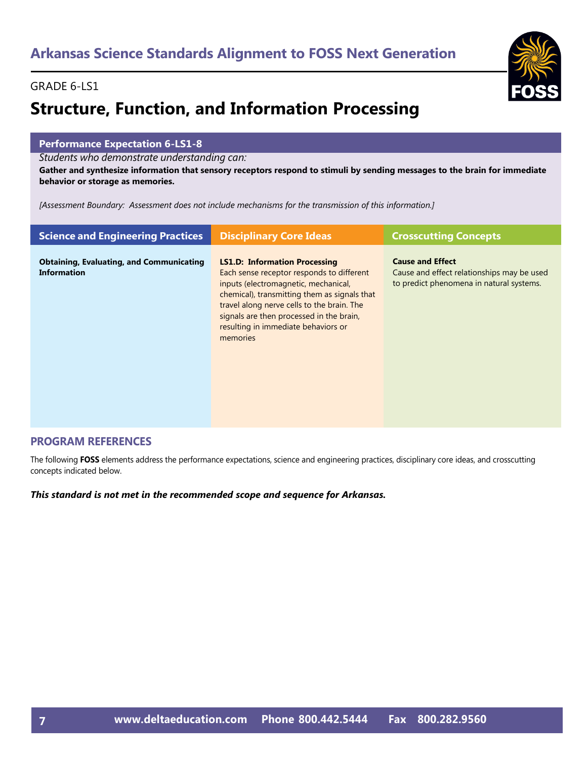# **Structure, Function, and Information Processing**

#### **Performance Expectation 6-LS1-8**

*Students who demonstrate understanding can:*

**Gather and synthesize information that sensory receptors respond to stimuli by sending messages to the brain for immediate behavior or storage as memories.** 

*[Assessment Boundary: Assessment does not include mechanisms for the transmission of this information.]*

| <b>Science and Engineering Practices</b>                              | <b>Disciplinary Core Ideas</b>                                                                                                                                                                                                                                                                                         | <b>Crosscutting Concepts</b>                                                                                      |
|-----------------------------------------------------------------------|------------------------------------------------------------------------------------------------------------------------------------------------------------------------------------------------------------------------------------------------------------------------------------------------------------------------|-------------------------------------------------------------------------------------------------------------------|
| <b>Obtaining, Evaluating, and Communicating</b><br><b>Information</b> | <b>LS1.D: Information Processing</b><br>Each sense receptor responds to different<br>inputs (electromagnetic, mechanical,<br>chemical), transmitting them as signals that<br>travel along nerve cells to the brain. The<br>signals are then processed in the brain,<br>resulting in immediate behaviors or<br>memories | <b>Cause and Effect</b><br>Cause and effect relationships may be used<br>to predict phenomena in natural systems. |

#### **PROGRAM REFERENCES**

The following **FOSS** elements address the performance expectations, science and engineering practices, disciplinary core ideas, and crosscutting concepts indicated below.

*This standard is not met in the recommended scope and sequence for Arkansas.*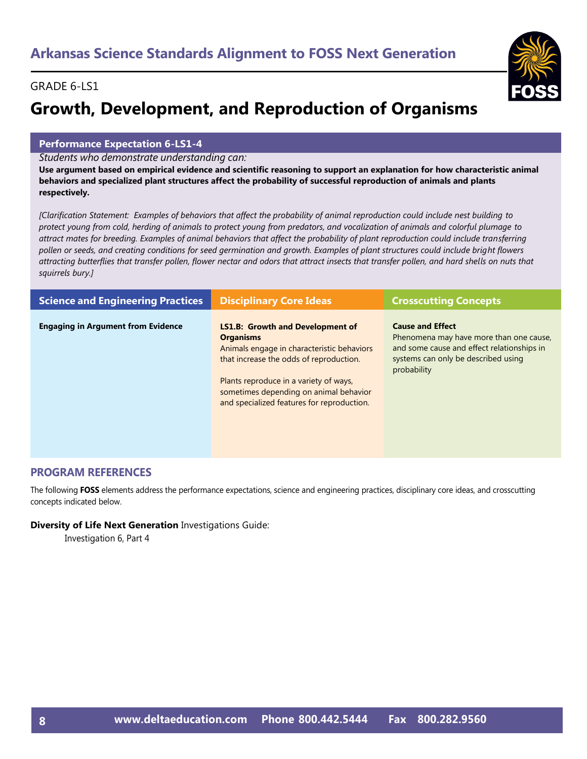# **Growth, Development, and Reproduction of Organisms**

#### **Performance Expectation 6-LS1-4**

*Students who demonstrate understanding can:*

**Use argument based on empirical evidence and scientific reasoning to support an explanation for how characteristic animal behaviors and specialized plant structures affect the probability of successful reproduction of animals and plants respectively.** 

*[Clarification Statement: Examples of behaviors that affect the probability of animal reproduction could include nest building to protect young from cold, herding of animals to protect young from predators, and vocalization of animals and colorful plumage to attract mates for breeding. Examples of animal behaviors that affect the probability of plant reproduction could include transferring pollen or seeds, and creating conditions for seed germination and growth. Examples of plant structures could include bright flowers attracting butterflies that transfer pollen, flower nectar and odors that attract insects that transfer pollen, and hard shells on nuts that squirrels bury.]* 

| <b>Science and Engineering Practices</b>  | <b>Disciplinary Core Ideas</b>                                                                                                                                                                                                                                                         | <b>Crosscutting Concepts</b>                                                                                                                                           |
|-------------------------------------------|----------------------------------------------------------------------------------------------------------------------------------------------------------------------------------------------------------------------------------------------------------------------------------------|------------------------------------------------------------------------------------------------------------------------------------------------------------------------|
| <b>Engaging in Argument from Evidence</b> | <b>LS1.B: Growth and Development of</b><br><b>Organisms</b><br>Animals engage in characteristic behaviors<br>that increase the odds of reproduction.<br>Plants reproduce in a variety of ways,<br>sometimes depending on animal behavior<br>and specialized features for reproduction. | <b>Cause and Effect</b><br>Phenomena may have more than one cause,<br>and some cause and effect relationships in<br>systems can only be described using<br>probability |

#### **PROGRAM REFERENCES**

The following **FOSS** elements address the performance expectations, science and engineering practices, disciplinary core ideas, and crosscutting concepts indicated below.

#### **Diversity of Life Next Generation** Investigations Guide:

Investigation 6, Part 4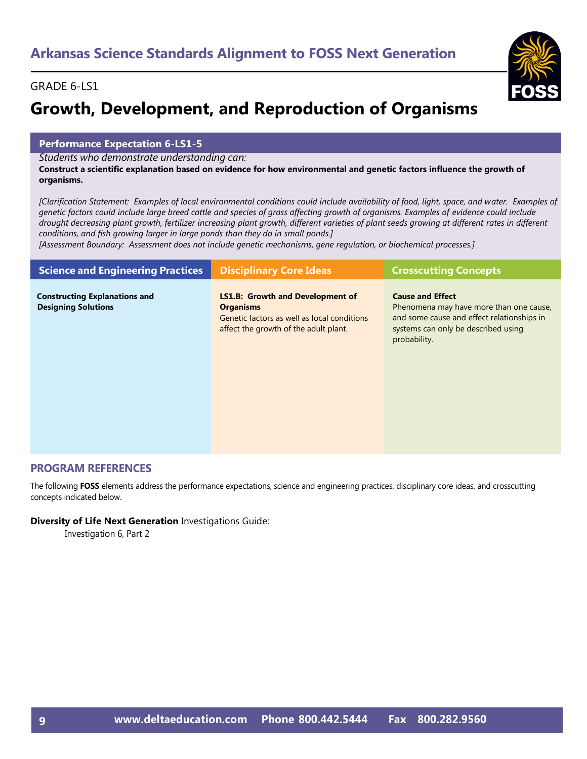# **Growth, Development, and Reproduction of Organisms**

#### **Performance Expectation 6-LS1-5**

*Students who demonstrate understanding can:*

**Construct a scientific explanation based on evidence for how environmental and genetic factors influence the growth of organisms.** 

*[Clarification Statement: Examples of local environmental conditions could include availability of food, light, space, and water. Examples of genetic factors could include large breed cattle and species of grass affecting growth of organisms. Examples of evidence could include*  drought decreasing plant growth, fertilizer increasing plant growth, different varieties of plant seeds growing at different rates in different *conditions, and fish growing larger in large ponds than they do in small ponds.]* 

*[Assessment Boundary: Assessment does not include genetic mechanisms, gene regulation, or biochemical processes.]*

| <b>Science and Engineering Practices</b>                           | <b>Disciplinary Core Ideas</b>                                                                                                                      | <b>Crosscutting Concepts</b>                                                                                                                                            |
|--------------------------------------------------------------------|-----------------------------------------------------------------------------------------------------------------------------------------------------|-------------------------------------------------------------------------------------------------------------------------------------------------------------------------|
| <b>Constructing Explanations and</b><br><b>Designing Solutions</b> | <b>LS1.B: Growth and Development of</b><br><b>Organisms</b><br>Genetic factors as well as local conditions<br>affect the growth of the adult plant. | <b>Cause and Effect</b><br>Phenomena may have more than one cause,<br>and some cause and effect relationships in<br>systems can only be described using<br>probability. |

#### **PROGRAM REFERENCES**

The following **FOSS** elements address the performance expectations, science and engineering practices, disciplinary core ideas, and crosscutting concepts indicated below.

#### **Diversity of Life Next Generation** Investigations Guide:

Investigation 6, Part 2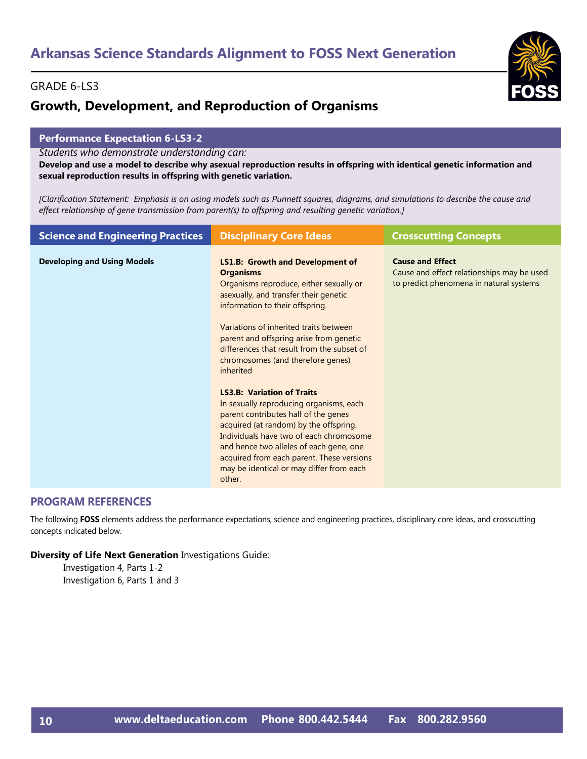### **Growth, Development, and Reproduction of Organisms**

#### **Performance Expectation 6-LS3-2**

*Students who demonstrate understanding can:*

**Develop and use a model to describe why asexual reproduction results in offspring with identical genetic information and sexual reproduction results in offspring with genetic variation.** 

*[Clarification Statement: Emphasis is on using models such as Punnett squares, diagrams, and simulations to describe the cause and effect relationship of gene transmission from parent(s) to offspring and resulting genetic variation.]*

| <b>Science and Engineering Practices</b> | <b>Disciplinary Core Ideas</b>                                                                                                                                                                                                                                                                                                                                                                                                                                                                                                                                                                                                                                                                                                     | <b>Crosscutting Concepts</b>                                                                                     |
|------------------------------------------|------------------------------------------------------------------------------------------------------------------------------------------------------------------------------------------------------------------------------------------------------------------------------------------------------------------------------------------------------------------------------------------------------------------------------------------------------------------------------------------------------------------------------------------------------------------------------------------------------------------------------------------------------------------------------------------------------------------------------------|------------------------------------------------------------------------------------------------------------------|
| <b>Developing and Using Models</b>       | <b>LS1.B: Growth and Development of</b><br><b>Organisms</b><br>Organisms reproduce, either sexually or<br>asexually, and transfer their genetic<br>information to their offspring.<br>Variations of inherited traits between<br>parent and offspring arise from genetic<br>differences that result from the subset of<br>chromosomes (and therefore genes)<br>inherited<br><b>LS3.B: Variation of Traits</b><br>In sexually reproducing organisms, each<br>parent contributes half of the genes<br>acquired (at random) by the offspring.<br>Individuals have two of each chromosome<br>and hence two alleles of each gene, one<br>acquired from each parent. These versions<br>may be identical or may differ from each<br>other. | <b>Cause and Effect</b><br>Cause and effect relationships may be used<br>to predict phenomena in natural systems |
|                                          |                                                                                                                                                                                                                                                                                                                                                                                                                                                                                                                                                                                                                                                                                                                                    |                                                                                                                  |

#### **PROGRAM REFERENCES**

The following **FOSS** elements address the performance expectations, science and engineering practices, disciplinary core ideas, and crosscutting concepts indicated below.

#### **Diversity of Life Next Generation** Investigations Guide:

Investigation 4, Parts 1-2 Investigation 6, Parts 1 and 3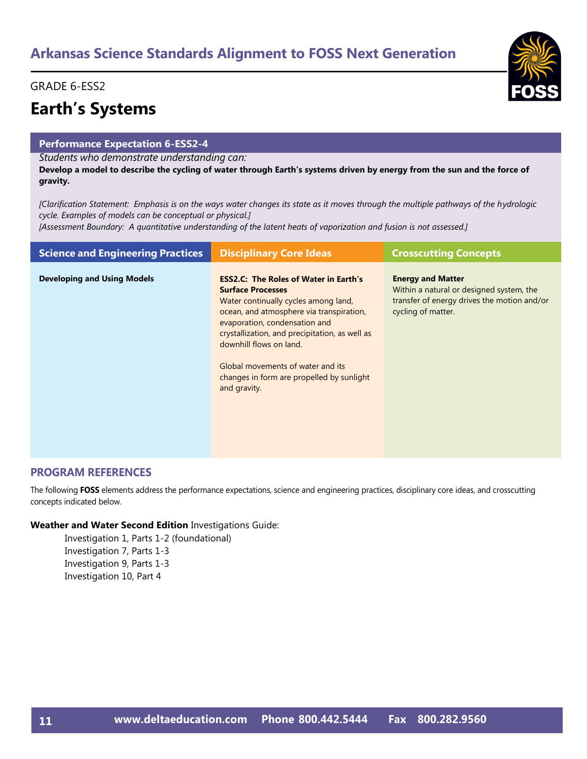#### GRADE 6-ESS2

# **Earth's Systems**

#### **Performance Expectation 6-ESS2-4**

*Students who demonstrate understanding can:*

**Develop a model to describe the cycling of water through Earth's systems driven by energy from the sun and the force of gravity.** 

*[Clarification Statement: Emphasis is on the ways water changes its state as it moves through the multiple pathways of the hydrologic cycle. Examples of models can be conceptual or physical.]* 

*[Assessment Boundary: A quantitative understanding of the latent heats of vaporization and fusion is not assessed.]*

| <b>Science and Engineering Practices</b> | <b>Disciplinary Core Ideas</b>                                                                                                                                                                                                                                                                                                                                               | <b>Crosscutting Concepts</b>                                                                                                              |
|------------------------------------------|------------------------------------------------------------------------------------------------------------------------------------------------------------------------------------------------------------------------------------------------------------------------------------------------------------------------------------------------------------------------------|-------------------------------------------------------------------------------------------------------------------------------------------|
| <b>Developing and Using Models</b>       | <b>ESS2.C: The Roles of Water in Earth's</b><br><b>Surface Processes</b><br>Water continually cycles among land,<br>ocean, and atmosphere via transpiration,<br>evaporation, condensation and<br>crystallization, and precipitation, as well as<br>downhill flows on land.<br>Global movements of water and its<br>changes in form are propelled by sunlight<br>and gravity. | <b>Energy and Matter</b><br>Within a natural or designed system, the<br>transfer of energy drives the motion and/or<br>cycling of matter. |

#### **PROGRAM REFERENCES**

The following **FOSS** elements address the performance expectations, science and engineering practices, disciplinary core ideas, and crosscutting concepts indicated below.

#### **Weather and Water Second Edition** Investigations Guide:

Investigation 1, Parts 1-2 (foundational) Investigation 7, Parts 1-3 Investigation 9, Parts 1-3 Investigation 10, Part 4

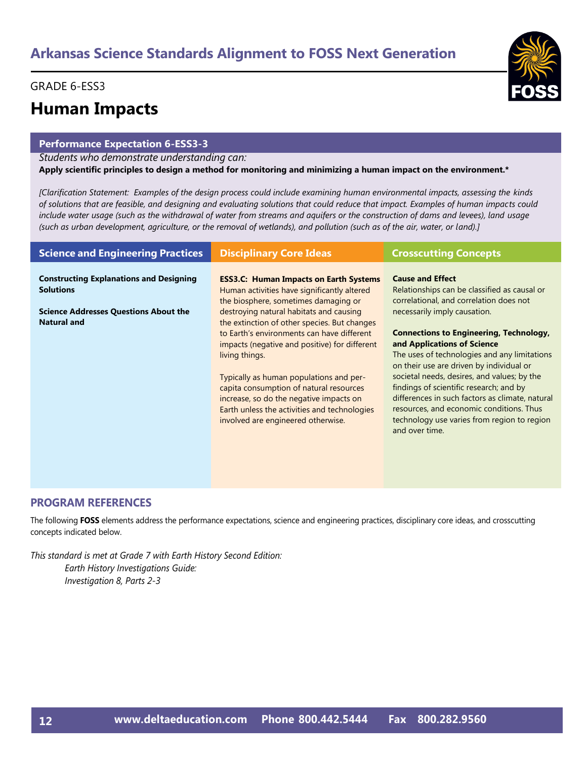#### GRADE 6-ESS3

### **Human Impacts**

#### **Performance Expectation 6-ESS3-3**

#### *Students who demonstrate understanding can:*

**Apply scientific principles to design a method for monitoring and minimizing a human impact on the environment.\*** 

*[Clarification Statement: Examples of the design process could include examining human environmental impacts, assessing the kinds of solutions that are feasible, and designing and evaluating solutions that could reduce that impact. Examples of human impacts could include water usage (such as the withdrawal of water from streams and aquifers or the construction of dams and levees), land usage (such as urban development, agriculture, or the removal of wetlands), and pollution (such as of the air, water, or land).]* 

| <b>Science and Engineering Practices</b>                           | <b>Disciplinary Core Ideas</b>                                                                                                                                                                                                                                                                                                                                                                                                  | <b>Crosscutting Concepts</b>                                                                                                                                                                                                                                                                                                                                                                                                                                        |
|--------------------------------------------------------------------|---------------------------------------------------------------------------------------------------------------------------------------------------------------------------------------------------------------------------------------------------------------------------------------------------------------------------------------------------------------------------------------------------------------------------------|---------------------------------------------------------------------------------------------------------------------------------------------------------------------------------------------------------------------------------------------------------------------------------------------------------------------------------------------------------------------------------------------------------------------------------------------------------------------|
| <b>Constructing Explanations and Designing</b><br><b>Solutions</b> | <b>ESS3.C: Human Impacts on Earth Systems</b><br>Human activities have significantly altered<br>the biosphere, sometimes damaging or                                                                                                                                                                                                                                                                                            | <b>Cause and Effect</b><br>Relationships can be classified as causal or<br>correlational, and correlation does not                                                                                                                                                                                                                                                                                                                                                  |
| <b>Science Addresses Questions About the</b><br><b>Natural and</b> | destroying natural habitats and causing<br>the extinction of other species. But changes<br>to Earth's environments can have different<br>impacts (negative and positive) for different<br>living things.<br>Typically as human populations and per-<br>capita consumption of natural resources<br>increase, so do the negative impacts on<br>Earth unless the activities and technologies<br>involved are engineered otherwise. | necessarily imply causation.<br><b>Connections to Engineering, Technology,</b><br>and Applications of Science<br>The uses of technologies and any limitations<br>on their use are driven by individual or<br>societal needs, desires, and values; by the<br>findings of scientific research; and by<br>differences in such factors as climate, natural<br>resources, and economic conditions. Thus<br>technology use varies from region to region<br>and over time. |

#### **PROGRAM REFERENCES**

The following **FOSS** elements address the performance expectations, science and engineering practices, disciplinary core ideas, and crosscutting concepts indicated below.

*This standard is met at Grade 7 with Earth History Second Edition: Earth History Investigations Guide: Investigation 8, Parts 2-3*

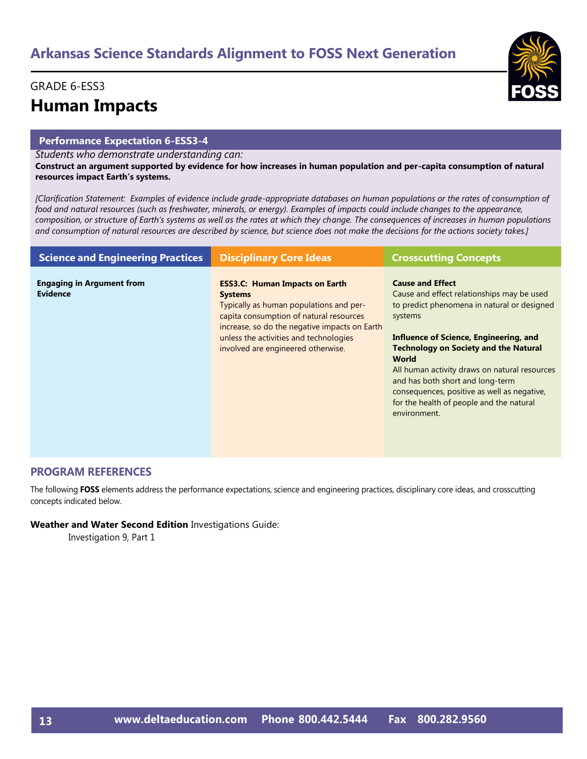### GRADE 6-ESS3 **Human Impacts**

#### **Performance Expectation 6-ESS3-4**

*Students who demonstrate understanding can:*

**Construct an argument supported by evidence for how increases in human population and per-capita consumption of natural resources impact Earth's systems.** 

*[Clarification Statement: Examples of evidence include grade-appropriate databases on human populations or the rates of consumption of food and natural resources (such as freshwater, minerals, or energy). Examples of impacts could include changes to the appearance, composition, or structure of Earth's systems as well as the rates at which they change. The consequences of increases in human populations and consumption of natural resources are described by science, but science does not make the decisions for the actions society takes.]*

| <b>Science and Engineering Practices</b>            | <b>Disciplinary Core Ideas</b>                                                                                                                                                                                                                                                 | <b>Crosscutting Concepts</b>                                                                                                                                                                                                                                                                                                                                                                                                       |
|-----------------------------------------------------|--------------------------------------------------------------------------------------------------------------------------------------------------------------------------------------------------------------------------------------------------------------------------------|------------------------------------------------------------------------------------------------------------------------------------------------------------------------------------------------------------------------------------------------------------------------------------------------------------------------------------------------------------------------------------------------------------------------------------|
| <b>Engaging in Argument from</b><br><b>Evidence</b> | <b>ESS3.C: Human Impacts on Earth</b><br><b>Systems</b><br>Typically as human populations and per-<br>capita consumption of natural resources<br>increase, so do the negative impacts on Earth<br>unless the activities and technologies<br>involved are engineered otherwise. | <b>Cause and Effect</b><br>Cause and effect relationships may be used<br>to predict phenomena in natural or designed<br>systems<br>Influence of Science, Engineering, and<br><b>Technology on Society and the Natural</b><br>World<br>All human activity draws on natural resources<br>and has both short and long-term<br>consequences, positive as well as negative,<br>for the health of people and the natural<br>environment. |

#### **PROGRAM REFERENCES**

The following **FOSS** elements address the performance expectations, science and engineering practices, disciplinary core ideas, and crosscutting concepts indicated below.

#### **Weather and Water Second Edition** Investigations Guide:

Investigation 9, Part 1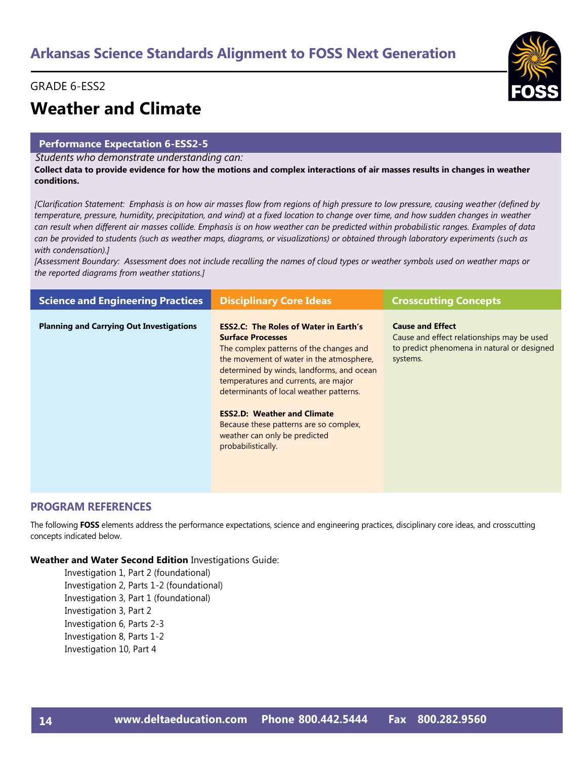#### GRADE 6-ESS2

# **Weather and Climate**

#### **Performance Expectation 6-ESS2-5**

*Students who demonstrate understanding can:*

**Collect data to provide evidence for how the motions and complex interactions of air masses results in changes in weather conditions.** 

*[Clarification Statement: Emphasis is on how air masses flow from regions of high pressure to low pressure, causing weather (defined by temperature, pressure, humidity, precipitation, and wind) at a fixed location to change over time, and how sudden changes in weather can result when different air masses collide. Emphasis is on how weather can be predicted within probabilistic ranges. Examples of data can be provided to students (such as weather maps, diagrams, or visualizations) or obtained through laboratory experiments (such as with condensation).]* 

*[Assessment Boundary: Assessment does not include recalling the names of cloud types or weather symbols used on weather maps or the reported diagrams from weather stations.]*

| <b>Science and Engineering Practices</b>        | <b>Disciplinary Core Ideas</b>                                                                                                                                                                                                                                                                                                                                                                                                         | <b>Crosscutting Concepts</b>                                                                                                     |
|-------------------------------------------------|----------------------------------------------------------------------------------------------------------------------------------------------------------------------------------------------------------------------------------------------------------------------------------------------------------------------------------------------------------------------------------------------------------------------------------------|----------------------------------------------------------------------------------------------------------------------------------|
| <b>Planning and Carrying Out Investigations</b> | <b>ESS2.C: The Roles of Water in Earth's</b><br><b>Surface Processes</b><br>The complex patterns of the changes and<br>the movement of water in the atmosphere,<br>determined by winds, landforms, and ocean<br>temperatures and currents, are major<br>determinants of local weather patterns.<br><b>ESS2.D: Weather and Climate</b><br>Because these patterns are so complex,<br>weather can only be predicted<br>probabilistically. | <b>Cause and Effect</b><br>Cause and effect relationships may be used<br>to predict phenomena in natural or designed<br>systems. |

#### **PROGRAM REFERENCES**

The following **FOSS** elements address the performance expectations, science and engineering practices, disciplinary core ideas, and crosscutting concepts indicated below.

**Weather and Water Second Edition** Investigations Guide:

Investigation 1, Part 2 (foundational) Investigation 2, Parts 1-2 (foundational) Investigation 3, Part 1 (foundational) Investigation 3, Part 2 Investigation 6, Parts 2-3 Investigation 8, Parts 1-2 Investigation 10, Part 4

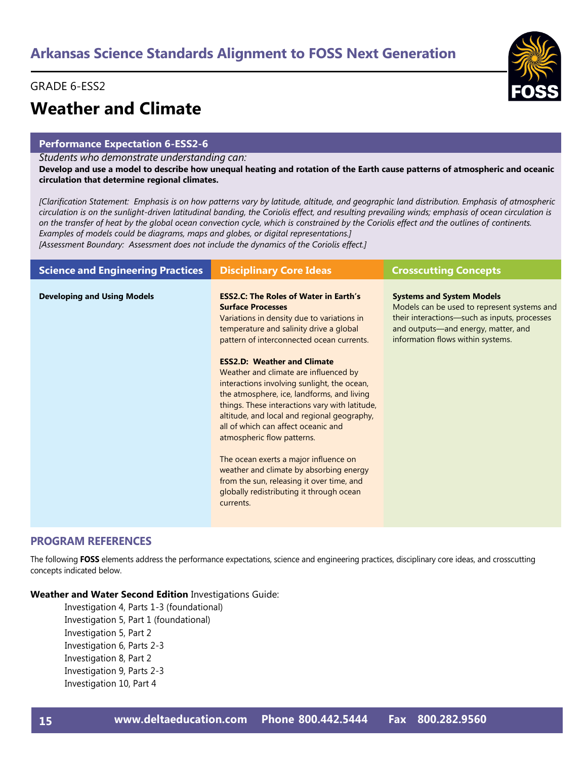#### GRADE 6-ESS2

# **Weather and Climate**

#### **Performance Expectation 6-ESS2-6**

*Students who demonstrate understanding can:*

**Develop and use a model to describe how unequal heating and rotation of the Earth cause patterns of atmospheric and oceanic circulation that determine regional climates.** 

*[Clarification Statement: Emphasis is on how patterns vary by latitude, altitude, and geographic land distribution. Emphasis of atmospheric circulation is on the sunlight-driven latitudinal banding, the Coriolis effect, and resulting prevailing winds; emphasis of ocean circulation is on the transfer of heat by the global ocean convection cycle, which is constrained by the Coriolis effect and the outlines of continents. Examples of models could be diagrams, maps and globes, or digital representations.]* 

*[Assessment Boundary: Assessment does not include the dynamics of the Coriolis effect.]*

| <b>Science and Engineering Practices</b> | <b>Disciplinary Core Ideas</b>                                                                                                                                                                                                                                                                                                                                                                                                                                                                                                                                                                            | <b>Crosscutting Concepts</b>                                                                                                                                                                                |
|------------------------------------------|-----------------------------------------------------------------------------------------------------------------------------------------------------------------------------------------------------------------------------------------------------------------------------------------------------------------------------------------------------------------------------------------------------------------------------------------------------------------------------------------------------------------------------------------------------------------------------------------------------------|-------------------------------------------------------------------------------------------------------------------------------------------------------------------------------------------------------------|
| <b>Developing and Using Models</b>       | <b>ESS2.C: The Roles of Water in Earth's</b><br><b>Surface Processes</b><br>Variations in density due to variations in<br>temperature and salinity drive a global<br>pattern of interconnected ocean currents.<br><b>ESS2.D: Weather and Climate</b><br>Weather and climate are influenced by<br>interactions involving sunlight, the ocean,<br>the atmosphere, ice, landforms, and living<br>things. These interactions vary with latitude,<br>altitude, and local and regional geography,<br>all of which can affect oceanic and<br>atmospheric flow patterns.<br>The ocean exerts a major influence on | <b>Systems and System Models</b><br>Models can be used to represent systems and<br>their interactions-such as inputs, processes<br>and outputs-and energy, matter, and<br>information flows within systems. |
|                                          | weather and climate by absorbing energy<br>from the sun, releasing it over time, and<br>globally redistributing it through ocean<br>currents.                                                                                                                                                                                                                                                                                                                                                                                                                                                             |                                                                                                                                                                                                             |

#### **PROGRAM REFERENCES**

The following **FOSS** elements address the performance expectations, science and engineering practices, disciplinary core ideas, and crosscutting concepts indicated below.

**Weather and Water Second Edition** Investigations Guide:

Investigation 4, Parts 1-3 (foundational) Investigation 5, Part 1 (foundational) Investigation 5, Part 2 Investigation 6, Parts 2-3 Investigation 8, Part 2 Investigation 9, Parts 2-3 Investigation 10, Part 4

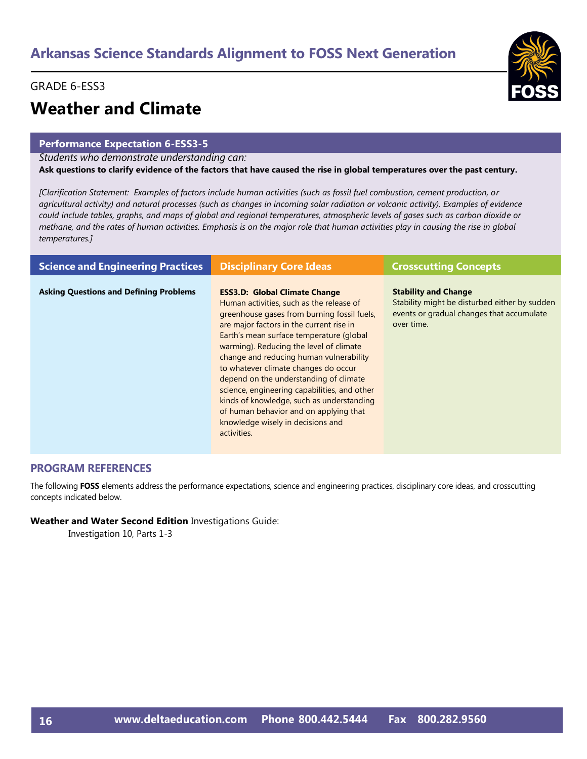#### GRADE 6-ESS3

# **Weather and Climate**

#### **Performance Expectation 6-ESS3-5**

#### *Students who demonstrate understanding can:*

**Ask questions to clarify evidence of the factors that have caused the rise in global temperatures over the past century.** 

*[Clarification Statement: Examples of factors include human activities (such as fossil fuel combustion, cement production, or agricultural activity) and natural processes (such as changes in incoming solar radiation or volcanic activity). Examples of evidence could include tables, graphs, and maps of global and regional temperatures, atmospheric levels of gases such as carbon dioxide or methane, and the rates of human activities. Emphasis is on the major role that human activities play in causing the rise in global temperatures.]*

| <b>Science and Engineering Practices</b>      | <b>Disciplinary Core Ideas</b>                                                                                                                                                                                                                                                                                                                                                                                                                                                                                                                                                             | <b>Crosscutting Concepts</b>                                                                                                            |
|-----------------------------------------------|--------------------------------------------------------------------------------------------------------------------------------------------------------------------------------------------------------------------------------------------------------------------------------------------------------------------------------------------------------------------------------------------------------------------------------------------------------------------------------------------------------------------------------------------------------------------------------------------|-----------------------------------------------------------------------------------------------------------------------------------------|
| <b>Asking Questions and Defining Problems</b> | <b>ESS3.D: Global Climate Change</b><br>Human activities, such as the release of<br>greenhouse gases from burning fossil fuels,<br>are major factors in the current rise in<br>Earth's mean surface temperature (global<br>warming). Reducing the level of climate<br>change and reducing human vulnerability<br>to whatever climate changes do occur<br>depend on the understanding of climate<br>science, engineering capabilities, and other<br>kinds of knowledge, such as understanding<br>of human behavior and on applying that<br>knowledge wisely in decisions and<br>activities. | <b>Stability and Change</b><br>Stability might be disturbed either by sudden<br>events or gradual changes that accumulate<br>over time. |

#### **PROGRAM REFERENCES**

The following **FOSS** elements address the performance expectations, science and engineering practices, disciplinary core ideas, and crosscutting concepts indicated below.

#### **Weather and Water Second Edition** Investigations Guide:

Investigation 10, Parts 1-3

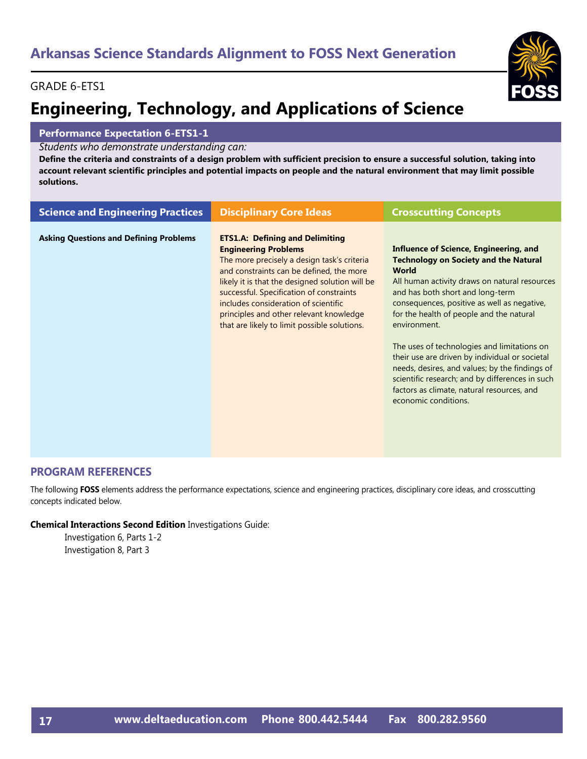#### GRADE 6-ETS1

# **Engineering, Technology, and Applications of Science**

#### **Performance Expectation 6-ETS1-1**

*Students who demonstrate understanding can:*

**Define the criteria and constraints of a design problem with sufficient precision to ensure a successful solution, taking into account relevant scientific principles and potential impacts on people and the natural environment that may limit possible solutions.**

| <b>Science and Engineering Practices</b>      | <b>Disciplinary Core Ideas</b>                                                                                                                                                                                                                                                                                                                                                                     | <b>Crosscutting Concepts</b>                                                                                                                                                                                                                                                                                                                                                                                                                                                                                                                                                       |
|-----------------------------------------------|----------------------------------------------------------------------------------------------------------------------------------------------------------------------------------------------------------------------------------------------------------------------------------------------------------------------------------------------------------------------------------------------------|------------------------------------------------------------------------------------------------------------------------------------------------------------------------------------------------------------------------------------------------------------------------------------------------------------------------------------------------------------------------------------------------------------------------------------------------------------------------------------------------------------------------------------------------------------------------------------|
| <b>Asking Questions and Defining Problems</b> | <b>ETS1.A: Defining and Delimiting</b><br><b>Engineering Problems</b><br>The more precisely a design task's criteria<br>and constraints can be defined, the more<br>likely it is that the designed solution will be<br>successful. Specification of constraints<br>includes consideration of scientific<br>principles and other relevant knowledge<br>that are likely to limit possible solutions. | Influence of Science, Engineering, and<br><b>Technology on Society and the Natural</b><br><b>World</b><br>All human activity draws on natural resources<br>and has both short and long-term<br>consequences, positive as well as negative,<br>for the health of people and the natural<br>environment.<br>The uses of technologies and limitations on<br>their use are driven by individual or societal<br>needs, desires, and values; by the findings of<br>scientific research; and by differences in such<br>factors as climate, natural resources, and<br>economic conditions. |

#### **PROGRAM REFERENCES**

The following **FOSS** elements address the performance expectations, science and engineering practices, disciplinary core ideas, and crosscutting concepts indicated below.

#### **Chemical Interactions Second Edition** Investigations Guide:

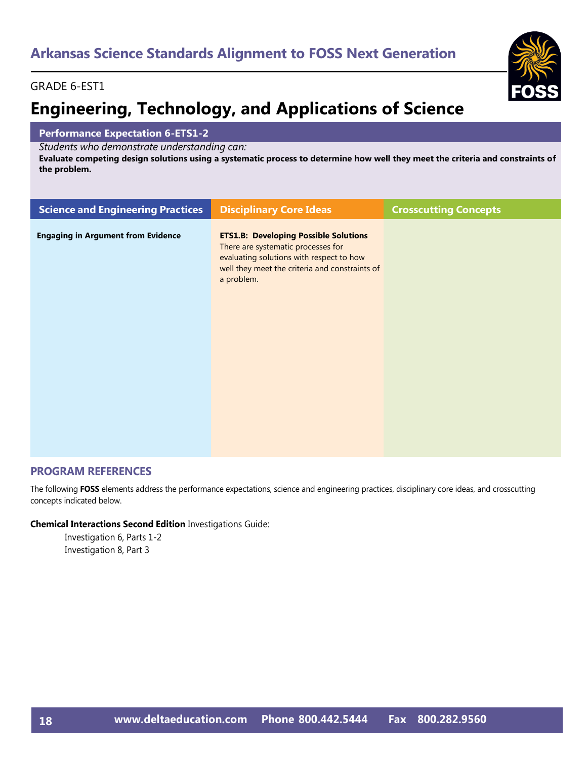#### GRADE 6-EST1

# **Engineering, Technology, and Applications of Science**

#### **Performance Expectation 6-ETS1-2**

*Students who demonstrate understanding can:*

**Evaluate competing design solutions using a systematic process to determine how well they meet the criteria and constraints of the problem.** 

| <b>Science and Engineering Practices</b>  | <b>Disciplinary Core Ideas</b>                                                                                                                                                                 | <b>Crosscutting Concepts</b> |
|-------------------------------------------|------------------------------------------------------------------------------------------------------------------------------------------------------------------------------------------------|------------------------------|
| <b>Engaging in Argument from Evidence</b> | <b>ETS1.B: Developing Possible Solutions</b><br>There are systematic processes for<br>evaluating solutions with respect to how<br>well they meet the criteria and constraints of<br>a problem. |                              |

#### **PROGRAM REFERENCES**

The following **FOSS** elements address the performance expectations, science and engineering practices, disciplinary core ideas, and crosscutting concepts indicated below.

#### **Chemical Interactions Second Edition** Investigations Guide: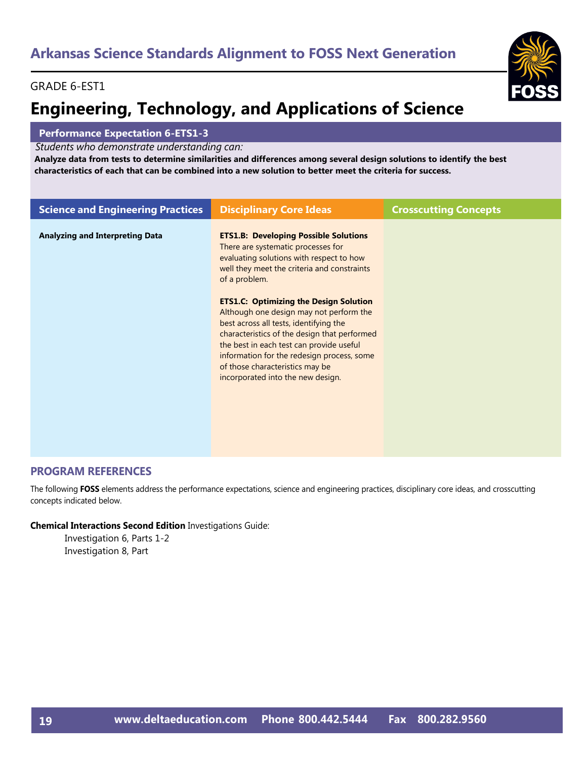#### GRADE 6-EST1

# **Engineering, Technology, and Applications of Science**

#### **Performance Expectation 6-ETS1-3**

*Students who demonstrate understanding can:*

**Analyze data from tests to determine similarities and differences among several design solutions to identify the best characteristics of each that can be combined into a new solution to better meet the criteria for success.** 

| <b>Science and Engineering Practices</b> | <b>Disciplinary Core Ideas</b>                                                                                                                                                                                                                                                                                                                       | <b>Crosscutting Concepts</b> |
|------------------------------------------|------------------------------------------------------------------------------------------------------------------------------------------------------------------------------------------------------------------------------------------------------------------------------------------------------------------------------------------------------|------------------------------|
| <b>Analyzing and Interpreting Data</b>   | <b>ETS1.B: Developing Possible Solutions</b><br>There are systematic processes for<br>evaluating solutions with respect to how<br>well they meet the criteria and constraints<br>of a problem.                                                                                                                                                       |                              |
|                                          | <b>ETS1.C: Optimizing the Design Solution</b><br>Although one design may not perform the<br>best across all tests, identifying the<br>characteristics of the design that performed<br>the best in each test can provide useful<br>information for the redesign process, some<br>of those characteristics may be<br>incorporated into the new design. |                              |

#### **PROGRAM REFERENCES**

The following **FOSS** elements address the performance expectations, science and engineering practices, disciplinary core ideas, and crosscutting concepts indicated below.

#### **Chemical Interactions Second Edition** Investigations Guide: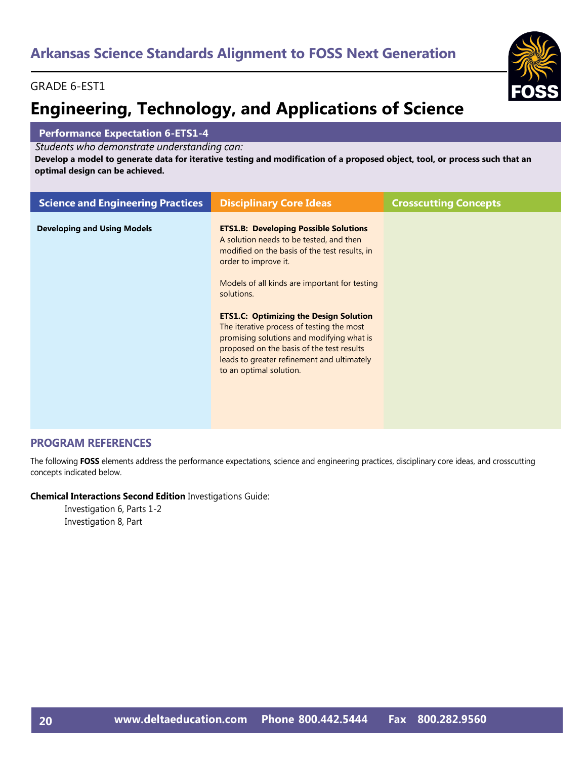### GRADE 6-EST1

# **Engineering, Technology, and Applications of Science**

#### **Performance Expectation 6-ETS1-4**

*Students who demonstrate understanding can:*

**Develop a model to generate data for iterative testing and modification of a proposed object, tool, or process such that an optimal design can be achieved.**

| <b>Science and Engineering Practices</b> | <b>Disciplinary Core Ideas</b>                                                                                                                                                                                                                                              | <b>Crosscutting Concepts</b> |
|------------------------------------------|-----------------------------------------------------------------------------------------------------------------------------------------------------------------------------------------------------------------------------------------------------------------------------|------------------------------|
| <b>Developing and Using Models</b>       | <b>ETS1.B: Developing Possible Solutions</b><br>A solution needs to be tested, and then<br>modified on the basis of the test results, in<br>order to improve it.<br>Models of all kinds are important for testing                                                           |                              |
|                                          | solutions.<br><b>ETS1.C: Optimizing the Design Solution</b><br>The iterative process of testing the most<br>promising solutions and modifying what is<br>proposed on the basis of the test results<br>leads to greater refinement and ultimately<br>to an optimal solution. |                              |

#### **PROGRAM REFERENCES**

The following **FOSS** elements address the performance expectations, science and engineering practices, disciplinary core ideas, and crosscutting concepts indicated below.

**Chemical Interactions Second Edition** Investigations Guide: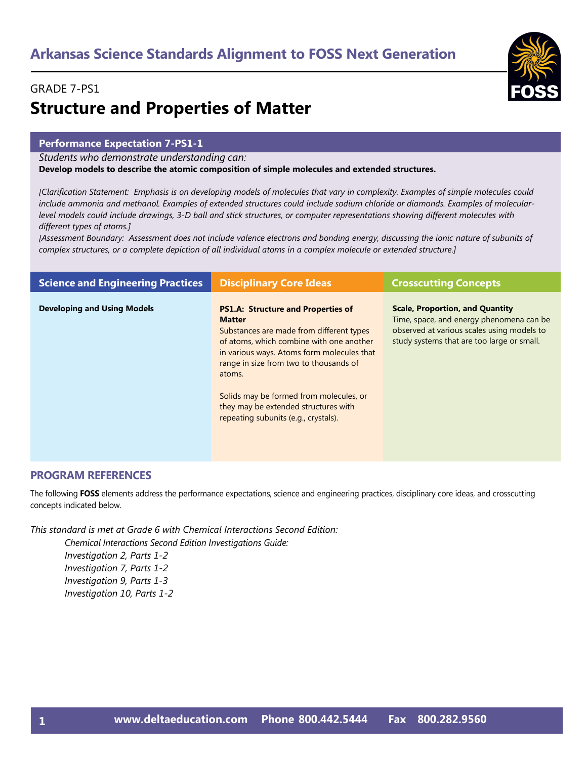### GRADE 7-PS1

# **Structure and Properties of Matter**

#### **Performance Expectation 7-PS1-1**

*Students who demonstrate understanding can:*

**Develop models to describe the atomic composition of simple molecules and extended structures.**

*[Clarification Statement: Emphasis is on developing models of molecules that vary in complexity. Examples of simple molecules could include ammonia and methanol. Examples of extended structures could include sodium chloride or diamonds. Examples of molecularlevel models could include drawings, 3-D ball and stick structures, or computer representations showing different molecules with different types of atoms.]* 

*[Assessment Boundary: Assessment does not include valence electrons and bonding energy, discussing the ionic nature of subunits of complex structures, or a complete depiction of all individual atoms in a complex molecule or extended structure.]*

| <b>Science and Engineering Practices</b> | <b>Disciplinary Core Ideas</b>                                                                                                                                                                                                                                                                                                                                                  | <b>Crosscutting Concepts</b>                                                                                                                                                   |
|------------------------------------------|---------------------------------------------------------------------------------------------------------------------------------------------------------------------------------------------------------------------------------------------------------------------------------------------------------------------------------------------------------------------------------|--------------------------------------------------------------------------------------------------------------------------------------------------------------------------------|
| <b>Developing and Using Models</b>       | <b>PS1.A: Structure and Properties of</b><br><b>Matter</b><br>Substances are made from different types<br>of atoms, which combine with one another<br>in various ways. Atoms form molecules that<br>range in size from two to thousands of<br>atoms.<br>Solids may be formed from molecules, or<br>they may be extended structures with<br>repeating subunits (e.g., crystals). | <b>Scale, Proportion, and Quantity</b><br>Time, space, and energy phenomena can be<br>observed at various scales using models to<br>study systems that are too large or small. |

#### **PROGRAM REFERENCES**

The following **FOSS** elements address the performance expectations, science and engineering practices, disciplinary core ideas, and crosscutting concepts indicated below.

*This standard is met at Grade 6 with Chemical Interactions Second Edition:*

*Chemical Interactions Second Edition Investigations Guide: Investigation 2, Parts 1-2 Investigation 7, Parts 1-2 Investigation 9, Parts 1-3 Investigation 10, Parts 1-2*

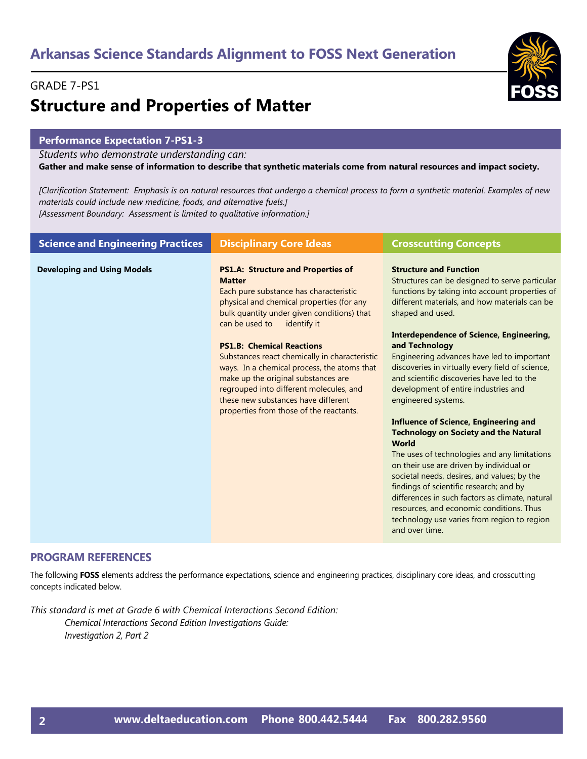#### GRADE 7-PS1

# **Structure and Properties of Matter**

#### **Performance Expectation 7-PS1-3**

*Students who demonstrate understanding can:*

**Gather and make sense of information to describe that synthetic materials come from natural resources and impact society.** 

*[Clarification Statement: Emphasis is on natural resources that undergo a chemical process to form a synthetic material. Examples of new materials could include new medicine, foods, and alternative fuels.] [Assessment Boundary: Assessment is limited to qualitative information.]*

| <b>Science and Engineering Practices</b> | <b>Disciplinary Core Ideas</b>                                                                                                                                                                                                                                                                                                                                                                                                                                                                                                           | <b>Crosscutting Concepts</b>                                                                                                                                                                                                                                                                                                                                                                                                                                                                                                                                                                                                                                                                                                                                                                                                                                                                                                                                     |
|------------------------------------------|------------------------------------------------------------------------------------------------------------------------------------------------------------------------------------------------------------------------------------------------------------------------------------------------------------------------------------------------------------------------------------------------------------------------------------------------------------------------------------------------------------------------------------------|------------------------------------------------------------------------------------------------------------------------------------------------------------------------------------------------------------------------------------------------------------------------------------------------------------------------------------------------------------------------------------------------------------------------------------------------------------------------------------------------------------------------------------------------------------------------------------------------------------------------------------------------------------------------------------------------------------------------------------------------------------------------------------------------------------------------------------------------------------------------------------------------------------------------------------------------------------------|
| <b>Developing and Using Models</b>       | <b>PS1.A: Structure and Properties of</b><br><b>Matter</b><br>Each pure substance has characteristic<br>physical and chemical properties (for any<br>bulk quantity under given conditions) that<br>can be used to<br>identify it<br><b>PS1.B: Chemical Reactions</b><br>Substances react chemically in characteristic<br>ways. In a chemical process, the atoms that<br>make up the original substances are<br>regrouped into different molecules, and<br>these new substances have different<br>properties from those of the reactants. | <b>Structure and Function</b><br>Structures can be designed to serve particular<br>functions by taking into account properties of<br>different materials, and how materials can be<br>shaped and used.<br><b>Interdependence of Science, Engineering,</b><br>and Technology<br>Engineering advances have led to important<br>discoveries in virtually every field of science,<br>and scientific discoveries have led to the<br>development of entire industries and<br>engineered systems.<br><b>Influence of Science, Engineering and</b><br><b>Technology on Society and the Natural</b><br><b>World</b><br>The uses of technologies and any limitations<br>on their use are driven by individual or<br>societal needs, desires, and values; by the<br>findings of scientific research; and by<br>differences in such factors as climate, natural<br>resources, and economic conditions. Thus<br>technology use varies from region to region<br>and over time. |

#### **PROGRAM REFERENCES**

The following **FOSS** elements address the performance expectations, science and engineering practices, disciplinary core ideas, and crosscutting concepts indicated below.

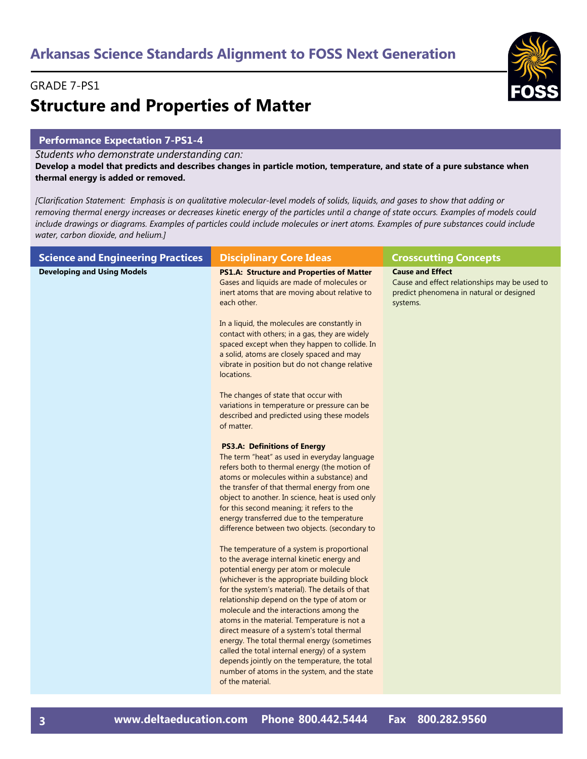#### GRADE 7-PS1

# **Structure and Properties of Matter**

#### **Performance Expectation 7-PS1-4**

*Students who demonstrate understanding can:*

**Develop a model that predicts and describes changes in particle motion, temperature, and state of a pure substance when thermal energy is added or removed.** 

*[Clarification Statement: Emphasis is on qualitative molecular-level models of solids, liquids, and gases to show that adding or removing thermal energy increases or decreases kinetic energy of the particles until a change of state occurs. Examples of models could*  include drawings or diagrams. Examples of particles could include molecules or inert atoms. Examples of pure substances could include *water, carbon dioxide, and helium.]* 

| <b>Science and Engineering Practices</b> | <b>Disciplinary Core Ideas</b>                                                                                                                                                                                                                                                                                                                                                                                                                                                                                                                                                                                               | <b>Crosscutting Concepts</b>                                                                                                     |
|------------------------------------------|------------------------------------------------------------------------------------------------------------------------------------------------------------------------------------------------------------------------------------------------------------------------------------------------------------------------------------------------------------------------------------------------------------------------------------------------------------------------------------------------------------------------------------------------------------------------------------------------------------------------------|----------------------------------------------------------------------------------------------------------------------------------|
| <b>Developing and Using Models</b>       | <b>PS1.A: Structure and Properties of Matter</b><br>Gases and liquids are made of molecules or<br>inert atoms that are moving about relative to<br>each other.                                                                                                                                                                                                                                                                                                                                                                                                                                                               | <b>Cause and Effect</b><br>Cause and effect relationships may be used to<br>predict phenomena in natural or designed<br>systems. |
|                                          | In a liquid, the molecules are constantly in<br>contact with others; in a gas, they are widely<br>spaced except when they happen to collide. In<br>a solid, atoms are closely spaced and may<br>vibrate in position but do not change relative<br>locations.                                                                                                                                                                                                                                                                                                                                                                 |                                                                                                                                  |
|                                          | The changes of state that occur with<br>variations in temperature or pressure can be<br>described and predicted using these models<br>of matter.                                                                                                                                                                                                                                                                                                                                                                                                                                                                             |                                                                                                                                  |
|                                          | <b>PS3.A: Definitions of Energy</b><br>The term "heat" as used in everyday language<br>refers both to thermal energy (the motion of<br>atoms or molecules within a substance) and<br>the transfer of that thermal energy from one<br>object to another. In science, heat is used only<br>for this second meaning; it refers to the<br>energy transferred due to the temperature<br>difference between two objects. (secondary to                                                                                                                                                                                             |                                                                                                                                  |
|                                          | The temperature of a system is proportional<br>to the average internal kinetic energy and<br>potential energy per atom or molecule<br>(whichever is the appropriate building block<br>for the system's material). The details of that<br>relationship depend on the type of atom or<br>molecule and the interactions among the<br>atoms in the material. Temperature is not a<br>direct measure of a system's total thermal<br>energy. The total thermal energy (sometimes<br>called the total internal energy) of a system<br>depends jointly on the temperature, the total<br>number of atoms in the system, and the state |                                                                                                                                  |
|                                          | of the material.                                                                                                                                                                                                                                                                                                                                                                                                                                                                                                                                                                                                             |                                                                                                                                  |

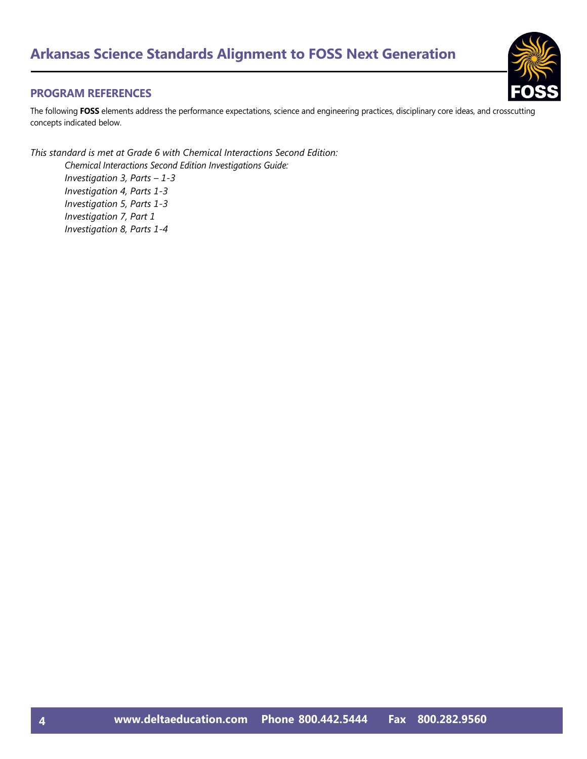#### **PROGRAM REFERENCES**

The following **FOSS** elements address the performance expectations, science and engineering practices, disciplinary core ideas, and crosscutting concepts indicated below.

*This standard is met at Grade 6 with Chemical Interactions Second Edition: Chemical Interactions Second Edition Investigations Guide: Investigation 3, Parts – 1-3 Investigation 4, Parts 1-3 Investigation 5, Parts 1-3 Investigation 7, Part 1 Investigation 8, Parts 1-4*

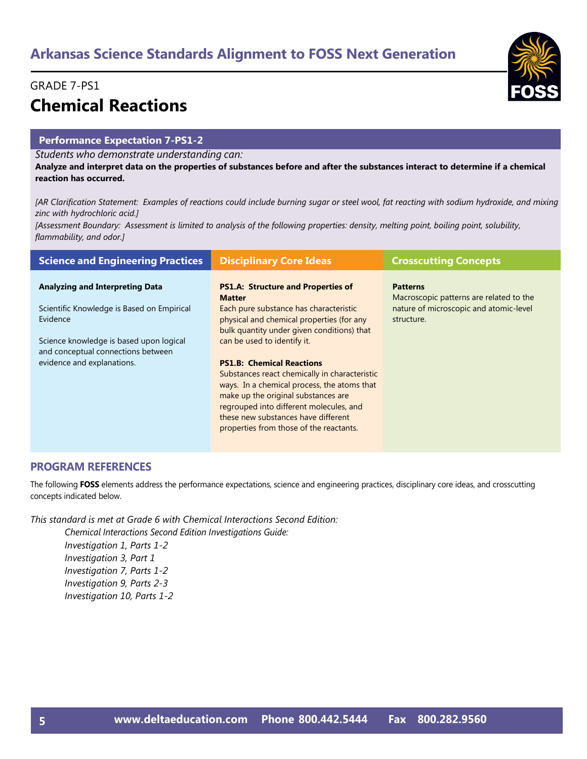### GRADE 7-PS1 **Chemical Reactions**

#### **Performance Expectation 7-PS1-2**

*Students who demonstrate understanding can:*

**Analyze and interpret data on the properties of substances before and after the substances interact to determine if a chemical reaction has occurred.** 

*[AR Clarification Statement: Examples of reactions could include burning sugar or steel wool, fat reacting with sodium hydroxide, and mixing zinc with hydrochloric acid.]* 

*[Assessment Boundary: Assessment is limited to analysis of the following properties: density, melting point, boiling point, solubility, flammability, and odor.]*

| <b>Science and Engineering Practices</b>                                      | <b>Disciplinary Core Ideas</b>                                                                                                    | <b>Crosscutting Concepts</b>                               |
|-------------------------------------------------------------------------------|-----------------------------------------------------------------------------------------------------------------------------------|------------------------------------------------------------|
| <b>Analyzing and Interpreting Data</b>                                        | <b>PS1.A: Structure and Properties of</b><br><b>Matter</b>                                                                        | <b>Patterns</b><br>Macroscopic patterns are related to the |
| Scientific Knowledge is Based on Empirical<br>Evidence                        | Each pure substance has characteristic<br>physical and chemical properties (for any<br>bulk quantity under given conditions) that | nature of microscopic and atomic-level<br>structure.       |
| Science knowledge is based upon logical<br>and conceptual connections between | can be used to identify it.                                                                                                       |                                                            |
| evidence and explanations.                                                    | <b>PS1.B: Chemical Reactions</b><br>Substances react chemically in characteristic                                                 |                                                            |
|                                                                               | ways. In a chemical process, the atoms that                                                                                       |                                                            |
|                                                                               | make up the original substances are<br>regrouped into different molecules, and                                                    |                                                            |
|                                                                               | these new substances have different<br>properties from those of the reactants.                                                    |                                                            |
|                                                                               |                                                                                                                                   |                                                            |

#### **PROGRAM REFERENCES**

The following **FOSS** elements address the performance expectations, science and engineering practices, disciplinary core ideas, and crosscutting concepts indicated below.

*This standard is met at Grade 6 with Chemical Interactions Second Edition:*

*Chemical Interactions Second Edition Investigations Guide: Investigation 1, Parts 1-2 Investigation 3, Part 1 Investigation 7, Parts 1-2 Investigation 9, Parts 2-3 Investigation 10, Parts 1-2*

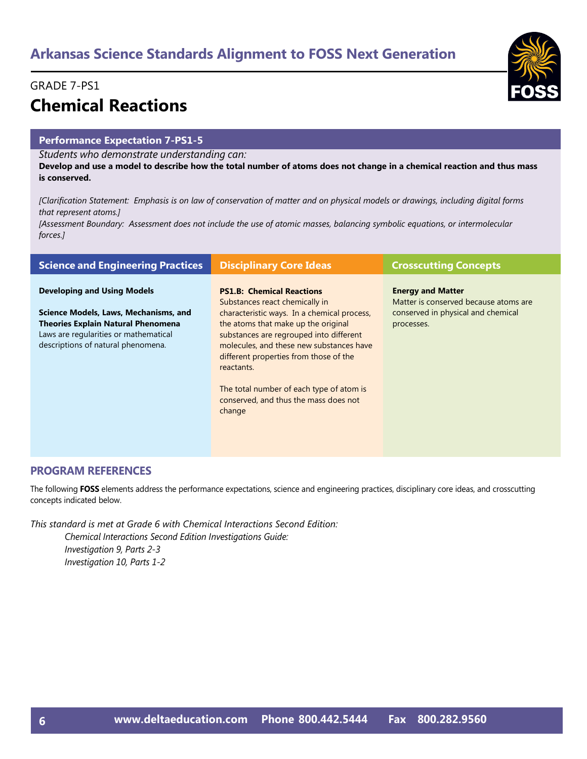### GRADE 7-PS1 **Chemical Reactions**

#### **Performance Expectation 7-PS1-5**

*Students who demonstrate understanding can:*

**Develop and use a model to describe how the total number of atoms does not change in a chemical reaction and thus mass is conserved.** 

*[Clarification Statement: Emphasis is on law of conservation of matter and on physical models or drawings, including digital forms that represent atoms.]* 

*[Assessment Boundary: Assessment does not include the use of atomic masses, balancing symbolic equations, or intermolecular forces.]*

| <b>Science and Engineering Practices</b>                                                                                                                                                                | <b>Disciplinary Core Ideas</b>                                                                                                                                                                                                                                                                                                                                                                         | <b>Crosscutting Concepts</b>                                                                                          |
|---------------------------------------------------------------------------------------------------------------------------------------------------------------------------------------------------------|--------------------------------------------------------------------------------------------------------------------------------------------------------------------------------------------------------------------------------------------------------------------------------------------------------------------------------------------------------------------------------------------------------|-----------------------------------------------------------------------------------------------------------------------|
| <b>Developing and Using Models</b><br>Science Models, Laws, Mechanisms, and<br><b>Theories Explain Natural Phenomena</b><br>Laws are regularities or mathematical<br>descriptions of natural phenomena. | <b>PS1.B: Chemical Reactions</b><br>Substances react chemically in<br>characteristic ways. In a chemical process,<br>the atoms that make up the original<br>substances are regrouped into different<br>molecules, and these new substances have<br>different properties from those of the<br>reactants.<br>The total number of each type of atom is<br>conserved, and thus the mass does not<br>change | <b>Energy and Matter</b><br>Matter is conserved because atoms are<br>conserved in physical and chemical<br>processes. |

#### **PROGRAM REFERENCES**

The following **FOSS** elements address the performance expectations, science and engineering practices, disciplinary core ideas, and crosscutting concepts indicated below.

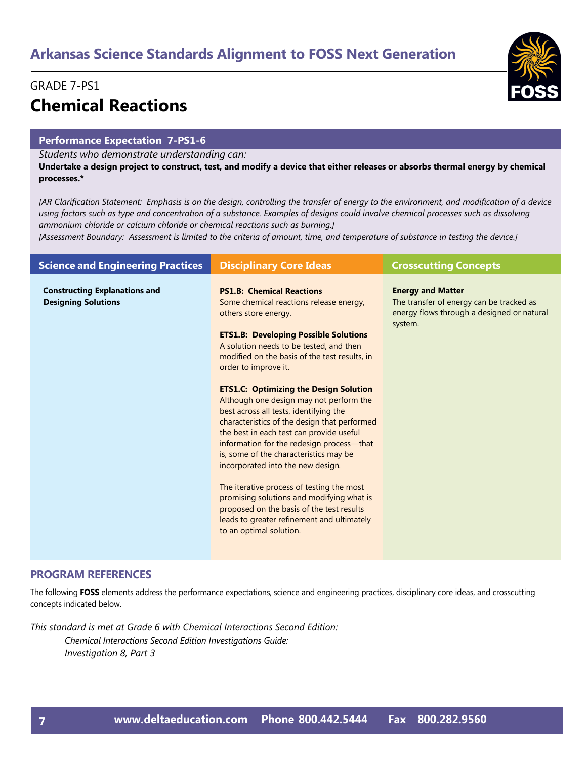### GRADE 7-PS1 **Chemical Reactions**

#### **Performance Expectation 7-PS1-6**

*Students who demonstrate understanding can:*

**Undertake a design project to construct, test, and modify a device that either releases or absorbs thermal energy by chemical processes.\*** 

*[AR Clarification Statement: Emphasis is on the design, controlling the transfer of energy to the environment, and modification of a device using factors such as type and concentration of a substance. Examples of designs could involve chemical processes such as dissolving ammonium chloride or calcium chloride or chemical reactions such as burning.]* 

*[Assessment Boundary: Assessment is limited to the criteria of amount, time, and temperature of substance in testing the device.]*

| <b>Science and Engineering Practices</b>                           | <b>Disciplinary Core Ideas</b>                                                                                                                                                                                                                                                                                                                                                                                                                                                                                                                                                                                                                                                                                                                                                                                                                        | <b>Crosscutting Concepts</b>                                                                                                  |
|--------------------------------------------------------------------|-------------------------------------------------------------------------------------------------------------------------------------------------------------------------------------------------------------------------------------------------------------------------------------------------------------------------------------------------------------------------------------------------------------------------------------------------------------------------------------------------------------------------------------------------------------------------------------------------------------------------------------------------------------------------------------------------------------------------------------------------------------------------------------------------------------------------------------------------------|-------------------------------------------------------------------------------------------------------------------------------|
| <b>Constructing Explanations and</b><br><b>Designing Solutions</b> | <b>PS1.B: Chemical Reactions</b><br>Some chemical reactions release energy,<br>others store energy.<br><b>ETS1.B: Developing Possible Solutions</b><br>A solution needs to be tested, and then<br>modified on the basis of the test results, in<br>order to improve it.<br><b>ETS1.C: Optimizing the Design Solution</b><br>Although one design may not perform the<br>best across all tests, identifying the<br>characteristics of the design that performed<br>the best in each test can provide useful<br>information for the redesign process—that<br>is, some of the characteristics may be<br>incorporated into the new design.<br>The iterative process of testing the most<br>promising solutions and modifying what is<br>proposed on the basis of the test results<br>leads to greater refinement and ultimately<br>to an optimal solution. | <b>Energy and Matter</b><br>The transfer of energy can be tracked as<br>energy flows through a designed or natural<br>system. |

#### **PROGRAM REFERENCES**

The following **FOSS** elements address the performance expectations, science and engineering practices, disciplinary core ideas, and crosscutting concepts indicated below.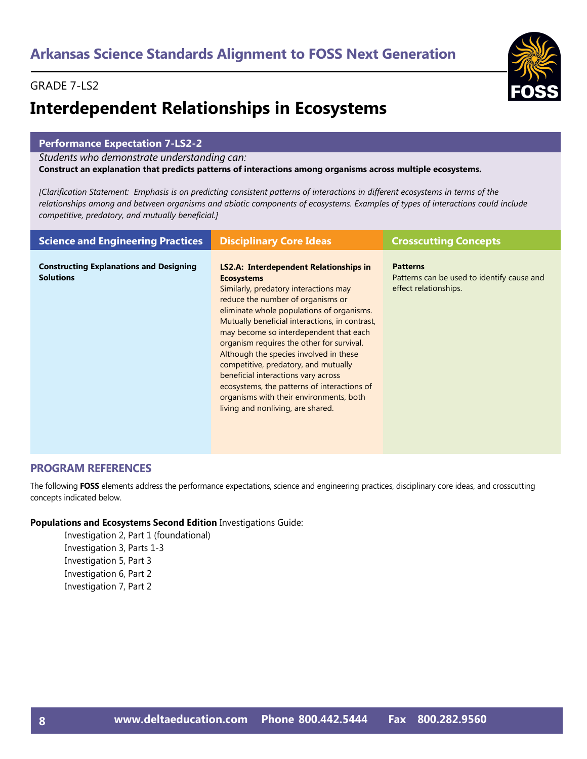# **Interdependent Relationships in Ecosystems**

#### **Performance Expectation 7-LS2-2**

*Students who demonstrate understanding can:*

**Construct an explanation that predicts patterns of interactions among organisms across multiple ecosystems.** 

*[Clarification Statement: Emphasis is on predicting consistent patterns of interactions in different ecosystems in terms of the relationships among and between organisms and abiotic components of ecosystems. Examples of types of interactions could include competitive, predatory, and mutually beneficial.]*

| <b>Science and Engineering Practices</b>                           | <b>Disciplinary Core Ideas</b>                                                                                                                                                                                                                                                                                                                                                                                                                                                                                                                                                          | <b>Crosscutting Concepts</b>                                                           |
|--------------------------------------------------------------------|-----------------------------------------------------------------------------------------------------------------------------------------------------------------------------------------------------------------------------------------------------------------------------------------------------------------------------------------------------------------------------------------------------------------------------------------------------------------------------------------------------------------------------------------------------------------------------------------|----------------------------------------------------------------------------------------|
| <b>Constructing Explanations and Designing</b><br><b>Solutions</b> | LS2.A: Interdependent Relationships in<br><b>Ecosystems</b><br>Similarly, predatory interactions may<br>reduce the number of organisms or<br>eliminate whole populations of organisms.<br>Mutually beneficial interactions, in contrast,<br>may become so interdependent that each<br>organism requires the other for survival.<br>Although the species involved in these<br>competitive, predatory, and mutually<br>beneficial interactions vary across<br>ecosystems, the patterns of interactions of<br>organisms with their environments, both<br>living and nonliving, are shared. | <b>Patterns</b><br>Patterns can be used to identify cause and<br>effect relationships. |

#### **PROGRAM REFERENCES**

The following **FOSS** elements address the performance expectations, science and engineering practices, disciplinary core ideas, and crosscutting concepts indicated below.

#### **Populations and Ecosystems Second Edition** Investigations Guide:

Investigation 2, Part 1 (foundational) Investigation 3, Parts 1-3 Investigation 5, Part 3 Investigation 6, Part 2 Investigation 7, Part 2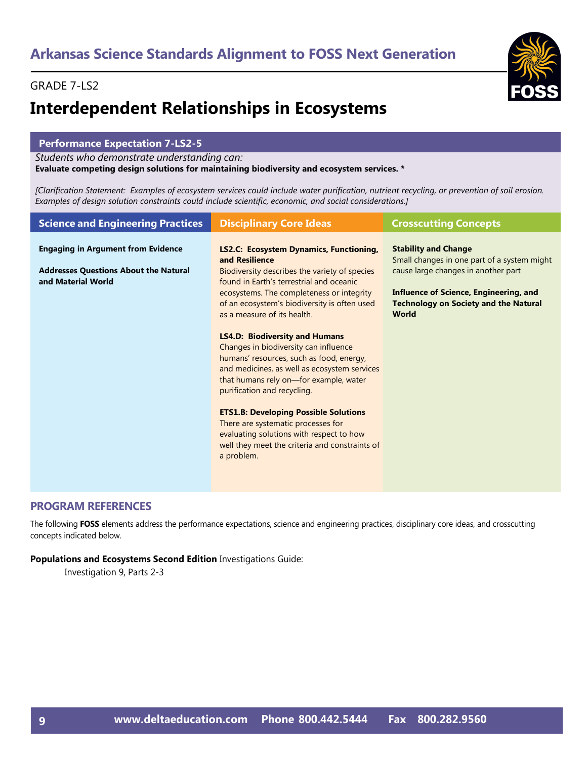# **Interdependent Relationships in Ecosystems**

#### **Performance Expectation 7-LS2-5**

*Students who demonstrate understanding can:*

#### **Evaluate competing design solutions for maintaining biodiversity and ecosystem services. \***

*[Clarification Statement: Examples of ecosystem services could include water purification, nutrient recycling, or prevention of soil erosion. Examples of design solution constraints could include scientific, economic, and social considerations.]*

| <b>Science and Engineering Practices</b>                           | <b>Disciplinary Core Ideas</b>                                                                                                                                                                                                                      | <b>Crosscutting Concepts</b>                                                                           |
|--------------------------------------------------------------------|-----------------------------------------------------------------------------------------------------------------------------------------------------------------------------------------------------------------------------------------------------|--------------------------------------------------------------------------------------------------------|
| <b>Engaging in Argument from Evidence</b>                          | LS2.C: Ecosystem Dynamics, Functioning,<br>and Resilience                                                                                                                                                                                           | <b>Stability and Change</b><br>Small changes in one part of a system might                             |
| <b>Addresses Questions About the Natural</b><br>and Material World | Biodiversity describes the variety of species<br>found in Earth's terrestrial and oceanic                                                                                                                                                           | cause large changes in another part                                                                    |
|                                                                    | ecosystems. The completeness or integrity<br>of an ecosystem's biodiversity is often used<br>as a measure of its health.                                                                                                                            | Influence of Science, Engineering, and<br><b>Technology on Society and the Natural</b><br><b>World</b> |
|                                                                    | <b>LS4.D: Biodiversity and Humans</b><br>Changes in biodiversity can influence<br>humans' resources, such as food, energy,<br>and medicines, as well as ecosystem services<br>that humans rely on-for example, water<br>purification and recycling. |                                                                                                        |
|                                                                    | <b>ETS1.B: Developing Possible Solutions</b><br>There are systematic processes for<br>evaluating solutions with respect to how<br>well they meet the criteria and constraints of<br>a problem.                                                      |                                                                                                        |

#### **PROGRAM REFERENCES**

The following **FOSS** elements address the performance expectations, science and engineering practices, disciplinary core ideas, and crosscutting concepts indicated below.

**Populations and Ecosystems Second Edition** Investigations Guide:

Investigation 9, Parts 2-3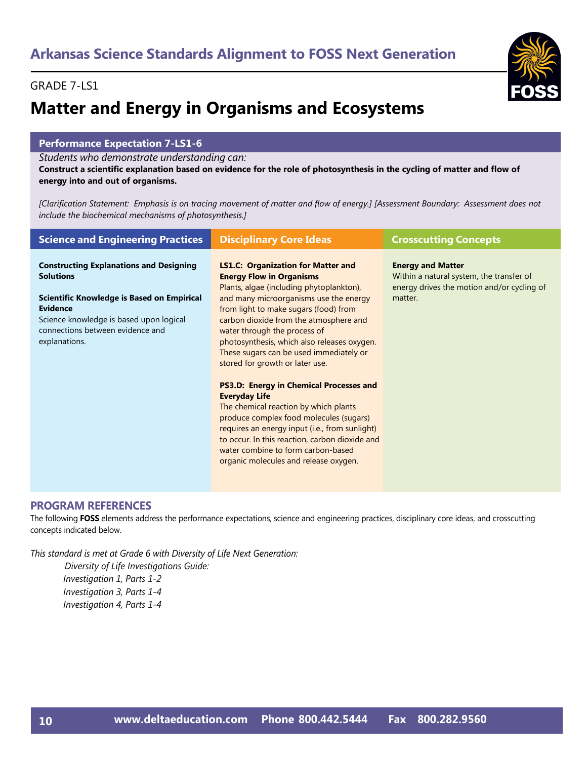# **Matter and Energy in Organisms and Ecosystems**

#### **Performance Expectation 7-LS1-6**

*Students who demonstrate understanding can:*

**Construct a scientific explanation based on evidence for the role of photosynthesis in the cycling of matter and flow of energy into and out of organisms.** 

*[Clarification Statement: Emphasis is on tracing movement of matter and flow of energy.] [Assessment Boundary: Assessment does not include the biochemical mechanisms of photosynthesis.]*

| <b>Science and Engineering Practices</b>                                                                                                                                                                                            | <b>Disciplinary Core Ideas</b>                                                                                                                                                                                                                                                                                                                                                                                                                                                                                                                                                                                                                                                                                                                                      | <b>Crosscutting Concepts</b>                                                                                                  |
|-------------------------------------------------------------------------------------------------------------------------------------------------------------------------------------------------------------------------------------|---------------------------------------------------------------------------------------------------------------------------------------------------------------------------------------------------------------------------------------------------------------------------------------------------------------------------------------------------------------------------------------------------------------------------------------------------------------------------------------------------------------------------------------------------------------------------------------------------------------------------------------------------------------------------------------------------------------------------------------------------------------------|-------------------------------------------------------------------------------------------------------------------------------|
| <b>Constructing Explanations and Designing</b><br><b>Solutions</b><br>Scientific Knowledge is Based on Empirical<br><b>Evidence</b><br>Science knowledge is based upon logical<br>connections between evidence and<br>explanations. | <b>LS1.C: Organization for Matter and</b><br><b>Energy Flow in Organisms</b><br>Plants, algae (including phytoplankton),<br>and many microorganisms use the energy<br>from light to make sugars (food) from<br>carbon dioxide from the atmosphere and<br>water through the process of<br>photosynthesis, which also releases oxygen.<br>These sugars can be used immediately or<br>stored for growth or later use.<br><b>PS3.D: Energy in Chemical Processes and</b><br><b>Everyday Life</b><br>The chemical reaction by which plants<br>produce complex food molecules (sugars)<br>requires an energy input (i.e., from sunlight)<br>to occur. In this reaction, carbon dioxide and<br>water combine to form carbon-based<br>organic molecules and release oxygen. | <b>Energy and Matter</b><br>Within a natural system, the transfer of<br>energy drives the motion and/or cycling of<br>matter. |

#### **PROGRAM REFERENCES**

The following **FOSS** elements address the performance expectations, science and engineering practices, disciplinary core ideas, and crosscutting concepts indicated below.

*This standard is met at Grade 6 with Diversity of Life Next Generation: Diversity of Life Investigations Guide: Investigation 1, Parts 1-2 Investigation 3, Parts 1-4 Investigation 4, Parts 1-4*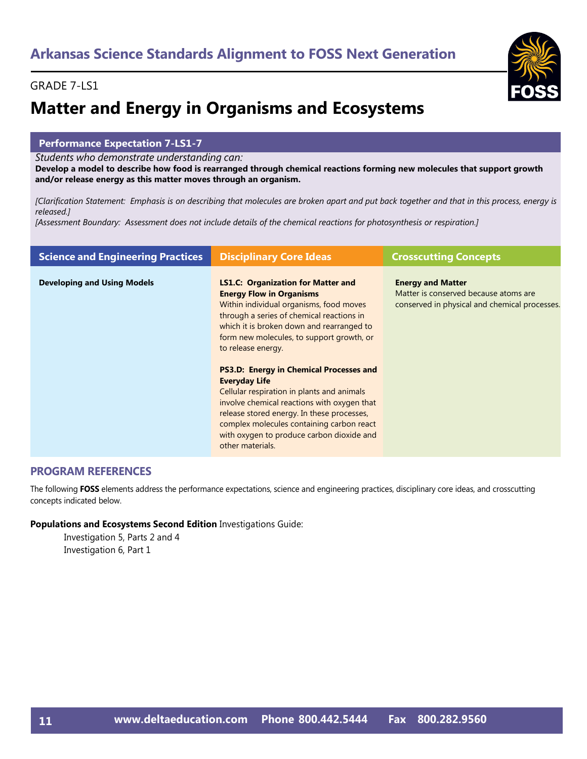# **Matter and Energy in Organisms and Ecosystems**

#### **Performance Expectation 7-LS1-7**

*Students who demonstrate understanding can:*

**Develop a model to describe how food is rearranged through chemical reactions forming new molecules that support growth and/or release energy as this matter moves through an organism.** 

*[Clarification Statement: Emphasis is on describing that molecules are broken apart and put back together and that in this process, energy is released.]* 

*[Assessment Boundary: Assessment does not include details of the chemical reactions for photosynthesis or respiration.]*

| <b>Science and Engineering Practices</b> | <b>Disciplinary Core Ideas</b>                                                                                                                                                                                                                                                                                                  | <b>Crosscutting Concepts</b>                                                                                       |
|------------------------------------------|---------------------------------------------------------------------------------------------------------------------------------------------------------------------------------------------------------------------------------------------------------------------------------------------------------------------------------|--------------------------------------------------------------------------------------------------------------------|
| <b>Developing and Using Models</b>       | <b>LS1.C: Organization for Matter and</b><br><b>Energy Flow in Organisms</b><br>Within individual organisms, food moves<br>through a series of chemical reactions in<br>which it is broken down and rearranged to<br>form new molecules, to support growth, or<br>to release energy.                                            | <b>Energy and Matter</b><br>Matter is conserved because atoms are<br>conserved in physical and chemical processes. |
|                                          | <b>PS3.D: Energy in Chemical Processes and</b><br><b>Everyday Life</b><br>Cellular respiration in plants and animals<br>involve chemical reactions with oxygen that<br>release stored energy. In these processes,<br>complex molecules containing carbon react<br>with oxygen to produce carbon dioxide and<br>other materials. |                                                                                                                    |

#### **PROGRAM REFERENCES**

The following **FOSS** elements address the performance expectations, science and engineering practices, disciplinary core ideas, and crosscutting concepts indicated below.

**Populations and Ecosystems Second Edition** Investigations Guide:

Investigation 5, Parts 2 and 4 Investigation 6, Part 1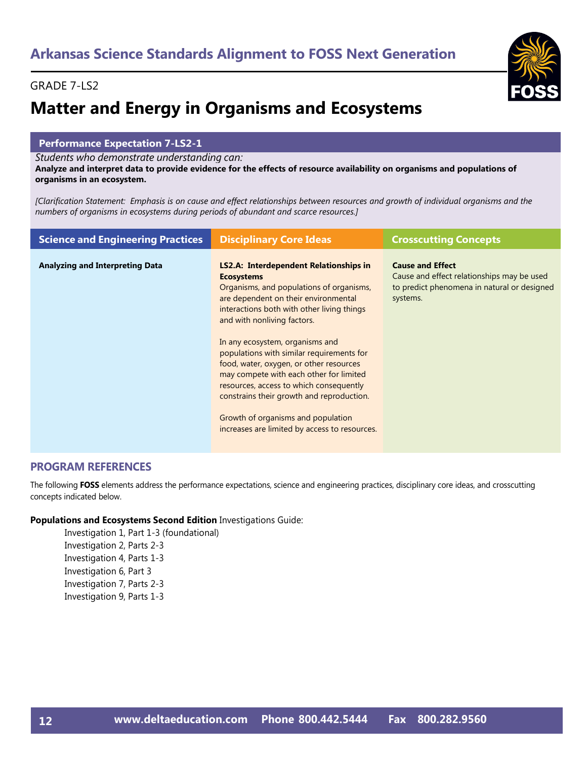# **Matter and Energy in Organisms and Ecosystems**

#### **Performance Expectation 7-LS2-1**

*Students who demonstrate understanding can:*

**Analyze and interpret data to provide evidence for the effects of resource availability on organisms and populations of organisms in an ecosystem.** 

*[Clarification Statement: Emphasis is on cause and effect relationships between resources and growth of individual organisms and the numbers of organisms in ecosystems during periods of abundant and scarce resources.]*

| <b>Science and Engineering Practices</b> | <b>Disciplinary Core Ideas</b>                                                                                                                                                                                                                                                                                                                    | <b>Crosscutting Concepts</b>                                                                                                     |
|------------------------------------------|---------------------------------------------------------------------------------------------------------------------------------------------------------------------------------------------------------------------------------------------------------------------------------------------------------------------------------------------------|----------------------------------------------------------------------------------------------------------------------------------|
| <b>Analyzing and Interpreting Data</b>   | <b>LS2.A: Interdependent Relationships in</b><br><b>Ecosystems</b><br>Organisms, and populations of organisms,<br>are dependent on their environmental<br>interactions both with other living things<br>and with nonliving factors.                                                                                                               | <b>Cause and Effect</b><br>Cause and effect relationships may be used<br>to predict phenomena in natural or designed<br>systems. |
|                                          | In any ecosystem, organisms and<br>populations with similar requirements for<br>food, water, oxygen, or other resources<br>may compete with each other for limited<br>resources, access to which consequently<br>constrains their growth and reproduction.<br>Growth of organisms and population<br>increases are limited by access to resources. |                                                                                                                                  |

#### **PROGRAM REFERENCES**

The following **FOSS** elements address the performance expectations, science and engineering practices, disciplinary core ideas, and crosscutting concepts indicated below.

#### **Populations and Ecosystems Second Edition** Investigations Guide:

Investigation 1, Part 1-3 (foundational) Investigation 2, Parts 2-3 Investigation 4, Parts 1-3 Investigation 6, Part 3 Investigation 7, Parts 2-3 Investigation 9, Parts 1-3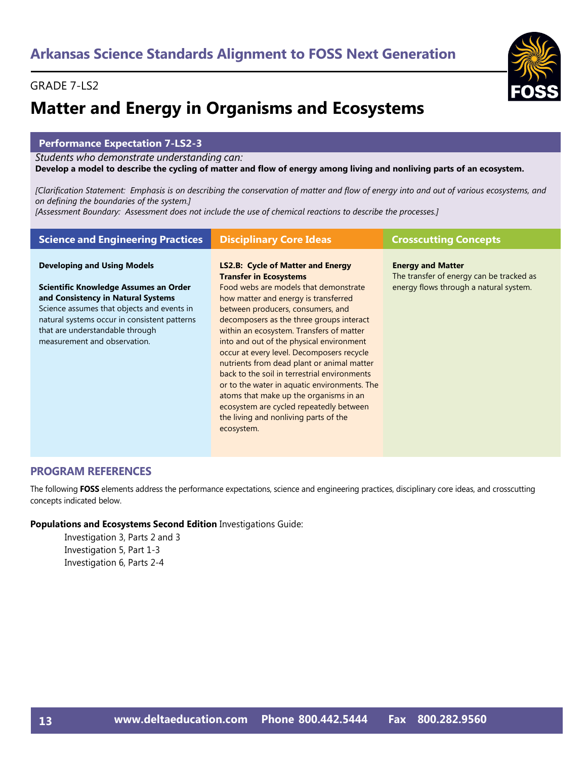# **Matter and Energy in Organisms and Ecosystems**

#### **Performance Expectation 7-LS2-3**

*Students who demonstrate understanding can:*

#### **Develop a model to describe the cycling of matter and flow of energy among living and nonliving parts of an ecosystem.**

*[Clarification Statement: Emphasis is on describing the conservation of matter and flow of energy into and out of various ecosystems, and on defining the boundaries of the system.]* 

*[Assessment Boundary: Assessment does not include the use of chemical reactions to describe the processes.]*

| <b>Developing and Using Models</b><br><b>LS2.B: Cycle of Matter and Energy</b><br><b>Energy and Matter</b><br><b>Transfer in Ecosystems</b><br>The transfer of energy can be tracked as<br>energy flows through a natural system.<br>Scientific Knowledge Assumes an Order<br>Food webs are models that demonstrate<br>and Consistency in Natural Systems<br>how matter and energy is transferred<br>Science assumes that objects and events in<br>between producers, consumers, and<br>natural systems occur in consistent patterns<br>decomposers as the three groups interact<br>that are understandable through<br>within an ecosystem. Transfers of matter<br>measurement and observation.<br>into and out of the physical environment<br>occur at every level. Decomposers recycle<br>nutrients from dead plant or animal matter<br>back to the soil in terrestrial environments<br>or to the water in aquatic environments. The | <b>Science and Engineering Practices</b> | <b>Disciplinary Core Ideas</b>         | <b>Crosscutting Concepts</b> |
|----------------------------------------------------------------------------------------------------------------------------------------------------------------------------------------------------------------------------------------------------------------------------------------------------------------------------------------------------------------------------------------------------------------------------------------------------------------------------------------------------------------------------------------------------------------------------------------------------------------------------------------------------------------------------------------------------------------------------------------------------------------------------------------------------------------------------------------------------------------------------------------------------------------------------------------|------------------------------------------|----------------------------------------|------------------------------|
| ecosystem are cycled repeatedly between<br>the living and nonliving parts of the                                                                                                                                                                                                                                                                                                                                                                                                                                                                                                                                                                                                                                                                                                                                                                                                                                                       |                                          | atoms that make up the organisms in an |                              |

#### **PROGRAM REFERENCES**

The following **FOSS** elements address the performance expectations, science and engineering practices, disciplinary core ideas, and crosscutting concepts indicated below.

#### **Populations and Ecosystems Second Edition** Investigations Guide:

Investigation 3, Parts 2 and 3 Investigation 5, Part 1-3 Investigation 6, Parts 2-4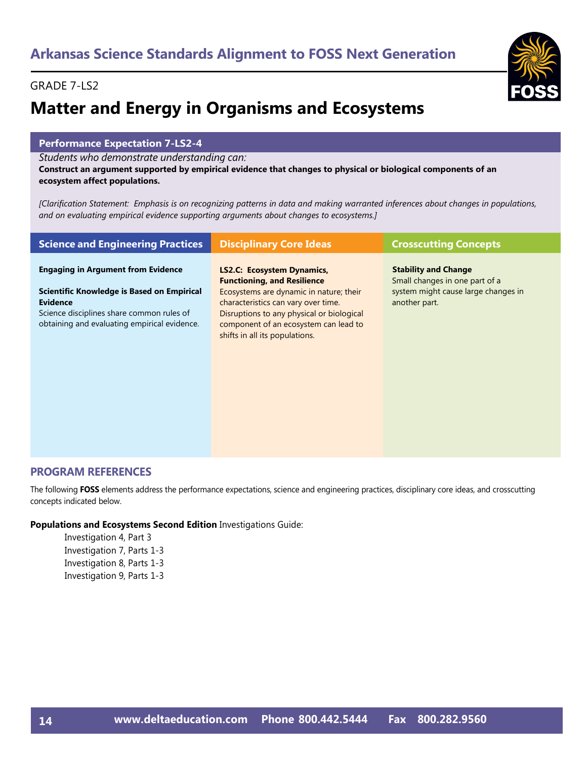# **Matter and Energy in Organisms and Ecosystems**

#### **Performance Expectation 7-LS2-4**

*Students who demonstrate understanding can:*

**Construct an argument supported by empirical evidence that changes to physical or biological components of an ecosystem affect populations.** 

*[Clarification Statement: Emphasis is on recognizing patterns in data and making warranted inferences about changes in populations, and on evaluating empirical evidence supporting arguments about changes to ecosystems.]*

| <b>Science and Engineering Practices</b>                                                                                                                                                                | <b>Disciplinary Core Ideas</b>                                                                                                                                                                                                                                             | <b>Crosscutting Concepts</b>                                                                                          |
|---------------------------------------------------------------------------------------------------------------------------------------------------------------------------------------------------------|----------------------------------------------------------------------------------------------------------------------------------------------------------------------------------------------------------------------------------------------------------------------------|-----------------------------------------------------------------------------------------------------------------------|
| <b>Engaging in Argument from Evidence</b><br>Scientific Knowledge is Based on Empirical<br><b>Evidence</b><br>Science disciplines share common rules of<br>obtaining and evaluating empirical evidence. | LS2.C: Ecosystem Dynamics,<br><b>Functioning, and Resilience</b><br>Ecosystems are dynamic in nature; their<br>characteristics can vary over time.<br>Disruptions to any physical or biological<br>component of an ecosystem can lead to<br>shifts in all its populations. | <b>Stability and Change</b><br>Small changes in one part of a<br>system might cause large changes in<br>another part. |

#### **PROGRAM REFERENCES**

The following **FOSS** elements address the performance expectations, science and engineering practices, disciplinary core ideas, and crosscutting concepts indicated below.

#### **Populations and Ecosystems Second Edition** Investigations Guide:

Investigation 4, Part 3 Investigation 7, Parts 1-3 Investigation 8, Parts 1-3 Investigation 9, Parts 1-3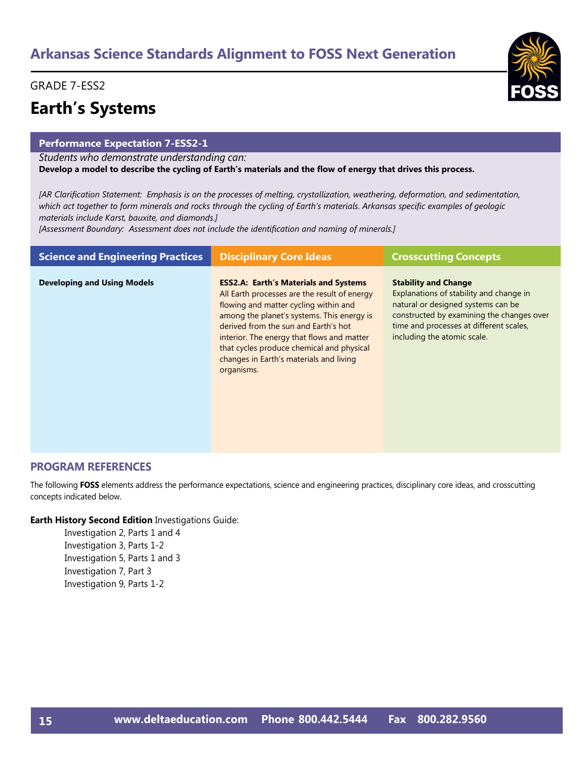#### GRADE 7-ESS2

## **Earth's Systems**

#### **Performance Expectation 7-ESS2-1**

*Students who demonstrate understanding can:*

**Develop a model to describe the cycling of Earth's materials and the flow of energy that drives this process.** 

*[AR Clarification Statement: Emphasis is on the processes of melting, crystallization, weathering, deformation, and sedimentation, which act together to form minerals and rocks through the cycling of Earth's materials. Arkansas specific examples of geologic materials include Karst, bauxite, and diamonds.]*

*[Assessment Boundary: Assessment does not include the identification and naming of minerals.]*

| <b>Science and Engineering Practices</b> | <b>Disciplinary Core Ideas</b>                                                                                                                                                                                                                                                                                                                                                  | <b>Crosscutting Concepts</b>                                                                                                                                                                                                        |
|------------------------------------------|---------------------------------------------------------------------------------------------------------------------------------------------------------------------------------------------------------------------------------------------------------------------------------------------------------------------------------------------------------------------------------|-------------------------------------------------------------------------------------------------------------------------------------------------------------------------------------------------------------------------------------|
| <b>Developing and Using Models</b>       | <b>ESS2.A: Earth's Materials and Systems</b><br>All Earth processes are the result of energy<br>flowing and matter cycling within and<br>among the planet's systems. This energy is<br>derived from the sun and Earth's hot<br>interior. The energy that flows and matter<br>that cycles produce chemical and physical<br>changes in Earth's materials and living<br>organisms. | <b>Stability and Change</b><br>Explanations of stability and change in<br>natural or designed systems can be<br>constructed by examining the changes over<br>time and processes at different scales,<br>including the atomic scale. |

#### **PROGRAM REFERENCES**

The following **FOSS** elements address the performance expectations, science and engineering practices, disciplinary core ideas, and crosscutting concepts indicated below.

#### **Earth History Second Edition** Investigations Guide:

Investigation 2, Parts 1 and 4 Investigation 3, Parts 1-2 Investigation 5, Parts 1 and 3 Investigation 7, Part 3 Investigation 9, Parts 1-2

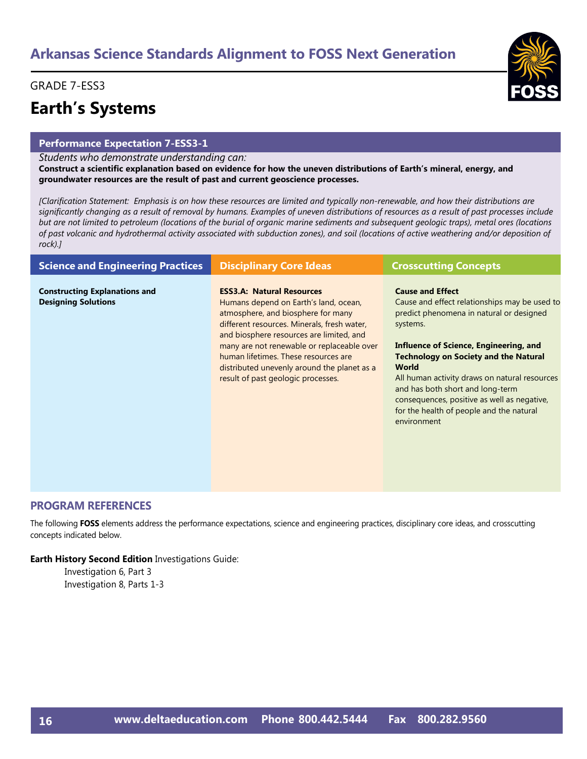#### GRADE 7-ESS3

# **Earth's Systems**

#### **Performance Expectation 7-ESS3-1**

*Students who demonstrate understanding can:*

**Construct a scientific explanation based on evidence for how the uneven distributions of Earth's mineral, energy, and groundwater resources are the result of past and current geoscience processes.** 

*[Clarification Statement: Emphasis is on how these resources are limited and typically non-renewable, and how their distributions are significantly changing as a result of removal by humans. Examples of uneven distributions of resources as a result of past processes include but are not limited to petroleum (locations of the burial of organic marine sediments and subsequent geologic traps), metal ores (locations of past volcanic and hydrothermal activity associated with subduction zones), and soil (locations of active weathering and/or deposition of rock).]*

| <b>Science and Engineering Practices</b>                           | <b>Disciplinary Core Ideas</b>                                                                                                                                                                                                                                                                                                                                                        | <b>Crosscutting Concepts</b>                                                                                                                                                                                                                                                                                                                                                                                                              |
|--------------------------------------------------------------------|---------------------------------------------------------------------------------------------------------------------------------------------------------------------------------------------------------------------------------------------------------------------------------------------------------------------------------------------------------------------------------------|-------------------------------------------------------------------------------------------------------------------------------------------------------------------------------------------------------------------------------------------------------------------------------------------------------------------------------------------------------------------------------------------------------------------------------------------|
| <b>Constructing Explanations and</b><br><b>Designing Solutions</b> | <b>ESS3.A: Natural Resources</b><br>Humans depend on Earth's land, ocean,<br>atmosphere, and biosphere for many<br>different resources. Minerals, fresh water,<br>and biosphere resources are limited, and<br>many are not renewable or replaceable over<br>human lifetimes. These resources are<br>distributed unevenly around the planet as a<br>result of past geologic processes. | <b>Cause and Effect</b><br>Cause and effect relationships may be used to<br>predict phenomena in natural or designed<br>systems.<br>Influence of Science, Engineering, and<br><b>Technology on Society and the Natural</b><br><b>World</b><br>All human activity draws on natural resources<br>and has both short and long-term<br>consequences, positive as well as negative,<br>for the health of people and the natural<br>environment |

#### **PROGRAM REFERENCES**

The following **FOSS** elements address the performance expectations, science and engineering practices, disciplinary core ideas, and crosscutting concepts indicated below.

#### **Earth History Second Edition** Investigations Guide:

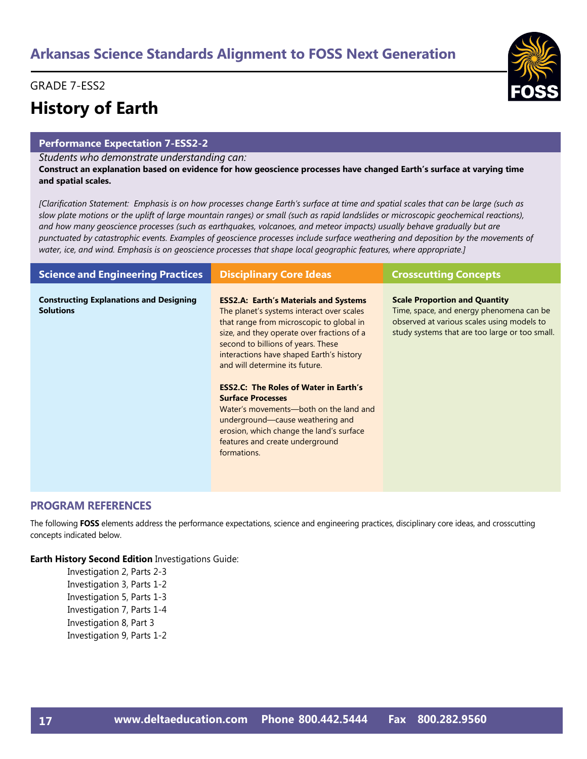#### GRADE 7-ESS2

# **History of Earth**

#### **Performance Expectation 7-ESS2-2**

#### *Students who demonstrate understanding can:*

**Construct an explanation based on evidence for how geoscience processes have changed Earth's surface at varying time and spatial scales.** 

*[Clarification Statement: Emphasis is on how processes change Earth's surface at time and spatial scales that can be large (such as slow plate motions or the uplift of large mountain ranges) or small (such as rapid landslides or microscopic geochemical reactions), and how many geoscience processes (such as earthquakes, volcanoes, and meteor impacts) usually behave gradually but are punctuated by catastrophic events. Examples of geoscience processes include surface weathering and deposition by the movements of water, ice, and wind. Emphasis is on geoscience processes that shape local geographic features, where appropriate.]*

| <b>Science and Engineering Practices</b>                           | <b>Disciplinary Core Ideas</b>                                                                                                                                                                                                                                                                          | <b>Crosscutting Concepts</b>                                                                                                                                                     |
|--------------------------------------------------------------------|---------------------------------------------------------------------------------------------------------------------------------------------------------------------------------------------------------------------------------------------------------------------------------------------------------|----------------------------------------------------------------------------------------------------------------------------------------------------------------------------------|
| <b>Constructing Explanations and Designing</b><br><b>Solutions</b> | <b>ESS2.A: Earth's Materials and Systems</b><br>The planet's systems interact over scales<br>that range from microscopic to global in<br>size, and they operate over fractions of a<br>second to billions of years. These<br>interactions have shaped Earth's history<br>and will determine its future. | <b>Scale Proportion and Quantity</b><br>Time, space, and energy phenomena can be<br>observed at various scales using models to<br>study systems that are too large or too small. |
|                                                                    | <b>ESS2.C: The Roles of Water in Earth's</b><br><b>Surface Processes</b><br>Water's movements—both on the land and<br>underground—cause weathering and<br>erosion, which change the land's surface<br>features and create underground<br>formations.                                                    |                                                                                                                                                                                  |

#### **PROGRAM REFERENCES**

The following **FOSS** elements address the performance expectations, science and engineering practices, disciplinary core ideas, and crosscutting concepts indicated below.

#### **Earth History Second Edition** Investigations Guide:

Investigation 2, Parts 2-3 Investigation 3, Parts 1-2 Investigation 5, Parts 1-3 Investigation 7, Parts 1-4 Investigation 8, Part 3 Investigation 9, Parts 1-2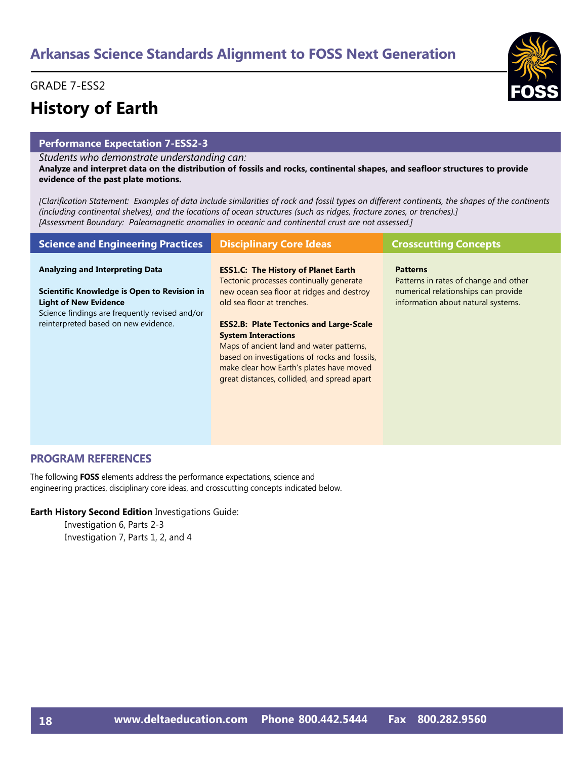#### GRADE 7-ESS2

# **History of Earth**

#### **Performance Expectation 7-ESS2-3**

*Students who demonstrate understanding can:*

**Analyze and interpret data on the distribution of fossils and rocks, continental shapes, and seafloor structures to provide evidence of the past plate motions.** 

*[Clarification Statement: Examples of data include similarities of rock and fossil types on different continents, the shapes of the continents (including continental shelves), and the locations of ocean structures (such as ridges, fracture zones, or trenches).] [Assessment Boundary: Paleomagnetic anomalies in oceanic and continental crust are not assessed.]*

| <b>Science and Engineering Practices</b>                                                                                                                              | <b>Disciplinary Core Ideas</b>                                                                                                                                                                                                                                                                                                                                                             | <b>Crosscutting Concepts</b>                                                                                       |
|-----------------------------------------------------------------------------------------------------------------------------------------------------------------------|--------------------------------------------------------------------------------------------------------------------------------------------------------------------------------------------------------------------------------------------------------------------------------------------------------------------------------------------------------------------------------------------|--------------------------------------------------------------------------------------------------------------------|
| <b>Analyzing and Interpreting Data</b>                                                                                                                                | <b>ESS1.C: The History of Planet Earth</b>                                                                                                                                                                                                                                                                                                                                                 | <b>Patterns</b>                                                                                                    |
| Scientific Knowledge is Open to Revision in<br><b>Light of New Evidence</b><br>Science findings are frequently revised and/or<br>reinterpreted based on new evidence. | Tectonic processes continually generate<br>new ocean sea floor at ridges and destroy<br>old sea floor at trenches.<br><b>ESS2.B: Plate Tectonics and Large-Scale</b><br><b>System Interactions</b><br>Maps of ancient land and water patterns,<br>based on investigations of rocks and fossils,<br>make clear how Earth's plates have moved<br>great distances, collided, and spread apart | Patterns in rates of change and other<br>numerical relationships can provide<br>information about natural systems. |

#### **PROGRAM REFERENCES**

The following **FOSS** elements address the performance expectations, science and engineering practices, disciplinary core ideas, and crosscutting concepts indicated below.

**Earth History Second Edition** Investigations Guide:

Investigation 6, Parts 2-3 Investigation 7, Parts 1, 2, and 4

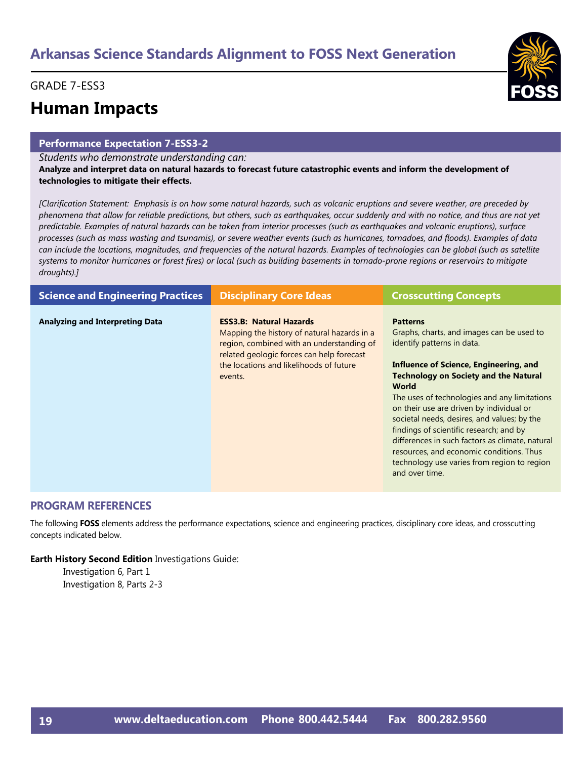#### GRADE 7-ESS3

### **Human Impacts**

#### **Performance Expectation 7-ESS3-2**

*Students who demonstrate understanding can:*

**Analyze and interpret data on natural hazards to forecast future catastrophic events and inform the development of technologies to mitigate their effects.** 

*[Clarification Statement: Emphasis is on how some natural hazards, such as volcanic eruptions and severe weather, are preceded by phenomena that allow for reliable predictions, but others, such as earthquakes, occur suddenly and with no notice, and thus are not yet predictable. Examples of natural hazards can be taken from interior processes (such as earthquakes and volcanic eruptions), surface processes (such as mass wasting and tsunamis), or severe weather events (such as hurricanes, tornadoes, and floods). Examples of data can include the locations, magnitudes, and frequencies of the natural hazards. Examples of technologies can be global (such as satellite systems to monitor hurricanes or forest fires) or local (such as building basements in tornado-prone regions or reservoirs to mitigate droughts).]*

| <b>Science and Engineering Practices</b> | <b>Disciplinary Core Ideas</b>                                                                                                                                                                                                | <b>Crosscutting Concepts</b>                                                                                                                                                                                                                                                                                                                                                                                                                                                                                                                               |
|------------------------------------------|-------------------------------------------------------------------------------------------------------------------------------------------------------------------------------------------------------------------------------|------------------------------------------------------------------------------------------------------------------------------------------------------------------------------------------------------------------------------------------------------------------------------------------------------------------------------------------------------------------------------------------------------------------------------------------------------------------------------------------------------------------------------------------------------------|
| <b>Analyzing and Interpreting Data</b>   | <b>ESS3.B: Natural Hazards</b><br>Mapping the history of natural hazards in a<br>region, combined with an understanding of<br>related geologic forces can help forecast<br>the locations and likelihoods of future<br>events. | <b>Patterns</b><br>Graphs, charts, and images can be used to<br>identify patterns in data.<br>Influence of Science, Engineering, and<br><b>Technology on Society and the Natural</b><br><b>World</b><br>The uses of technologies and any limitations<br>on their use are driven by individual or<br>societal needs, desires, and values; by the<br>findings of scientific research; and by<br>differences in such factors as climate, natural<br>resources, and economic conditions. Thus<br>technology use varies from region to region<br>and over time. |

#### **PROGRAM REFERENCES**

The following **FOSS** elements address the performance expectations, science and engineering practices, disciplinary core ideas, and crosscutting concepts indicated below.

#### **Earth History Second Edition** Investigations Guide:

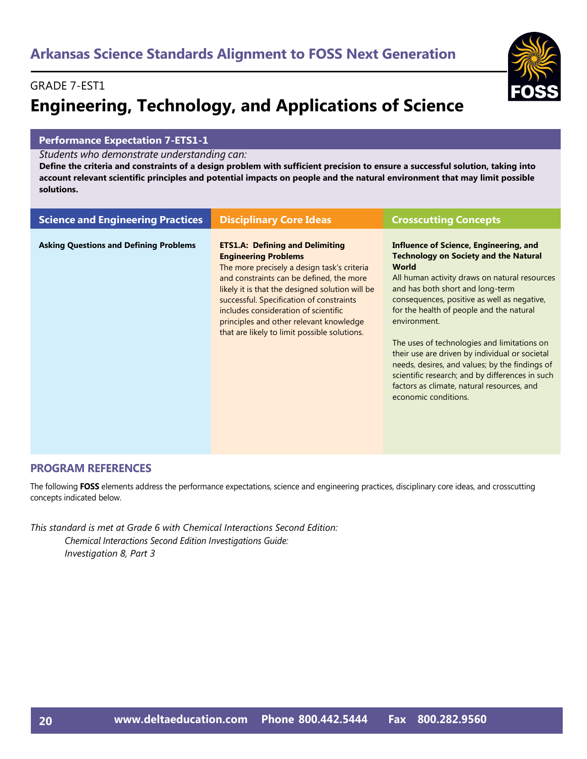### GRADE 7-EST1 **Engineering, Technology, and Applications of Science**

#### **Performance Expectation 7-ETS1-1**

*Students who demonstrate understanding can:*

**Define the criteria and constraints of a design problem with sufficient precision to ensure a successful solution, taking into account relevant scientific principles and potential impacts on people and the natural environment that may limit possible solutions.** 

| <b>Science and Engineering Practices</b>      | <b>Disciplinary Core Ideas</b>                                                                                                                                                                                                                                                                                                                                                                     | <b>Crosscutting Concepts</b>                                                                                                                                                                                                                                                                                                                                                                                                                                                                                                                                                       |
|-----------------------------------------------|----------------------------------------------------------------------------------------------------------------------------------------------------------------------------------------------------------------------------------------------------------------------------------------------------------------------------------------------------------------------------------------------------|------------------------------------------------------------------------------------------------------------------------------------------------------------------------------------------------------------------------------------------------------------------------------------------------------------------------------------------------------------------------------------------------------------------------------------------------------------------------------------------------------------------------------------------------------------------------------------|
| <b>Asking Questions and Defining Problems</b> | <b>ETS1.A: Defining and Delimiting</b><br><b>Engineering Problems</b><br>The more precisely a design task's criteria<br>and constraints can be defined, the more<br>likely it is that the designed solution will be<br>successful. Specification of constraints<br>includes consideration of scientific<br>principles and other relevant knowledge<br>that are likely to limit possible solutions. | Influence of Science, Engineering, and<br><b>Technology on Society and the Natural</b><br><b>World</b><br>All human activity draws on natural resources<br>and has both short and long-term<br>consequences, positive as well as negative,<br>for the health of people and the natural<br>environment.<br>The uses of technologies and limitations on<br>their use are driven by individual or societal<br>needs, desires, and values; by the findings of<br>scientific research; and by differences in such<br>factors as climate, natural resources, and<br>economic conditions. |

#### **PROGRAM REFERENCES**

The following **FOSS** elements address the performance expectations, science and engineering practices, disciplinary core ideas, and crosscutting concepts indicated below.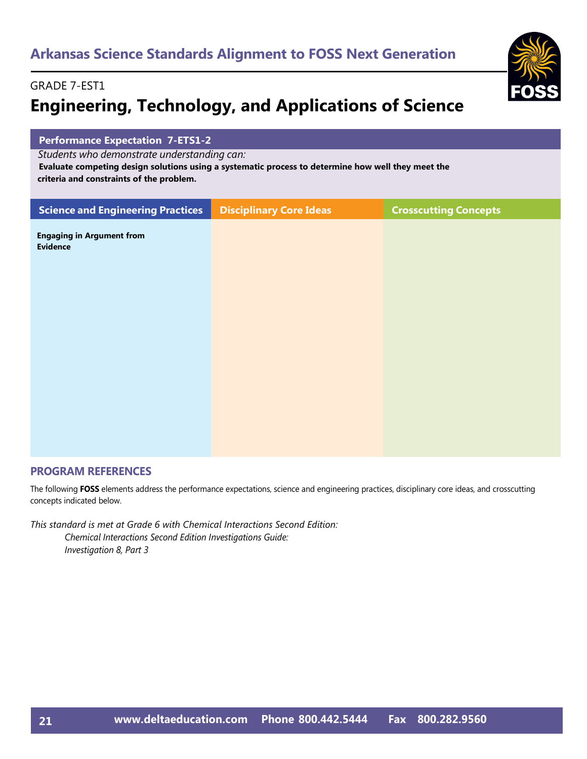

#### GRADE 7-EST1

# **Engineering, Technology, and Applications of Science**

| <b>Performance Expectation 7-ETS1-2</b>                                                                                                                                                       |                                |                              |  |
|-----------------------------------------------------------------------------------------------------------------------------------------------------------------------------------------------|--------------------------------|------------------------------|--|
| Students who demonstrate understanding can:<br>Evaluate competing design solutions using a systematic process to determine how well they meet the<br>criteria and constraints of the problem. |                                |                              |  |
| <b>Science and Engineering Practices</b>                                                                                                                                                      | <b>Disciplinary Core Ideas</b> | <b>Crosscutting Concepts</b> |  |
| <b>Engaging in Argument from</b><br><b>Evidence</b>                                                                                                                                           |                                |                              |  |
|                                                                                                                                                                                               |                                |                              |  |
|                                                                                                                                                                                               |                                |                              |  |
|                                                                                                                                                                                               |                                |                              |  |
|                                                                                                                                                                                               |                                |                              |  |
|                                                                                                                                                                                               |                                |                              |  |
|                                                                                                                                                                                               |                                |                              |  |
|                                                                                                                                                                                               |                                |                              |  |
|                                                                                                                                                                                               |                                |                              |  |

#### **PROGRAM REFERENCES**

The following **FOSS** elements address the performance expectations, science and engineering practices, disciplinary core ideas, and crosscutting concepts indicated below.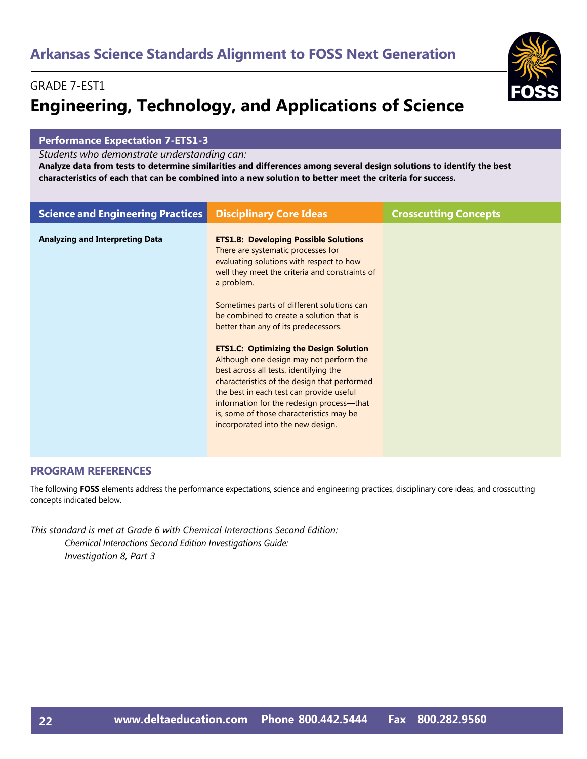#### GRADE 7-EST1

# **Engineering, Technology, and Applications of Science**

#### **Performance Expectation 7-ETS1-3**

*Students who demonstrate understanding can:*

**Analyze data from tests to determine similarities and differences among several design solutions to identify the best characteristics of each that can be combined into a new solution to better meet the criteria for success.** 

| <b>Science and Engineering Practices</b> | <b>Disciplinary Core Ideas</b>                                                                                                                                                                                                                                                                                                                                                                                                                                                                                                                                                                                                                                                                   | <b>Crosscutting Concepts</b> |
|------------------------------------------|--------------------------------------------------------------------------------------------------------------------------------------------------------------------------------------------------------------------------------------------------------------------------------------------------------------------------------------------------------------------------------------------------------------------------------------------------------------------------------------------------------------------------------------------------------------------------------------------------------------------------------------------------------------------------------------------------|------------------------------|
| <b>Analyzing and Interpreting Data</b>   | <b>ETS1.B: Developing Possible Solutions</b><br>There are systematic processes for<br>evaluating solutions with respect to how<br>well they meet the criteria and constraints of<br>a problem.<br>Sometimes parts of different solutions can<br>be combined to create a solution that is<br>better than any of its predecessors.<br><b>ETS1.C: Optimizing the Design Solution</b><br>Although one design may not perform the<br>best across all tests, identifying the<br>characteristics of the design that performed<br>the best in each test can provide useful<br>information for the redesign process-that<br>is, some of those characteristics may be<br>incorporated into the new design. |                              |

#### **PROGRAM REFERENCES**

The following **FOSS** elements address the performance expectations, science and engineering practices, disciplinary core ideas, and crosscutting concepts indicated below.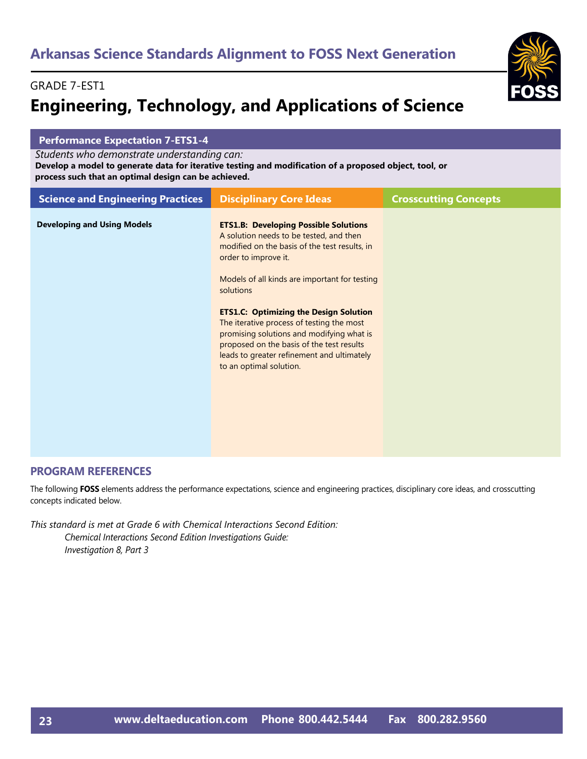#### GRADE 7-EST1

# **Engineering, Technology, and Applications of Science**

| <b>Performance Expectation 7-ETS1-4</b>                                                                                                                                                                       |                                                                                                                                                                                                                                                                                                                                                                                                                                                                                                 |                              |  |
|---------------------------------------------------------------------------------------------------------------------------------------------------------------------------------------------------------------|-------------------------------------------------------------------------------------------------------------------------------------------------------------------------------------------------------------------------------------------------------------------------------------------------------------------------------------------------------------------------------------------------------------------------------------------------------------------------------------------------|------------------------------|--|
| Students who demonstrate understanding can:<br>Develop a model to generate data for iterative testing and modification of a proposed object, tool, or<br>process such that an optimal design can be achieved. |                                                                                                                                                                                                                                                                                                                                                                                                                                                                                                 |                              |  |
| <b>Science and Engineering Practices</b>                                                                                                                                                                      | <b>Disciplinary Core Ideas</b>                                                                                                                                                                                                                                                                                                                                                                                                                                                                  | <b>Crosscutting Concepts</b> |  |
| <b>Developing and Using Models</b>                                                                                                                                                                            | <b>ETS1.B: Developing Possible Solutions</b><br>A solution needs to be tested, and then<br>modified on the basis of the test results, in<br>order to improve it.<br>Models of all kinds are important for testing<br>solutions<br><b>ETS1.C: Optimizing the Design Solution</b><br>The iterative process of testing the most<br>promising solutions and modifying what is<br>proposed on the basis of the test results<br>leads to greater refinement and ultimately<br>to an optimal solution. |                              |  |

#### **PROGRAM REFERENCES**

The following **FOSS** elements address the performance expectations, science and engineering practices, disciplinary core ideas, and crosscutting concepts indicated below.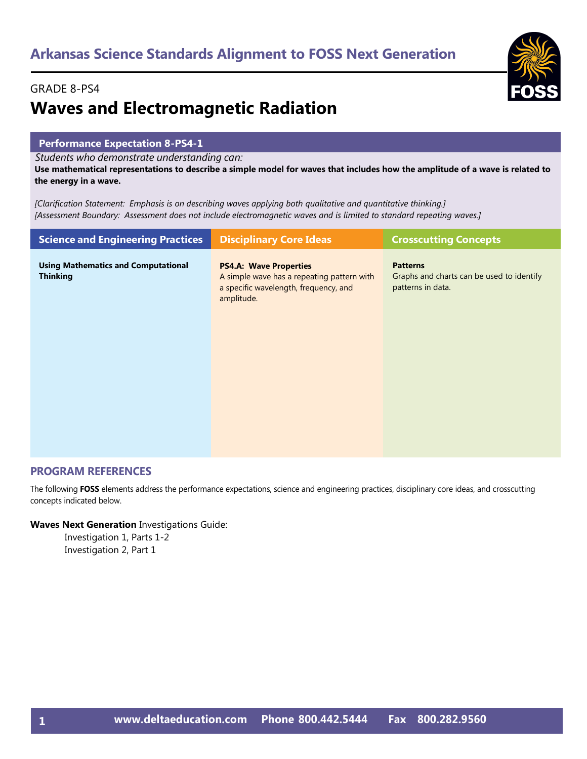#### GRADE 8-PS4

# **Waves and Electromagnetic Radiation**

#### **Performance Expectation 8-PS4-1**

*Students who demonstrate understanding can:*

**Use mathematical representations to describe a simple model for waves that includes how the amplitude of a wave is related to the energy in a wave.** 

*[Clarification Statement: Emphasis is on describing waves applying both qualitative and quantitative thinking.] [Assessment Boundary: Assessment does not include electromagnetic waves and is limited to standard repeating waves.]*

| <b>Science and Engineering Practices</b>                      | <b>Disciplinary Core Ideas</b>                                                                                                     | <b>Crosscutting Concepts</b>                                                      |
|---------------------------------------------------------------|------------------------------------------------------------------------------------------------------------------------------------|-----------------------------------------------------------------------------------|
| <b>Using Mathematics and Computational</b><br><b>Thinking</b> | <b>PS4.A: Wave Properties</b><br>A simple wave has a repeating pattern with<br>a specific wavelength, frequency, and<br>amplitude. | <b>Patterns</b><br>Graphs and charts can be used to identify<br>patterns in data. |
|                                                               |                                                                                                                                    |                                                                                   |

#### **PROGRAM REFERENCES**

The following **FOSS** elements address the performance expectations, science and engineering practices, disciplinary core ideas, and crosscutting concepts indicated below.

#### **Waves Next Generation** Investigations Guide:

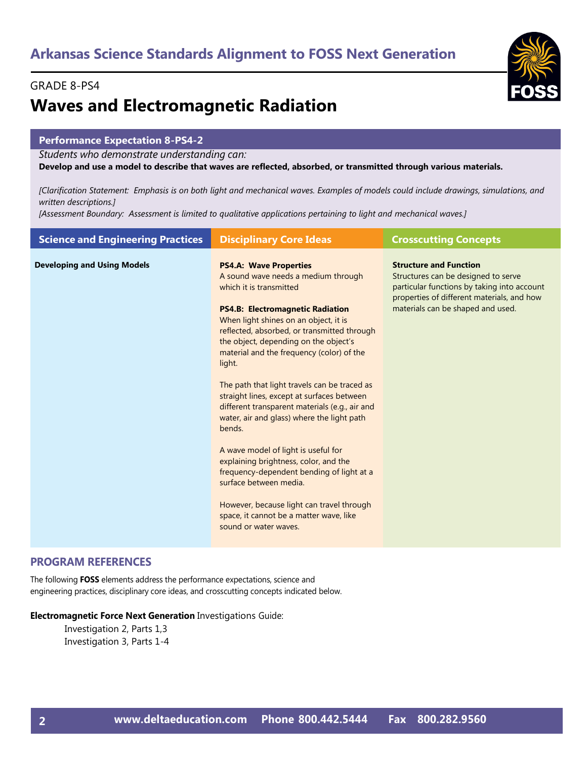#### GRADE 8-PS4

# **Waves and Electromagnetic Radiation**

#### **Performance Expectation 8-PS4-2**

*Students who demonstrate understanding can:*

**Develop and use a model to describe that waves are reflected, absorbed, or transmitted through various materials.** 

*[Clarification Statement: Emphasis is on both light and mechanical waves. Examples of models could include drawings, simulations, and written descriptions.]* 

*[Assessment Boundary: Assessment is limited to qualitative applications pertaining to light and mechanical waves.]*

| <b>Science and Engineering Practices</b> | <b>Disciplinary Core Ideas</b>                                                                                                                                                                                                                                                                                                                                                                                                                                                                                                                                                                                                                                                                                                                                                                                     | <b>Crosscutting Concepts</b>                                                                                                                                                                           |
|------------------------------------------|--------------------------------------------------------------------------------------------------------------------------------------------------------------------------------------------------------------------------------------------------------------------------------------------------------------------------------------------------------------------------------------------------------------------------------------------------------------------------------------------------------------------------------------------------------------------------------------------------------------------------------------------------------------------------------------------------------------------------------------------------------------------------------------------------------------------|--------------------------------------------------------------------------------------------------------------------------------------------------------------------------------------------------------|
| <b>Developing and Using Models</b>       | <b>PS4.A: Wave Properties</b><br>A sound wave needs a medium through<br>which it is transmitted<br><b>PS4.B: Electromagnetic Radiation</b><br>When light shines on an object, it is<br>reflected, absorbed, or transmitted through<br>the object, depending on the object's<br>material and the frequency (color) of the<br>light.<br>The path that light travels can be traced as<br>straight lines, except at surfaces between<br>different transparent materials (e.g., air and<br>water, air and glass) where the light path<br>bends.<br>A wave model of light is useful for<br>explaining brightness, color, and the<br>frequency-dependent bending of light at a<br>surface between media.<br>However, because light can travel through<br>space, it cannot be a matter wave, like<br>sound or water waves. | <b>Structure and Function</b><br>Structures can be designed to serve<br>particular functions by taking into account<br>properties of different materials, and how<br>materials can be shaped and used. |
|                                          |                                                                                                                                                                                                                                                                                                                                                                                                                                                                                                                                                                                                                                                                                                                                                                                                                    |                                                                                                                                                                                                        |

#### **PROGRAM REFERENCES**

The following **FOSS** elements address the performance expectations, science and engineering practices, disciplinary core ideas, and crosscutting concepts indicated below.

#### **Electromagnetic Force Next Generation** Investigations Guide:

Investigation 2, Parts 1,3 Investigation 3, Parts 1-4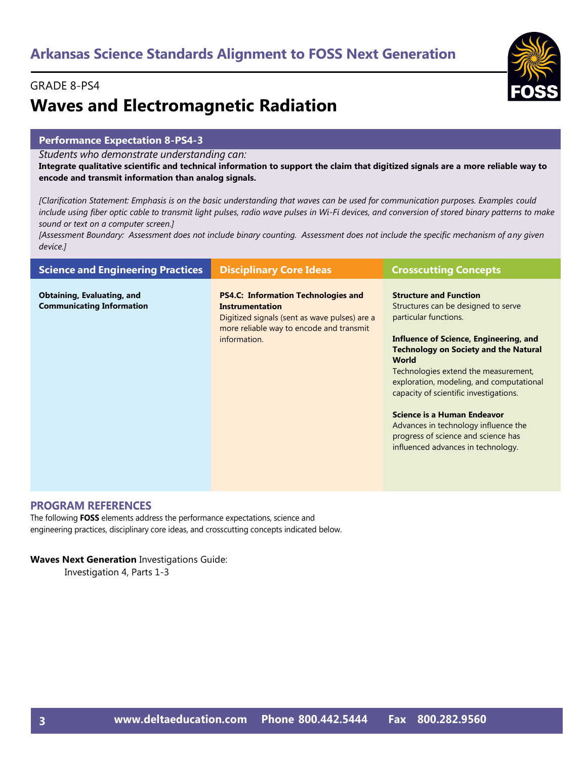#### GRADE 8-PS4

# **Waves and Electromagnetic Radiation**

#### **Performance Expectation 8-PS4-3**

*Students who demonstrate understanding can:*

**Integrate qualitative scientific and technical information to support the claim that digitized signals are a more reliable way to encode and transmit information than analog signals.** 

*[Clarification Statement: Emphasis is on the basic understanding that waves can be used for communication purposes. Examples could include using fiber optic cable to transmit light pulses, radio wave pulses in Wi-Fi devices, and conversion of stored binary patterns to make sound or text on a computer screen.]* 

*[Assessment Boundary: Assessment does not include binary counting. Assessment does not include the specific mechanism of any given device.]*

| <b>Science and Engineering Practices</b>                              | <b>Disciplinary Core Ideas</b>                                                                                                                                                    | <b>Crosscutting Concepts</b>                                                                                                                                                                                                                                                                                                                                                                                                                                                                     |
|-----------------------------------------------------------------------|-----------------------------------------------------------------------------------------------------------------------------------------------------------------------------------|--------------------------------------------------------------------------------------------------------------------------------------------------------------------------------------------------------------------------------------------------------------------------------------------------------------------------------------------------------------------------------------------------------------------------------------------------------------------------------------------------|
| <b>Obtaining, Evaluating, and</b><br><b>Communicating Information</b> | <b>PS4.C: Information Technologies and</b><br><b>Instrumentation</b><br>Digitized signals (sent as wave pulses) are a<br>more reliable way to encode and transmit<br>information. | <b>Structure and Function</b><br>Structures can be designed to serve<br>particular functions.<br>Influence of Science, Engineering, and<br><b>Technology on Society and the Natural</b><br><b>World</b><br>Technologies extend the measurement,<br>exploration, modeling, and computational<br>capacity of scientific investigations.<br><b>Science is a Human Endeavor</b><br>Advances in technology influence the<br>progress of science and science has<br>influenced advances in technology. |

#### **PROGRAM REFERENCES**

The following **FOSS** elements address the performance expectations, science and engineering practices, disciplinary core ideas, and crosscutting concepts indicated below.

#### **Waves Next Generation** Investigations Guide:

Investigation 4, Parts 1-3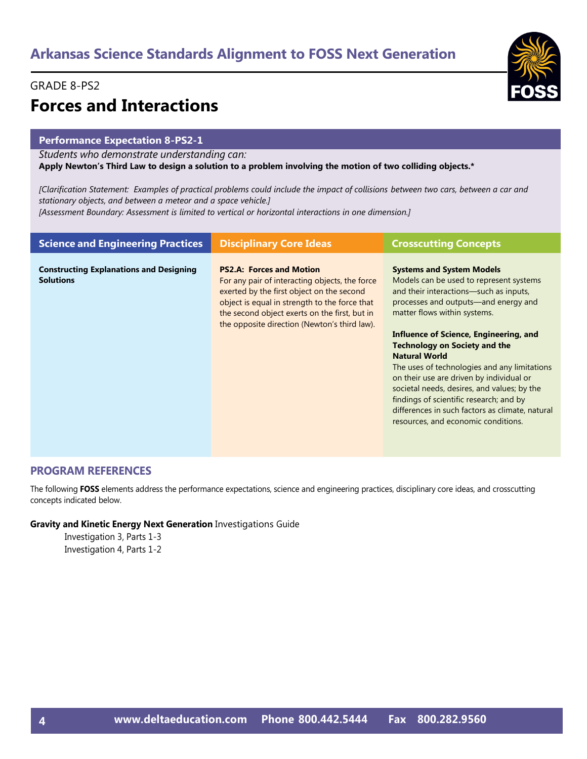#### GRADE 8-PS2

# **Forces and Interactions**

#### **Performance Expectation 8-PS2-1**

*Students who demonstrate understanding can:*

**Apply Newton's Third Law to design a solution to a problem involving the motion of two colliding objects.\*** 

*[Clarification Statement: Examples of practical problems could include the impact of collisions between two cars, between a car and stationary objects, and between a meteor and a space vehicle.]* 

*[Assessment Boundary: Assessment is limited to vertical or horizontal interactions in one dimension.]*

| <b>Science and Engineering Practices</b>                           | <b>Disciplinary Core Ideas</b>                                                                                                                                                                                                                                                   | <b>Crosscutting Concepts</b>                                                                                                                                                                                                                                                                                                                                                                                                                                                                                                                                                            |
|--------------------------------------------------------------------|----------------------------------------------------------------------------------------------------------------------------------------------------------------------------------------------------------------------------------------------------------------------------------|-----------------------------------------------------------------------------------------------------------------------------------------------------------------------------------------------------------------------------------------------------------------------------------------------------------------------------------------------------------------------------------------------------------------------------------------------------------------------------------------------------------------------------------------------------------------------------------------|
| <b>Constructing Explanations and Designing</b><br><b>Solutions</b> | <b>PS2.A: Forces and Motion</b><br>For any pair of interacting objects, the force<br>exerted by the first object on the second<br>object is equal in strength to the force that<br>the second object exerts on the first, but in<br>the opposite direction (Newton's third law). | <b>Systems and System Models</b><br>Models can be used to represent systems<br>and their interactions—such as inputs,<br>processes and outputs—and energy and<br>matter flows within systems.<br>Influence of Science, Engineering, and<br><b>Technology on Society and the</b><br><b>Natural World</b><br>The uses of technologies and any limitations<br>on their use are driven by individual or<br>societal needs, desires, and values; by the<br>findings of scientific research; and by<br>differences in such factors as climate, natural<br>resources, and economic conditions. |

#### **PROGRAM REFERENCES**

The following **FOSS** elements address the performance expectations, science and engineering practices, disciplinary core ideas, and crosscutting concepts indicated below.

#### **Gravity and Kinetic Energy Next Generation** Investigations Guide

Investigation 3, Parts 1-3 Investigation 4, Parts 1-2

**4**

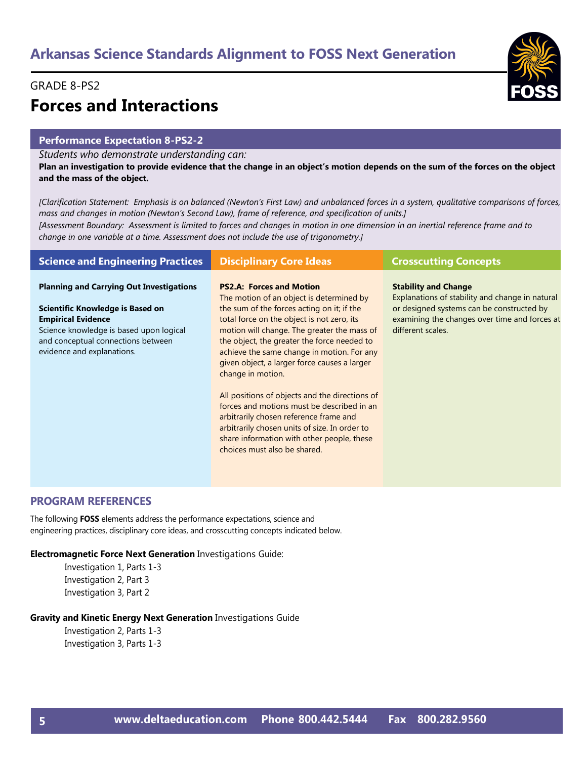#### GRADE 8-PS2

# **Forces and Interactions**

#### **Performance Expectation 8-PS2-2**

*Students who demonstrate understanding can:*

**Plan an investigation to provide evidence that the change in an object's motion depends on the sum of the forces on the object and the mass of the object.** 

*[Clarification Statement: Emphasis is on balanced (Newton's First Law) and unbalanced forces in a system, qualitative comparisons of forces, mass and changes in motion (Newton's Second Law), frame of reference, and specification of units.]* 

*[Assessment Boundary: Assessment is limited to forces and changes in motion in one dimension in an inertial reference frame and to change in one variable at a time. Assessment does not include the use of trigonometry.]*

| <b>Science and Engineering Practices</b>                                                                                                                                                                                        | <b>Disciplinary Core Ideas</b>                                                                                                                                                                                                                                                                                                                                                                                                                                                                                                                                                                                                                                    | <b>Crosscutting Concepts</b>                                                                                                                                                                      |
|---------------------------------------------------------------------------------------------------------------------------------------------------------------------------------------------------------------------------------|-------------------------------------------------------------------------------------------------------------------------------------------------------------------------------------------------------------------------------------------------------------------------------------------------------------------------------------------------------------------------------------------------------------------------------------------------------------------------------------------------------------------------------------------------------------------------------------------------------------------------------------------------------------------|---------------------------------------------------------------------------------------------------------------------------------------------------------------------------------------------------|
| <b>Planning and Carrying Out Investigations</b><br>Scientific Knowledge is Based on<br><b>Empirical Evidence</b><br>Science knowledge is based upon logical<br>and conceptual connections between<br>evidence and explanations. | <b>PS2.A: Forces and Motion</b><br>The motion of an object is determined by<br>the sum of the forces acting on it; if the<br>total force on the object is not zero, its<br>motion will change. The greater the mass of<br>the object, the greater the force needed to<br>achieve the same change in motion. For any<br>given object, a larger force causes a larger<br>change in motion.<br>All positions of objects and the directions of<br>forces and motions must be described in an<br>arbitrarily chosen reference frame and<br>arbitrarily chosen units of size. In order to<br>share information with other people, these<br>choices must also be shared. | <b>Stability and Change</b><br>Explanations of stability and change in natural<br>or designed systems can be constructed by<br>examining the changes over time and forces at<br>different scales. |

#### **PROGRAM REFERENCES**

The following **FOSS** elements address the performance expectations, science and engineering practices, disciplinary core ideas, and crosscutting concepts indicated below.

#### **Electromagnetic Force Next Generation** Investigations Guide:

Investigation 1, Parts 1-3 Investigation 2, Part 3 Investigation 3, Part 2

#### **Gravity and Kinetic Energy Next Generation** Investigations Guide

Investigation 2, Parts 1-3 Investigation 3, Parts 1-3

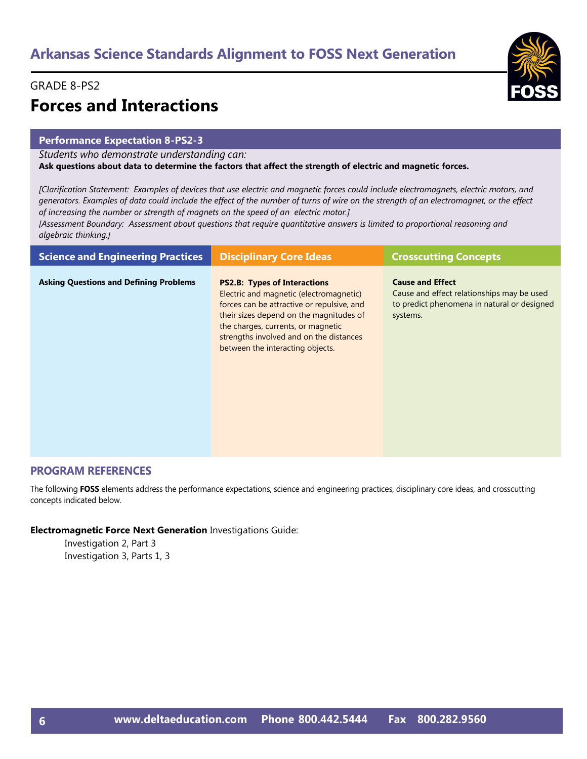#### GRADE 8-PS2

# **Forces and Interactions**

#### **Performance Expectation 8-PS2-3**

*Students who demonstrate understanding can:*

**Ask questions about data to determine the factors that affect the strength of electric and magnetic forces.** 

*[Clarification Statement: Examples of devices that use electric and magnetic forces could include electromagnets, electric motors, and generators. Examples of data could include the effect of the number of turns of wire on the strength of an electromagnet, or the effect of increasing the number or strength of magnets on the speed of an electric motor.]* 

*[Assessment Boundary: Assessment about questions that require quantitative answers is limited to proportional reasoning and algebraic thinking.]*

| <b>Science and Engineering Practices</b>      | <b>Disciplinary Core Ideas</b>                                                                                                                                                                                                                                                               | <b>Crosscutting Concepts</b>                                                                                                     |
|-----------------------------------------------|----------------------------------------------------------------------------------------------------------------------------------------------------------------------------------------------------------------------------------------------------------------------------------------------|----------------------------------------------------------------------------------------------------------------------------------|
| <b>Asking Questions and Defining Problems</b> | <b>PS2.B: Types of Interactions</b><br>Electric and magnetic (electromagnetic)<br>forces can be attractive or repulsive, and<br>their sizes depend on the magnitudes of<br>the charges, currents, or magnetic<br>strengths involved and on the distances<br>between the interacting objects. | <b>Cause and Effect</b><br>Cause and effect relationships may be used<br>to predict phenomena in natural or designed<br>systems. |

#### **PROGRAM REFERENCES**

The following **FOSS** elements address the performance expectations, science and engineering practices, disciplinary core ideas, and crosscutting concepts indicated below.

**Electromagnetic Force Next Generation** Investigations Guide:

Investigation 2, Part 3 Investigation 3, Parts 1, 3

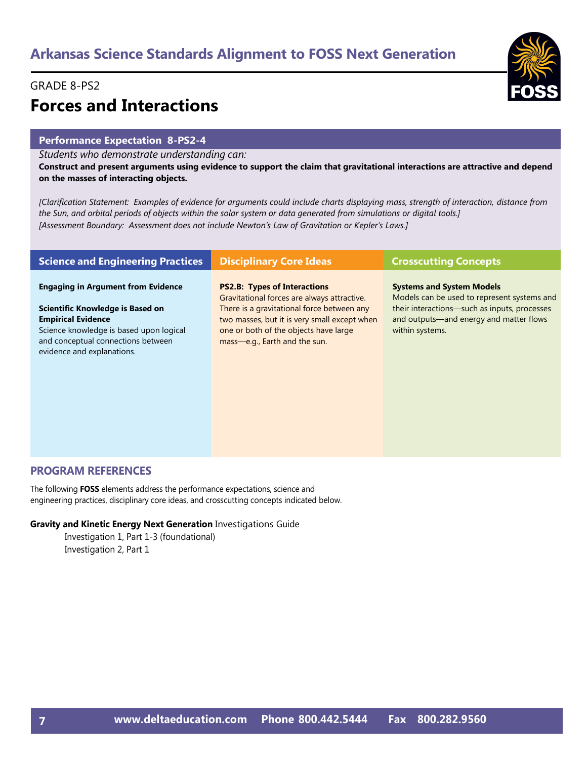#### GRADE 8-PS2

# **Forces and Interactions**

#### **Performance Expectation 8-PS2-4**

*Students who demonstrate understanding can:*

**Construct and present arguments using evidence to support the claim that gravitational interactions are attractive and depend on the masses of interacting objects.** 

*[Clarification Statement: Examples of evidence for arguments could include charts displaying mass, strength of interaction, distance from the Sun, and orbital periods of objects within the solar system or data generated from simulations or digital tools.] [Assessment Boundary: Assessment does not include Newton's Law of Gravitation or Kepler's Laws.]*

| <b>Science and Engineering Practices</b>                                                                                                                                                                                         | <b>Disciplinary Core Ideas</b>                                                                                                                                                                                                                             | <b>Crosscutting Concepts</b>                                                                                                                                                                  |
|----------------------------------------------------------------------------------------------------------------------------------------------------------------------------------------------------------------------------------|------------------------------------------------------------------------------------------------------------------------------------------------------------------------------------------------------------------------------------------------------------|-----------------------------------------------------------------------------------------------------------------------------------------------------------------------------------------------|
| <b>Engaging in Argument from Evidence</b><br><b>Scientific Knowledge is Based on</b><br><b>Empirical Evidence</b><br>Science knowledge is based upon logical<br>and conceptual connections between<br>evidence and explanations. | <b>PS2.B: Types of Interactions</b><br>Gravitational forces are always attractive.<br>There is a gravitational force between any<br>two masses, but it is very small except when<br>one or both of the objects have large<br>mass-e.g., Earth and the sun. | <b>Systems and System Models</b><br>Models can be used to represent systems and<br>their interactions-such as inputs, processes<br>and outputs—and energy and matter flows<br>within systems. |

#### **PROGRAM REFERENCES**

The following **FOSS** elements address the performance expectations, science and engineering practices, disciplinary core ideas, and crosscutting concepts indicated below.

#### **Gravity and Kinetic Energy Next Generation** Investigations Guide

Investigation 1, Part 1-3 (foundational) Investigation 2, Part 1

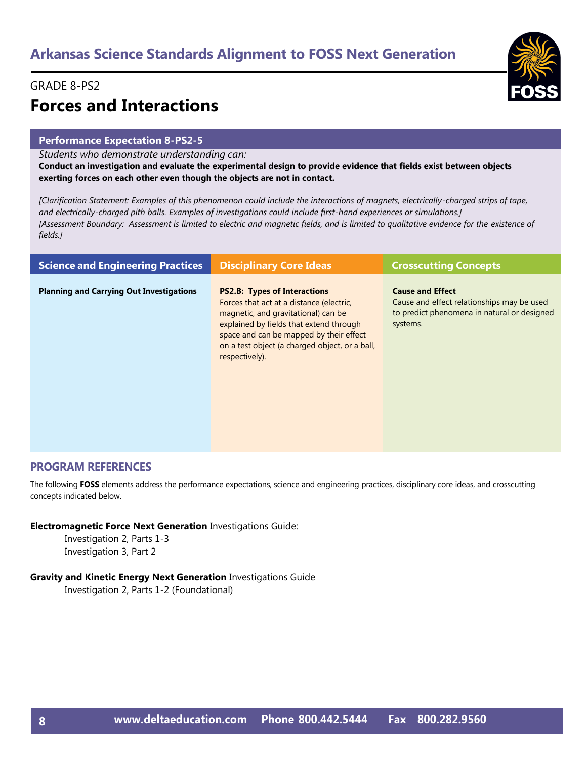#### GRADE 8-PS2

# **Forces and Interactions**

#### **Performance Expectation 8-PS2-5**

*Students who demonstrate understanding can:*

**Conduct an investigation and evaluate the experimental design to provide evidence that fields exist between objects exerting forces on each other even though the objects are not in contact.** 

*[Clarification Statement: Examples of this phenomenon could include the interactions of magnets, electrically-charged strips of tape, and electrically-charged pith balls. Examples of investigations could include first-hand experiences or simulations.] [Assessment Boundary: Assessment is limited to electric and magnetic fields, and is limited to qualitative evidence for the existence of fields.]*

| <b>Science and Engineering Practices</b>        | <b>Disciplinary Core Ideas</b>                                                                                                                                                                                                                                                   | <b>Crosscutting Concepts</b>                                                                                                     |
|-------------------------------------------------|----------------------------------------------------------------------------------------------------------------------------------------------------------------------------------------------------------------------------------------------------------------------------------|----------------------------------------------------------------------------------------------------------------------------------|
| <b>Planning and Carrying Out Investigations</b> | <b>PS2.B: Types of Interactions</b><br>Forces that act at a distance (electric,<br>magnetic, and gravitational) can be<br>explained by fields that extend through<br>space and can be mapped by their effect<br>on a test object (a charged object, or a ball,<br>respectively). | <b>Cause and Effect</b><br>Cause and effect relationships may be used<br>to predict phenomena in natural or designed<br>systems. |

#### **PROGRAM REFERENCES**

The following **FOSS** elements address the performance expectations, science and engineering practices, disciplinary core ideas, and crosscutting concepts indicated below.

**Electromagnetic Force Next Generation** Investigations Guide:

Investigation 2, Parts 1-3 Investigation 3, Part 2

#### **Gravity and Kinetic Energy Next Generation** Investigations Guide

Investigation 2, Parts 1-2 (Foundational)

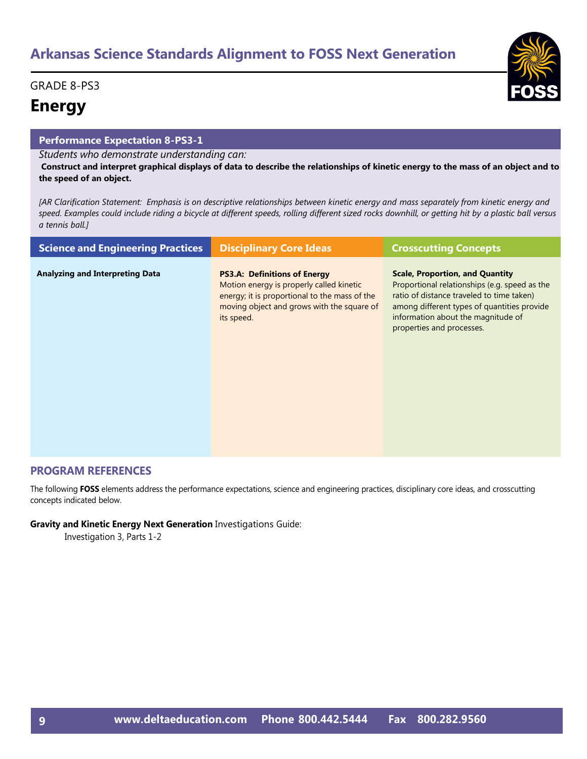#### GRADE 8-PS3

### **Energy**

#### **Performance Expectation 8-PS3-1**

*Students who demonstrate understanding can:*

**Construct and interpret graphical displays of data to describe the relationships of kinetic energy to the mass of an object and to the speed of an object.** 

*[AR Clarification Statement: Emphasis is on descriptive relationships between kinetic energy and mass separately from kinetic energy and speed. Examples could include riding a bicycle at different speeds, rolling different sized rocks downhill, or getting hit by a plastic ball versus a tennis ball.]* 

| <b>Science and Engineering Practices</b> | <b>Disciplinary Core Ideas</b>                                                                                                                                                               | <b>Crosscutting Concepts</b>                                                                                                                                                                                                                           |
|------------------------------------------|----------------------------------------------------------------------------------------------------------------------------------------------------------------------------------------------|--------------------------------------------------------------------------------------------------------------------------------------------------------------------------------------------------------------------------------------------------------|
| <b>Analyzing and Interpreting Data</b>   | <b>PS3.A: Definitions of Energy</b><br>Motion energy is properly called kinetic<br>energy; it is proportional to the mass of the<br>moving object and grows with the square of<br>its speed. | <b>Scale, Proportion, and Quantity</b><br>Proportional relationships (e.g. speed as the<br>ratio of distance traveled to time taken)<br>among different types of quantities provide<br>information about the magnitude of<br>properties and processes. |

#### **PROGRAM REFERENCES**

The following **FOSS** elements address the performance expectations, science and engineering practices, disciplinary core ideas, and crosscutting concepts indicated below.

#### **Gravity and Kinetic Energy Next Generation** Investigations Guide:

Investigation 3, Parts 1-2

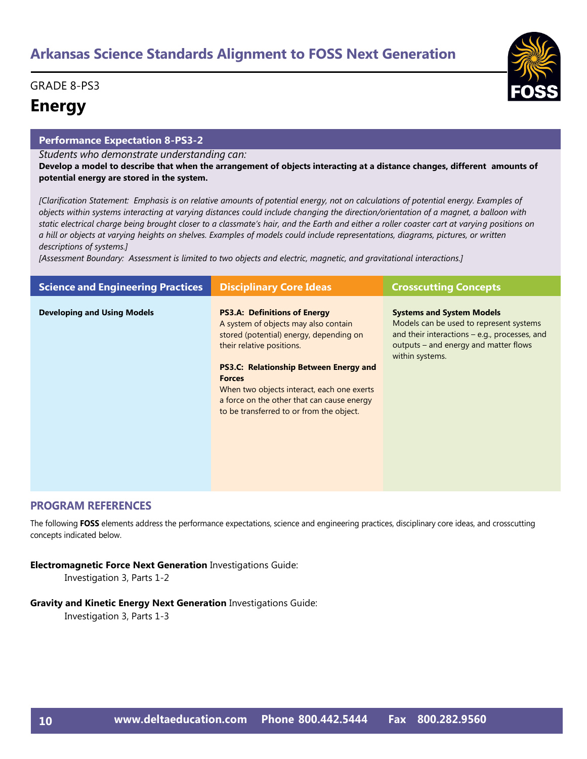#### GRADE 8-PS3

### **Energy**

#### **Performance Expectation 8-PS3-2**

*Students who demonstrate understanding can:*

**Develop a model to describe that when the arrangement of objects interacting at a distance changes, different amounts of potential energy are stored in the system.** 

*[Clarification Statement: Emphasis is on relative amounts of potential energy, not on calculations of potential energy. Examples of objects within systems interacting at varying distances could include changing the direction/orientation of a magnet, a balloon with static electrical charge being brought closer to a classmate's hair, and the Earth and either a roller coaster cart at varying positions on a hill or objects at varying heights on shelves. Examples of models could include representations, diagrams, pictures, or written descriptions of systems.]* 

*[Assessment Boundary: Assessment is limited to two objects and electric, magnetic, and gravitational interactions.]*

| <b>Science and Engineering Practices</b> | <b>Disciplinary Core Ideas</b>                                                                                                                                                                                                                                                                                                                                | <b>Crosscutting Concepts</b>                                                                                                                                                               |
|------------------------------------------|---------------------------------------------------------------------------------------------------------------------------------------------------------------------------------------------------------------------------------------------------------------------------------------------------------------------------------------------------------------|--------------------------------------------------------------------------------------------------------------------------------------------------------------------------------------------|
| <b>Developing and Using Models</b>       | <b>PS3.A: Definitions of Energy</b><br>A system of objects may also contain<br>stored (potential) energy, depending on<br>their relative positions.<br><b>PS3.C: Relationship Between Energy and</b><br><b>Forces</b><br>When two objects interact, each one exerts<br>a force on the other that can cause energy<br>to be transferred to or from the object. | <b>Systems and System Models</b><br>Models can be used to represent systems<br>and their interactions $-$ e.g., processes, and<br>outputs – and energy and matter flows<br>within systems. |

#### **PROGRAM REFERENCES**

The following **FOSS** elements address the performance expectations, science and engineering practices, disciplinary core ideas, and crosscutting concepts indicated below.

#### **Electromagnetic Force Next Generation** Investigations Guide:

Investigation 3, Parts 1-2

#### **Gravity and Kinetic Energy Next Generation** Investigations Guide:

Investigation 3, Parts 1-3

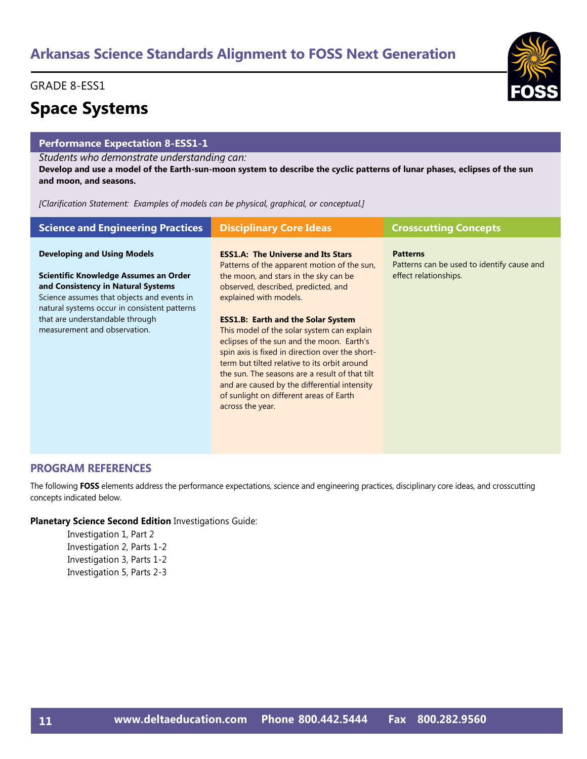#### GRADE 8-ESS1

### **Space Systems**

#### **Performance Expectation 8-ESS1-1**

#### *Students who demonstrate understanding can:*

**Develop and use a model of the Earth-sun-moon system to describe the cyclic patterns of lunar phases, eclipses of the sun and moon, and seasons.** 

*[Clarification Statement: Examples of models can be physical, graphical, or conceptual.]*

| <b>Science and Engineering Practices</b>                                                                                                                                  | <b>Disciplinary Core Ideas</b>                                                                                                                                                                                                                                                                                                                                                                           | <b>Crosscutting Concepts</b>                                  |
|---------------------------------------------------------------------------------------------------------------------------------------------------------------------------|----------------------------------------------------------------------------------------------------------------------------------------------------------------------------------------------------------------------------------------------------------------------------------------------------------------------------------------------------------------------------------------------------------|---------------------------------------------------------------|
| <b>Developing and Using Models</b>                                                                                                                                        | <b>ESS1.A: The Universe and Its Stars</b><br>Patterns of the apparent motion of the sun,                                                                                                                                                                                                                                                                                                                 | <b>Patterns</b><br>Patterns can be used to identify cause and |
| Scientific Knowledge Assumes an Order<br>and Consistency in Natural Systems<br>Science assumes that objects and events in<br>natural systems occur in consistent patterns | the moon, and stars in the sky can be<br>observed, described, predicted, and<br>explained with models.                                                                                                                                                                                                                                                                                                   | effect relationships.                                         |
| that are understandable through<br>measurement and observation.                                                                                                           | <b>ESS1.B: Earth and the Solar System</b><br>This model of the solar system can explain<br>eclipses of the sun and the moon. Earth's<br>spin axis is fixed in direction over the short-<br>term but tilted relative to its orbit around<br>the sun. The seasons are a result of that tilt<br>and are caused by the differential intensity<br>of sunlight on different areas of Earth<br>across the year. |                                                               |

#### **PROGRAM REFERENCES**

The following **FOSS** elements address the performance expectations, science and engineering practices, disciplinary core ideas, and crosscutting concepts indicated below.

#### **Planetary Science Second Edition** Investigations Guide:

Investigation 1, Part 2 Investigation 2, Parts 1-2 Investigation 3, Parts 1-2 Investigation 5, Parts 2-3

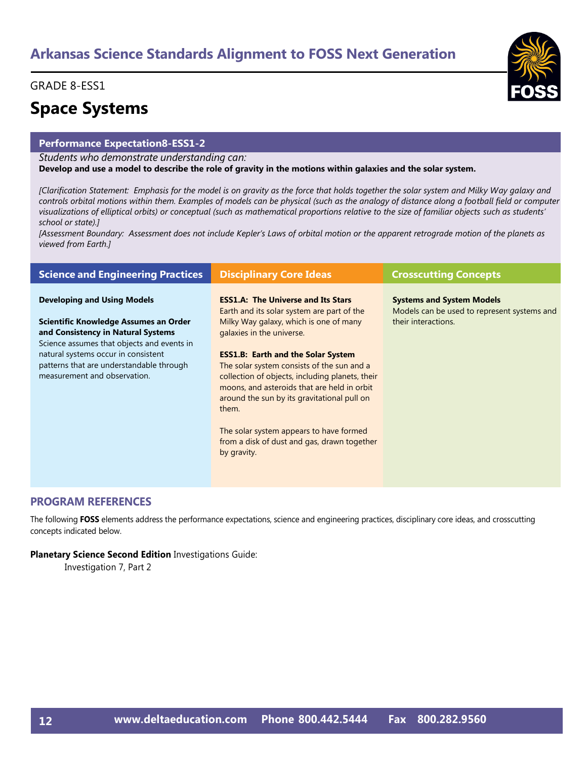#### GRADE 8-ESS1

### **Space Systems**

#### **Performance Expectation8-ESS1-2**

*Students who demonstrate understanding can:*

**Develop and use a model to describe the role of gravity in the motions within galaxies and the solar system.** 

*[Clarification Statement: Emphasis for the model is on gravity as the force that holds together the solar system and Milky Way galaxy and controls orbital motions within them. Examples of models can be physical (such as the analogy of distance along a football field or computer visualizations of elliptical orbits) or conceptual (such as mathematical proportions relative to the size of familiar objects such as students' school or state).]* 

[Assessment Boundary: Assessment does not include Kepler's Laws of orbital motion or the apparent retrograde motion of the planets as *viewed from Earth.]*

| <b>Science and Engineering Practices</b>                                                                                  | <b>Disciplinary Core Ideas</b>                                                                                                                                                                                                                    | <b>Crosscutting Concepts</b>                                                    |
|---------------------------------------------------------------------------------------------------------------------------|---------------------------------------------------------------------------------------------------------------------------------------------------------------------------------------------------------------------------------------------------|---------------------------------------------------------------------------------|
| <b>Developing and Using Models</b>                                                                                        | <b>ESS1.A: The Universe and Its Stars</b><br>Earth and its solar system are part of the                                                                                                                                                           | <b>Systems and System Models</b><br>Models can be used to represent systems and |
| Scientific Knowledge Assumes an Order<br>and Consistency in Natural Systems<br>Science assumes that objects and events in | Milky Way galaxy, which is one of many<br>galaxies in the universe.                                                                                                                                                                               | their interactions.                                                             |
| natural systems occur in consistent<br>patterns that are understandable through<br>measurement and observation.           | <b>ESS1.B: Earth and the Solar System</b><br>The solar system consists of the sun and a<br>collection of objects, including planets, their<br>moons, and asteroids that are held in orbit<br>around the sun by its gravitational pull on<br>them. |                                                                                 |
|                                                                                                                           | The solar system appears to have formed<br>from a disk of dust and gas, drawn together<br>by gravity.                                                                                                                                             |                                                                                 |

#### **PROGRAM REFERENCES**

The following **FOSS** elements address the performance expectations, science and engineering practices, disciplinary core ideas, and crosscutting concepts indicated below.

#### **Planetary Science Second Edition** Investigations Guide:

Investigation 7, Part 2

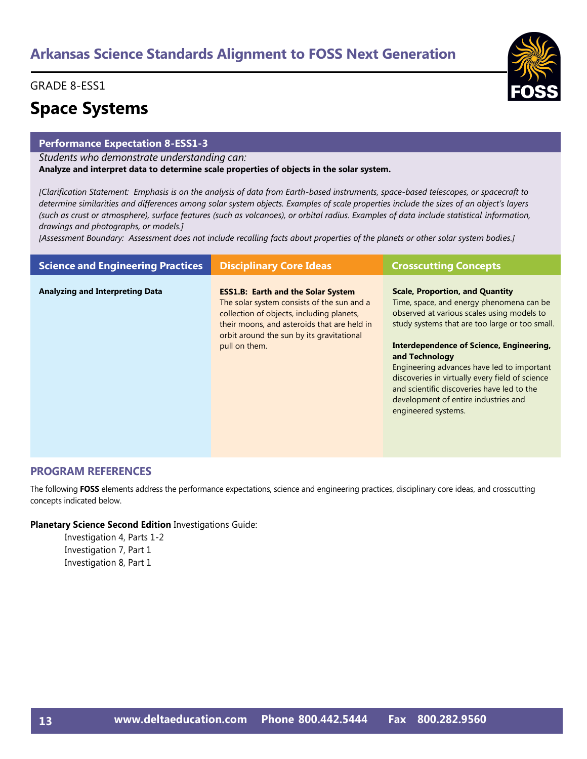#### GRADE 8-ESS1

### **Space Systems**

#### **Performance Expectation 8-ESS1-3**

*Students who demonstrate understanding can:*

**Analyze and interpret data to determine scale properties of objects in the solar system.** 

*[Clarification Statement: Emphasis is on the analysis of data from Earth-based instruments, space-based telescopes, or spacecraft to determine similarities and differences among solar system objects. Examples of scale properties include the sizes of an object's layers (such as crust or atmosphere), surface features (such as volcanoes), or orbital radius. Examples of data include statistical information, drawings and photographs, or models.]* 

*[Assessment Boundary: Assessment does not include recalling facts about properties of the planets or other solar system bodies.]*

| <b>Science and Engineering Practices</b> | <b>Disciplinary Core Ideas</b>                                                                                                                                                                                                                    | <b>Crosscutting Concepts</b>                                                                                                                                                                                                                                                                                                                                                                                                                                   |
|------------------------------------------|---------------------------------------------------------------------------------------------------------------------------------------------------------------------------------------------------------------------------------------------------|----------------------------------------------------------------------------------------------------------------------------------------------------------------------------------------------------------------------------------------------------------------------------------------------------------------------------------------------------------------------------------------------------------------------------------------------------------------|
| <b>Analyzing and Interpreting Data</b>   | <b>ESS1.B: Earth and the Solar System</b><br>The solar system consists of the sun and a<br>collection of objects, including planets,<br>their moons, and asteroids that are held in<br>orbit around the sun by its gravitational<br>pull on them. | <b>Scale, Proportion, and Quantity</b><br>Time, space, and energy phenomena can be<br>observed at various scales using models to<br>study systems that are too large or too small.<br>Interdependence of Science, Engineering,<br>and Technology<br>Engineering advances have led to important<br>discoveries in virtually every field of science<br>and scientific discoveries have led to the<br>development of entire industries and<br>engineered systems. |

#### **PROGRAM REFERENCES**

The following **FOSS** elements address the performance expectations, science and engineering practices, disciplinary core ideas, and crosscutting concepts indicated below.

#### **Planetary Science Second Edition** Investigations Guide:

Investigation 4, Parts 1-2 Investigation 7, Part 1 Investigation 8, Part 1

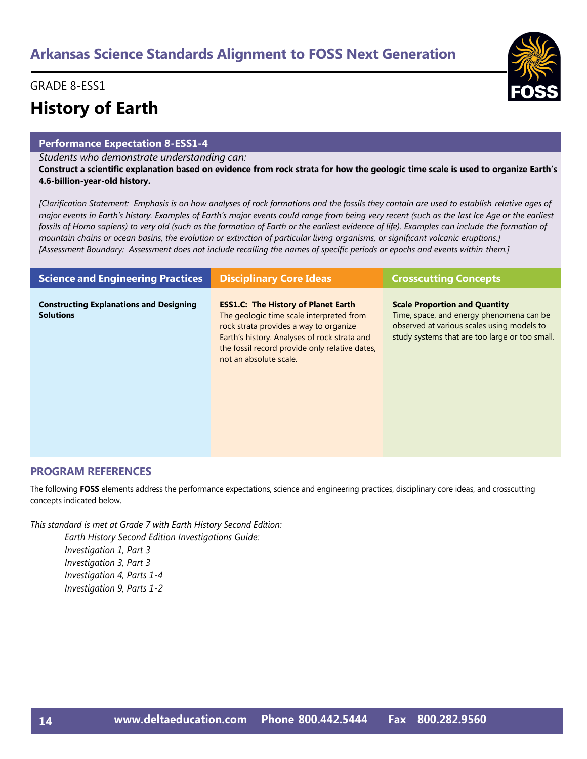#### GRADE 8-ESS1

# **History of Earth**

#### **Performance Expectation 8-ESS1-4**

*Students who demonstrate understanding can:*

**Construct a scientific explanation based on evidence from rock strata for how the geologic time scale is used to organize Earth's 4.6-billion-year-old history.** 

*[Clarification Statement: Emphasis is on how analyses of rock formations and the fossils they contain are used to establish relative ages of major events in Earth's history. Examples of Earth's major events could range from being very recent (such as the last Ice Age or the earliest fossils of Homo sapiens) to very old (such as the formation of Earth or the earliest evidence of life). Examples can include the formation of mountain chains or ocean basins, the evolution or extinction of particular living organisms, or significant volcanic eruptions.] [Assessment Boundary: Assessment does not include recalling the names of specific periods or epochs and events within them.]*

| <b>Science and Engineering Practices</b>                           | <b>Disciplinary Core Ideas</b>                                                                                                                                                                                                                               | <b>Crosscutting Concepts</b>                                                                                                                                                     |
|--------------------------------------------------------------------|--------------------------------------------------------------------------------------------------------------------------------------------------------------------------------------------------------------------------------------------------------------|----------------------------------------------------------------------------------------------------------------------------------------------------------------------------------|
| <b>Constructing Explanations and Designing</b><br><b>Solutions</b> | <b>ESS1.C: The History of Planet Earth</b><br>The geologic time scale interpreted from<br>rock strata provides a way to organize<br>Earth's history. Analyses of rock strata and<br>the fossil record provide only relative dates,<br>not an absolute scale. | <b>Scale Proportion and Quantity</b><br>Time, space, and energy phenomena can be<br>observed at various scales using models to<br>study systems that are too large or too small. |

#### **PROGRAM REFERENCES**

The following **FOSS** elements address the performance expectations, science and engineering practices, disciplinary core ideas, and crosscutting concepts indicated below.

*This standard is met at Grade 7 with Earth History Second Edition: Earth History Second Edition Investigations Guide: Investigation 1, Part 3*

*Investigation 3, Part 3 Investigation 4, Parts 1-4 Investigation 9, Parts 1-2*

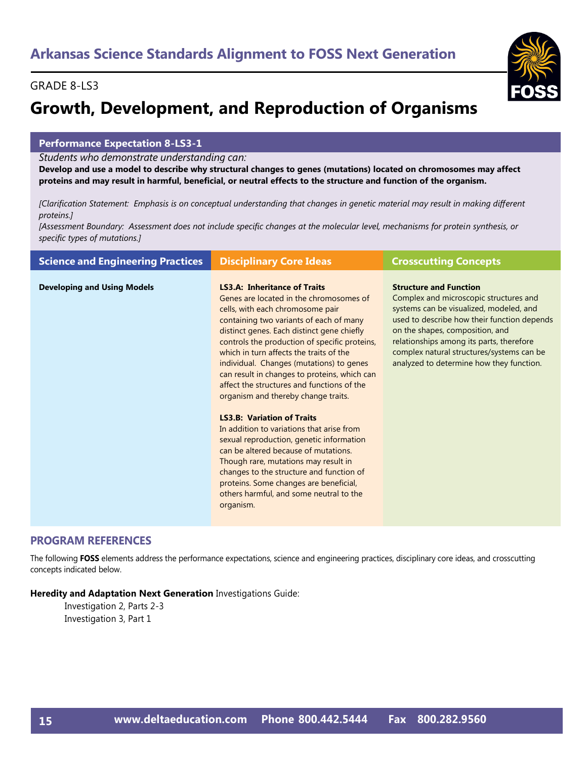# **Growth, Development, and Reproduction of Organisms**

#### **Performance Expectation 8-LS3-1**

*Students who demonstrate understanding can:*

**Develop and use a model to describe why structural changes to genes (mutations) located on chromosomes may affect proteins and may result in harmful, beneficial, or neutral effects to the structure and function of the organism.** 

*[Clarification Statement: Emphasis is on conceptual understanding that changes in genetic material may result in making different proteins.]* 

*[Assessment Boundary: Assessment does not include specific changes at the molecular level, mechanisms for protein synthesis, or specific types of mutations.]*

| <b>Science and Engineering Practices</b> | <b>Disciplinary Core Ideas</b>                                                                                                                                                                                                                                                                                                                                                                                                                                                                                                                                                                                                                                                                                                                                                                                                                       | <b>Crosscutting Concepts</b>                                                                                                                                                                                                                                                                                                              |
|------------------------------------------|------------------------------------------------------------------------------------------------------------------------------------------------------------------------------------------------------------------------------------------------------------------------------------------------------------------------------------------------------------------------------------------------------------------------------------------------------------------------------------------------------------------------------------------------------------------------------------------------------------------------------------------------------------------------------------------------------------------------------------------------------------------------------------------------------------------------------------------------------|-------------------------------------------------------------------------------------------------------------------------------------------------------------------------------------------------------------------------------------------------------------------------------------------------------------------------------------------|
| <b>Developing and Using Models</b>       | <b>LS3.A: Inheritance of Traits</b><br>Genes are located in the chromosomes of<br>cells, with each chromosome pair<br>containing two variants of each of many<br>distinct genes. Each distinct gene chiefly<br>controls the production of specific proteins,<br>which in turn affects the traits of the<br>individual. Changes (mutations) to genes<br>can result in changes to proteins, which can<br>affect the structures and functions of the<br>organism and thereby change traits.<br><b>LS3.B: Variation of Traits</b><br>In addition to variations that arise from<br>sexual reproduction, genetic information<br>can be altered because of mutations.<br>Though rare, mutations may result in<br>changes to the structure and function of<br>proteins. Some changes are beneficial,<br>others harmful, and some neutral to the<br>organism. | <b>Structure and Function</b><br>Complex and microscopic structures and<br>systems can be visualized, modeled, and<br>used to describe how their function depends<br>on the shapes, composition, and<br>relationships among its parts, therefore<br>complex natural structures/systems can be<br>analyzed to determine how they function. |
|                                          |                                                                                                                                                                                                                                                                                                                                                                                                                                                                                                                                                                                                                                                                                                                                                                                                                                                      |                                                                                                                                                                                                                                                                                                                                           |

#### **PROGRAM REFERENCES**

The following **FOSS** elements address the performance expectations, science and engineering practices, disciplinary core ideas, and crosscutting concepts indicated below.

**Heredity and Adaptation Next Generation** Investigations Guide: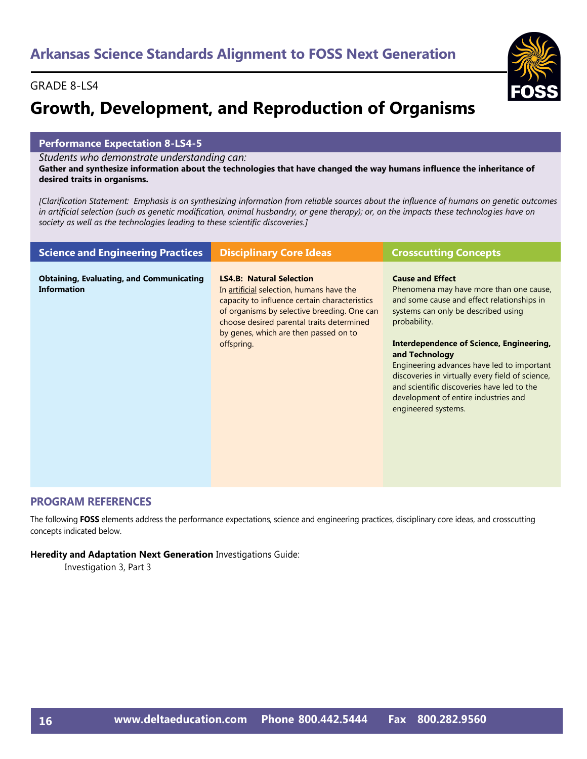# **Growth, Development, and Reproduction of Organisms**

#### **Performance Expectation 8-LS4-5**

*Students who demonstrate understanding can:*

**Gather and synthesize information about the technologies that have changed the way humans influence the inheritance of desired traits in organisms.** 

*[Clarification Statement: Emphasis is on synthesizing information from reliable sources about the influence of humans on genetic outcomes in artificial selection (such as genetic modification, animal husbandry, or gene therapy); or, on the impacts these technologies have on society as well as the technologies leading to these scientific discoveries.]*

| <b>Science and Engineering Practices</b>                              | <b>Disciplinary Core Ideas</b>                                                                                                                                                                                                                                                  | <b>Crosscutting Concepts</b>                                                                                                                                                                                                                                                                                                                                                                                                                                |
|-----------------------------------------------------------------------|---------------------------------------------------------------------------------------------------------------------------------------------------------------------------------------------------------------------------------------------------------------------------------|-------------------------------------------------------------------------------------------------------------------------------------------------------------------------------------------------------------------------------------------------------------------------------------------------------------------------------------------------------------------------------------------------------------------------------------------------------------|
| <b>Obtaining, Evaluating, and Communicating</b><br><b>Information</b> | <b>LS4.B: Natural Selection</b><br>In artificial selection, humans have the<br>capacity to influence certain characteristics<br>of organisms by selective breeding. One can<br>choose desired parental traits determined<br>by genes, which are then passed on to<br>offspring. | <b>Cause and Effect</b><br>Phenomena may have more than one cause,<br>and some cause and effect relationships in<br>systems can only be described using<br>probability.<br><b>Interdependence of Science, Engineering,</b><br>and Technology<br>Engineering advances have led to important<br>discoveries in virtually every field of science,<br>and scientific discoveries have led to the<br>development of entire industries and<br>engineered systems. |

#### **PROGRAM REFERENCES**

The following **FOSS** elements address the performance expectations, science and engineering practices, disciplinary core ideas, and crosscutting concepts indicated below.

#### **Heredity and Adaptation Next Generation** Investigations Guide:

Investigation 3, Part 3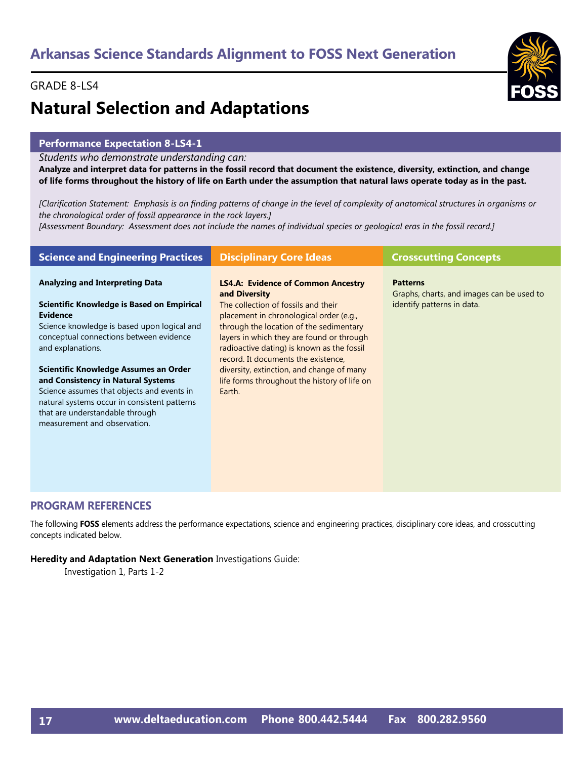

# **Natural Selection and Adaptations**

#### **Performance Expectation 8-LS4-1**

*Students who demonstrate understanding can:*

**Analyze and interpret data for patterns in the fossil record that document the existence, diversity, extinction, and change of life forms throughout the history of life on Earth under the assumption that natural laws operate today as in the past.** 

*[Clarification Statement: Emphasis is on finding patterns of change in the level of complexity of anatomical structures in organisms or the chronological order of fossil appearance in the rock layers.]* 

*[Assessment Boundary: Assessment does not include the names of individual species or geological eras in the fossil record.]*

| <b>Science and Engineering Practices</b>                                               | <b>Disciplinary Core Ideas</b>                                                            | <b>Crosscutting Concepts</b>                                 |
|----------------------------------------------------------------------------------------|-------------------------------------------------------------------------------------------|--------------------------------------------------------------|
| <b>Analyzing and Interpreting Data</b>                                                 | <b>LS4.A: Evidence of Common Ancestry</b><br>and Diversity                                | <b>Patterns</b><br>Graphs, charts, and images can be used to |
| Scientific Knowledge is Based on Empirical<br><b>Evidence</b>                          | The collection of fossils and their<br>placement in chronological order (e.g.,            | identify patterns in data.                                   |
| Science knowledge is based upon logical and<br>conceptual connections between evidence | through the location of the sedimentary<br>layers in which they are found or through      |                                                              |
| and explanations.                                                                      | radioactive dating) is known as the fossil<br>record. It documents the existence,         |                                                              |
| Scientific Knowledge Assumes an Order<br>and Consistency in Natural Systems            | diversity, extinction, and change of many<br>life forms throughout the history of life on |                                                              |
| Science assumes that objects and events in                                             | Earth.                                                                                    |                                                              |
| natural systems occur in consistent patterns<br>that are understandable through        |                                                                                           |                                                              |
| measurement and observation.                                                           |                                                                                           |                                                              |
|                                                                                        |                                                                                           |                                                              |

#### **PROGRAM REFERENCES**

The following **FOSS** elements address the performance expectations, science and engineering practices, disciplinary core ideas, and crosscutting concepts indicated below.

**Heredity and Adaptation Next Generation** Investigations Guide:

Investigation 1, Parts 1-2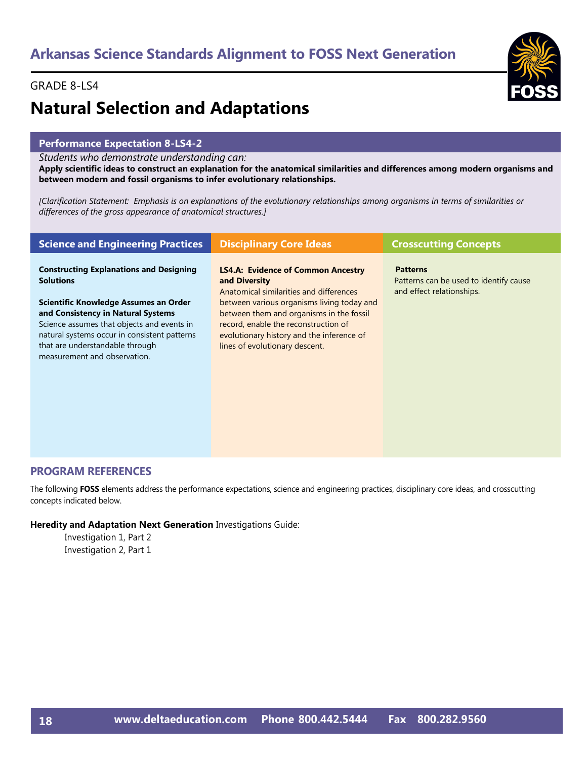

#### **Performance Expectation 8-LS4-2**

*Students who demonstrate understanding can:*

**Apply scientific ideas to construct an explanation for the anatomical similarities and differences among modern organisms and between modern and fossil organisms to infer evolutionary relationships.** 

*[Clarification Statement: Emphasis is on explanations of the evolutionary relationships among organisms in terms of similarities or differences of the gross appearance of anatomical structures.]*

| <b>Science and Engineering Practices</b>                                                                                                                                                                                                     | <b>Disciplinary Core Ideas</b>                                                                                                                                                                                | <b>Crosscutting Concepts</b>                                                           |
|----------------------------------------------------------------------------------------------------------------------------------------------------------------------------------------------------------------------------------------------|---------------------------------------------------------------------------------------------------------------------------------------------------------------------------------------------------------------|----------------------------------------------------------------------------------------|
| <b>Constructing Explanations and Designing</b><br><b>Solutions</b>                                                                                                                                                                           | <b>LS4.A: Evidence of Common Ancestry</b><br>and Diversity<br>Anatomical similarities and differences                                                                                                         | <b>Patterns</b><br>Patterns can be used to identify cause<br>and effect relationships. |
| Scientific Knowledge Assumes an Order<br>and Consistency in Natural Systems<br>Science assumes that objects and events in<br>natural systems occur in consistent patterns<br>that are understandable through<br>measurement and observation. | between various organisms living today and<br>between them and organisms in the fossil<br>record, enable the reconstruction of<br>evolutionary history and the inference of<br>lines of evolutionary descent. |                                                                                        |
|                                                                                                                                                                                                                                              |                                                                                                                                                                                                               |                                                                                        |

#### **PROGRAM REFERENCES**

The following **FOSS** elements address the performance expectations, science and engineering practices, disciplinary core ideas, and crosscutting concepts indicated below.

#### **Heredity and Adaptation Next Generation** Investigations Guide:

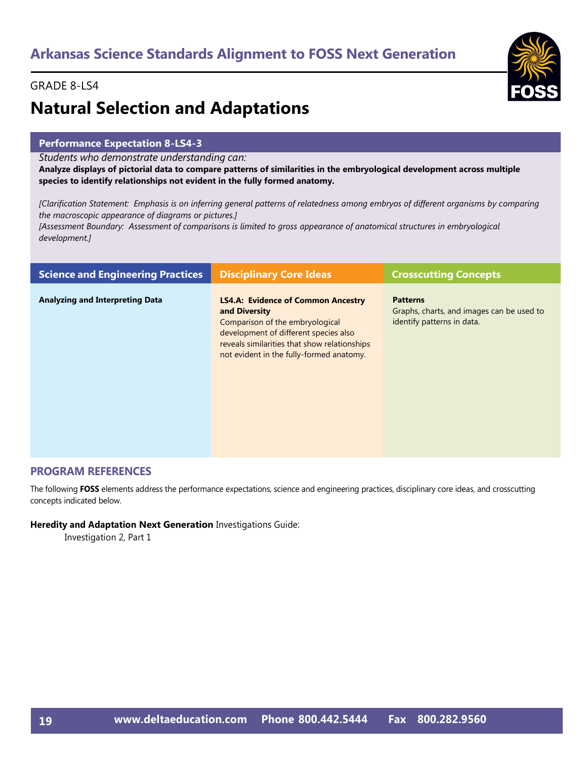

# **Natural Selection and Adaptations**

#### **Performance Expectation 8-LS4-3**

*Students who demonstrate understanding can:*

**Analyze displays of pictorial data to compare patterns of similarities in the embryological development across multiple species to identify relationships not evident in the fully formed anatomy.** 

*[Clarification Statement: Emphasis is on inferring general patterns of relatedness among embryos of different organisms by comparing the macroscopic appearance of diagrams or pictures.]* 

*[Assessment Boundary: Assessment of comparisons is limited to gross appearance of anatomical structures in embryological development.]*

| <b>Science and Engineering Practices</b> | <b>Disciplinary Core Ideas</b>                                                                                                                                                                                                     | <b>Crosscutting Concepts</b>                                                               |
|------------------------------------------|------------------------------------------------------------------------------------------------------------------------------------------------------------------------------------------------------------------------------------|--------------------------------------------------------------------------------------------|
| <b>Analyzing and Interpreting Data</b>   | <b>LS4.A: Evidence of Common Ancestry</b><br>and Diversity<br>Comparison of the embryological<br>development of different species also<br>reveals similarities that show relationships<br>not evident in the fully-formed anatomy. | <b>Patterns</b><br>Graphs, charts, and images can be used to<br>identify patterns in data. |

#### **PROGRAM REFERENCES**

The following **FOSS** elements address the performance expectations, science and engineering practices, disciplinary core ideas, and crosscutting concepts indicated below.

#### **Heredity and Adaptation Next Generation** Investigations Guide:

Investigation 2, Part 1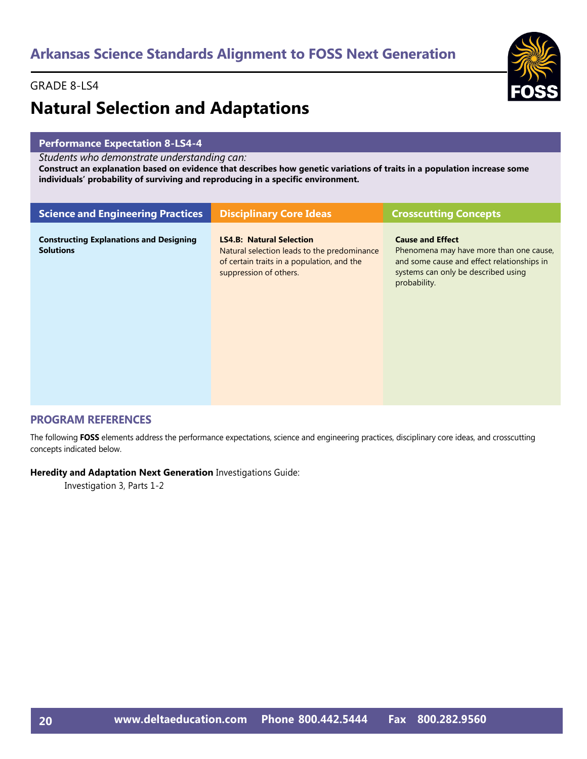# **Natural Selection and Adaptations**

#### **Performance Expectation 8-LS4-4**

*Students who demonstrate understanding can:*

**Construct an explanation based on evidence that describes how genetic variations of traits in a population increase some individuals' probability of surviving and reproducing in a specific environment.**

| <b>Science and Engineering Practices</b>                           | <b>Disciplinary Core Ideas</b>                                                                                                                         | <b>Crosscutting Concepts</b>                                                                                                                                            |
|--------------------------------------------------------------------|--------------------------------------------------------------------------------------------------------------------------------------------------------|-------------------------------------------------------------------------------------------------------------------------------------------------------------------------|
| <b>Constructing Explanations and Designing</b><br><b>Solutions</b> | <b>LS4.B: Natural Selection</b><br>Natural selection leads to the predominance<br>of certain traits in a population, and the<br>suppression of others. | <b>Cause and Effect</b><br>Phenomena may have more than one cause,<br>and some cause and effect relationships in<br>systems can only be described using<br>probability. |

#### **PROGRAM REFERENCES**

The following **FOSS** elements address the performance expectations, science and engineering practices, disciplinary core ideas, and crosscutting concepts indicated below.

#### **Heredity and Adaptation Next Generation** Investigations Guide:

Investigation 3, Parts 1-2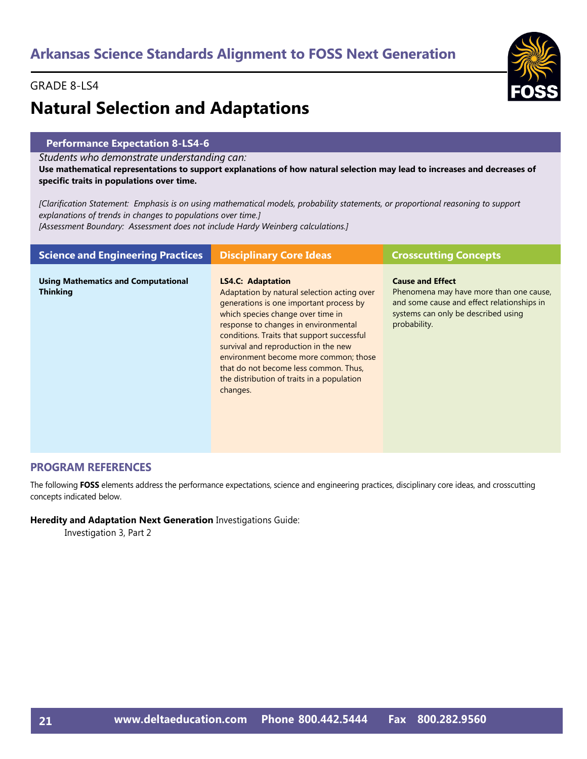#### GRADE 8-LS4

# **Natural Selection and Adaptations**

#### **Performance Expectation 8-LS4-6**

*Students who demonstrate understanding can:*

**Use mathematical representations to support explanations of how natural selection may lead to increases and decreases of specific traits in populations over time.** 

*[Clarification Statement: Emphasis is on using mathematical models, probability statements, or proportional reasoning to support explanations of trends in changes to populations over time.] [Assessment Boundary: Assessment does not include Hardy Weinberg calculations.]*

| <b>Science and Engineering Practices</b>                      | <b>Disciplinary Core Ideas</b>                                                                                                                                                                                                                                                                                                                                                                                                    | <b>Crosscutting Concepts</b>                                                                                                                                            |
|---------------------------------------------------------------|-----------------------------------------------------------------------------------------------------------------------------------------------------------------------------------------------------------------------------------------------------------------------------------------------------------------------------------------------------------------------------------------------------------------------------------|-------------------------------------------------------------------------------------------------------------------------------------------------------------------------|
| <b>Using Mathematics and Computational</b><br><b>Thinking</b> | <b>LS4.C: Adaptation</b><br>Adaptation by natural selection acting over<br>generations is one important process by<br>which species change over time in<br>response to changes in environmental<br>conditions. Traits that support successful<br>survival and reproduction in the new<br>environment become more common; those<br>that do not become less common. Thus,<br>the distribution of traits in a population<br>changes. | <b>Cause and Effect</b><br>Phenomena may have more than one cause,<br>and some cause and effect relationships in<br>systems can only be described using<br>probability. |

#### **PROGRAM REFERENCES**

The following **FOSS** elements address the performance expectations, science and engineering practices, disciplinary core ideas, and crosscutting concepts indicated below.

**Heredity and Adaptation Next Generation** Investigations Guide:

Investigation 3, Part 2

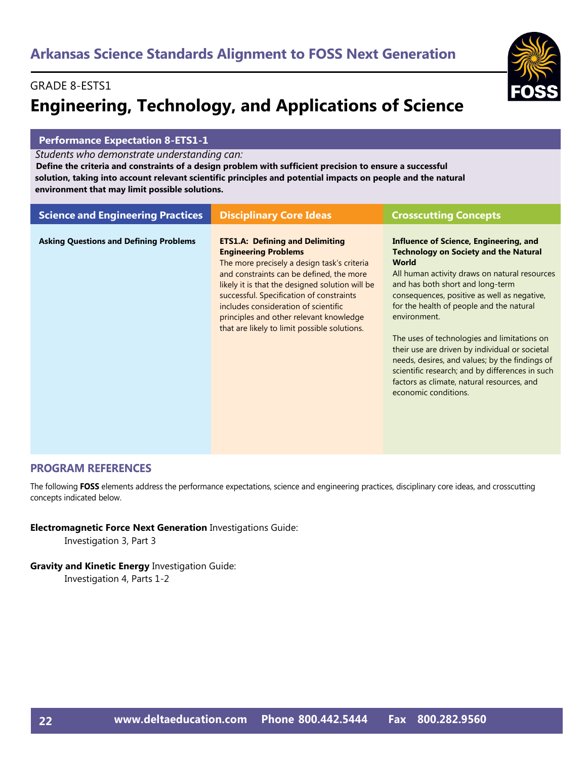### GRADE 8-ESTS1 **Engineering, Technology, and Applications of Science**

#### **Performance Expectation 8-ETS1-1**

*Students who demonstrate understanding can:*

 **Define the criteria and constraints of a design problem with sufficient precision to ensure a successful solution, taking into account relevant scientific principles and potential impacts on people and the natural environment that may limit possible solutions.** 

| <b>Science and Engineering Practices</b>      | <b>Disciplinary Core Ideas</b>                                                                                                                                                                                                                                                                                                                                                                     | <b>Crosscutting Concepts</b>                                                                                                                                                                                                                                                                                                                                                                                                                                                                                                                                                              |
|-----------------------------------------------|----------------------------------------------------------------------------------------------------------------------------------------------------------------------------------------------------------------------------------------------------------------------------------------------------------------------------------------------------------------------------------------------------|-------------------------------------------------------------------------------------------------------------------------------------------------------------------------------------------------------------------------------------------------------------------------------------------------------------------------------------------------------------------------------------------------------------------------------------------------------------------------------------------------------------------------------------------------------------------------------------------|
| <b>Asking Questions and Defining Problems</b> | <b>ETS1.A: Defining and Delimiting</b><br><b>Engineering Problems</b><br>The more precisely a design task's criteria<br>and constraints can be defined, the more<br>likely it is that the designed solution will be<br>successful. Specification of constraints<br>includes consideration of scientific<br>principles and other relevant knowledge<br>that are likely to limit possible solutions. | <b>Influence of Science, Engineering, and</b><br><b>Technology on Society and the Natural</b><br><b>World</b><br>All human activity draws on natural resources<br>and has both short and long-term<br>consequences, positive as well as negative,<br>for the health of people and the natural<br>environment.<br>The uses of technologies and limitations on<br>their use are driven by individual or societal<br>needs, desires, and values; by the findings of<br>scientific research; and by differences in such<br>factors as climate, natural resources, and<br>economic conditions. |

#### **PROGRAM REFERENCES**

The following **FOSS** elements address the performance expectations, science and engineering practices, disciplinary core ideas, and crosscutting concepts indicated below.

**Electromagnetic Force Next Generation** Investigations Guide:

Investigation 3, Part 3

**Gravity and Kinetic Energy** Investigation Guide:

Investigation 4, Parts 1-2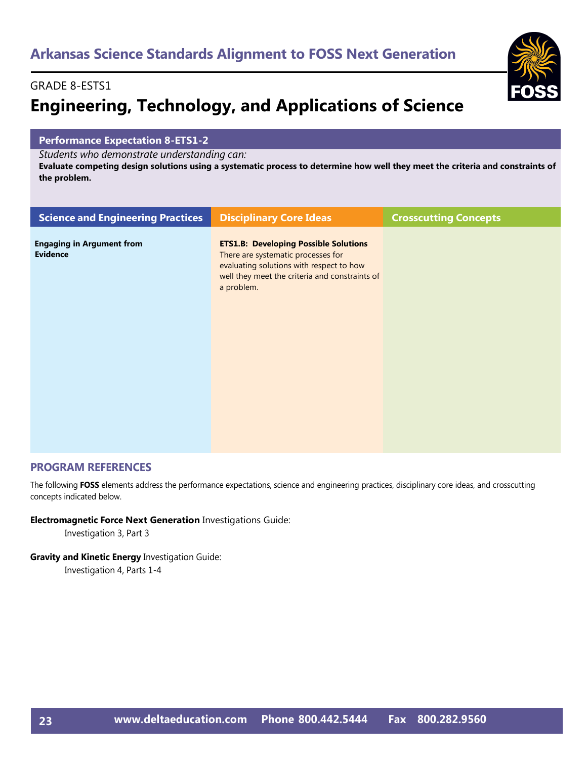#### GRADE 8-ESTS1

# **Engineering, Technology, and Applications of Science**

#### **Performance Expectation 8-ETS1-2**

*Students who demonstrate understanding can:*

**Evaluate competing design solutions using a systematic process to determine how well they meet the criteria and constraints of the problem.** 

| <b>Science and Engineering Practices</b>            | <b>Disciplinary Core Ideas</b>                                                                                                                                                                 | <b>Crosscutting Concepts</b> |
|-----------------------------------------------------|------------------------------------------------------------------------------------------------------------------------------------------------------------------------------------------------|------------------------------|
| <b>Engaging in Argument from</b><br><b>Evidence</b> | <b>ETS1.B: Developing Possible Solutions</b><br>There are systematic processes for<br>evaluating solutions with respect to how<br>well they meet the criteria and constraints of<br>a problem. |                              |
|                                                     |                                                                                                                                                                                                |                              |

#### **PROGRAM REFERENCES**

The following **FOSS** elements address the performance expectations, science and engineering practices, disciplinary core ideas, and crosscutting concepts indicated below.

#### **Electromagnetic Force Next Generation** Investigations Guide:

Investigation 3, Part 3

#### **Gravity and Kinetic Energy** Investigation Guide:

Investigation 4, Parts 1-4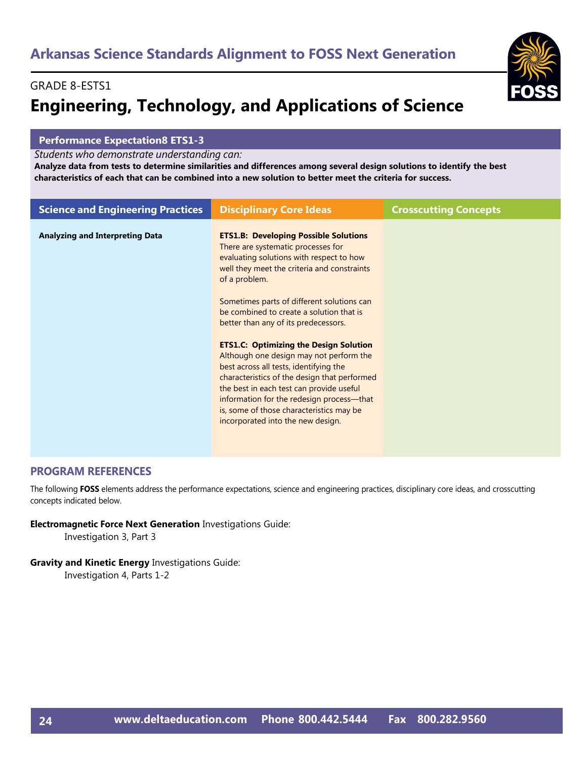#### GRADE 8-ESTS1

# **Engineering, Technology, and Applications of Science**

#### **Performance Expectation8 ETS1-3**

*Students who demonstrate understanding can:*

**Analyze data from tests to determine similarities and differences among several design solutions to identify the best characteristics of each that can be combined into a new solution to better meet the criteria for success.** 

| <b>Science and Engineering Practices</b> | <b>Disciplinary Core Ideas</b>                                                                                                                                                                                                                                                                                                                                                                                                                                                                                                                                                                                                                                                                   | <b>Crosscutting Concepts</b> |
|------------------------------------------|--------------------------------------------------------------------------------------------------------------------------------------------------------------------------------------------------------------------------------------------------------------------------------------------------------------------------------------------------------------------------------------------------------------------------------------------------------------------------------------------------------------------------------------------------------------------------------------------------------------------------------------------------------------------------------------------------|------------------------------|
| <b>Analyzing and Interpreting Data</b>   | <b>ETS1.B: Developing Possible Solutions</b><br>There are systematic processes for<br>evaluating solutions with respect to how<br>well they meet the criteria and constraints<br>of a problem.<br>Sometimes parts of different solutions can<br>be combined to create a solution that is<br>better than any of its predecessors.<br><b>ETS1.C: Optimizing the Design Solution</b><br>Although one design may not perform the<br>best across all tests, identifying the<br>characteristics of the design that performed<br>the best in each test can provide useful<br>information for the redesign process—that<br>is, some of those characteristics may be<br>incorporated into the new design. |                              |
|                                          |                                                                                                                                                                                                                                                                                                                                                                                                                                                                                                                                                                                                                                                                                                  |                              |

#### **PROGRAM REFERENCES**

The following **FOSS** elements address the performance expectations, science and engineering practices, disciplinary core ideas, and crosscutting concepts indicated below.

**Electromagnetic Force Next Generation** Investigations Guide:

Investigation 3, Part 3

**Gravity and Kinetic Energy** Investigations Guide: Investigation 4, Parts 1-2